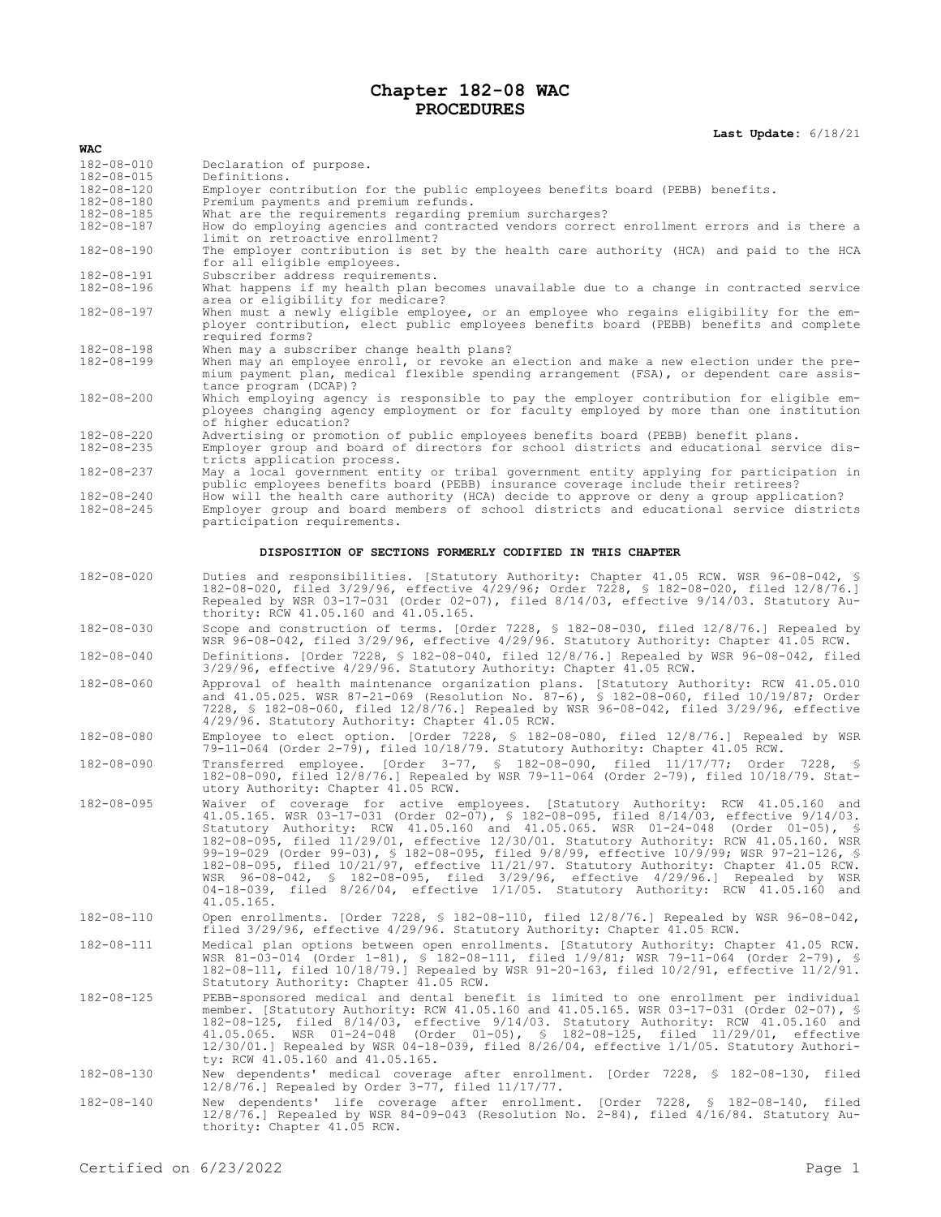## **Chapter 182-08 WAC PROCEDURES**

## **Last Update:** 6/18/21

| WAC                                                       |                                                                                                                                                                                                                                                                                                                                                                                                                                                                                                                                                                                                                                                                                                                                                 |  |
|-----------------------------------------------------------|-------------------------------------------------------------------------------------------------------------------------------------------------------------------------------------------------------------------------------------------------------------------------------------------------------------------------------------------------------------------------------------------------------------------------------------------------------------------------------------------------------------------------------------------------------------------------------------------------------------------------------------------------------------------------------------------------------------------------------------------------|--|
| $182 - 08 - 010$                                          | Declaration of purpose.                                                                                                                                                                                                                                                                                                                                                                                                                                                                                                                                                                                                                                                                                                                         |  |
| $182 - 08 - 015$                                          | Definitions.                                                                                                                                                                                                                                                                                                                                                                                                                                                                                                                                                                                                                                                                                                                                    |  |
| 182-08-120<br>182-08-180                                  | Employer contribution for the public employees benefits board (PEBB) benefits.<br>Premium payments and premium refunds.                                                                                                                                                                                                                                                                                                                                                                                                                                                                                                                                                                                                                         |  |
| $182 - 08 - 185$                                          | What are the requirements regarding premium surcharges?                                                                                                                                                                                                                                                                                                                                                                                                                                                                                                                                                                                                                                                                                         |  |
| $182 - 08 - 187$                                          | How do employing agencies and contracted vendors correct enrollment errors and is there a                                                                                                                                                                                                                                                                                                                                                                                                                                                                                                                                                                                                                                                       |  |
| $182 - 08 - 190$                                          | limit on retroactive enrollment?<br>The employer contribution is set by the health care authority (HCA) and paid to the HCA<br>for all eligible employees.                                                                                                                                                                                                                                                                                                                                                                                                                                                                                                                                                                                      |  |
| 182-08-191<br>182-08-196                                  | Subscriber address requirements.<br>What happens if my health plan becomes unavailable due to a change in contracted service                                                                                                                                                                                                                                                                                                                                                                                                                                                                                                                                                                                                                    |  |
|                                                           | area or eligibility for medicare?                                                                                                                                                                                                                                                                                                                                                                                                                                                                                                                                                                                                                                                                                                               |  |
| 182-08-197                                                | When must a newly eligible employee, or an employee who regains eligibility for the em-<br>ployer contribution, elect public employees benefits board (PEBB) benefits and complete<br>required forms?                                                                                                                                                                                                                                                                                                                                                                                                                                                                                                                                           |  |
| 182-08-198                                                | When may a subscriber change health plans?                                                                                                                                                                                                                                                                                                                                                                                                                                                                                                                                                                                                                                                                                                      |  |
| $182 - 08 - 199$                                          | When may an employee enroll, or revoke an election and make a new election under the pre-<br>mium payment plan, medical flexible spending arrangement (FSA), or dependent care assis-<br>tance program (DCAP)?                                                                                                                                                                                                                                                                                                                                                                                                                                                                                                                                  |  |
| $182 - 08 - 200$                                          | Which employing agency is responsible to pay the employer contribution for eligible em-<br>ployees changing agency employment or for faculty employed by more than one institution<br>of higher education?                                                                                                                                                                                                                                                                                                                                                                                                                                                                                                                                      |  |
| 182-08-220                                                | Advertising or promotion of public employees benefits board (PEBB) benefit plans.                                                                                                                                                                                                                                                                                                                                                                                                                                                                                                                                                                                                                                                               |  |
| $182 - 08 - 235$                                          | Employer group and board of directors for school districts and educational service dis-<br>tricts application process.                                                                                                                                                                                                                                                                                                                                                                                                                                                                                                                                                                                                                          |  |
| 182-08-237                                                | May a local government entity or tribal government entity applying for participation in<br>public employees benefits board (PEBB) insurance coverage include their retirees?                                                                                                                                                                                                                                                                                                                                                                                                                                                                                                                                                                    |  |
| 182-08-240<br>$182 - 08 - 245$                            | How will the health care authority (HCA) decide to approve or deny a group application?<br>Employer group and board members of school districts and educational service districts<br>participation requirements.                                                                                                                                                                                                                                                                                                                                                                                                                                                                                                                                |  |
| DISPOSITION OF SECTIONS FORMERLY CODIFIED IN THIS CHAPTER |                                                                                                                                                                                                                                                                                                                                                                                                                                                                                                                                                                                                                                                                                                                                                 |  |
| $182 - 08 - 020$                                          | Duties and responsibilities. [Statutory Authority: Chapter 41.05 RCW. WSR 96-08-042, §<br>182-08-020, filed 3/29/96, effective 4/29/96; Order 7228, § 182-08-020, filed 12/8/76.]<br>Repealed by WSR 03-17-031 (Order 02-07), filed 8/14/03, effective 9/14/03. Statutory Au-<br>thority: RCW 41.05.160 and 41.05.165.                                                                                                                                                                                                                                                                                                                                                                                                                          |  |
| $182 - 08 - 030$                                          | Scope and construction of terms. [Order 7228, $\frac{1}{2}$ 182-08-030, filed 12/8/76.] Repealed by<br>WSR 96-08-042, filed 3/29/96, effective 4/29/96. Statutory Authority: Chapter 41.05 RCW.                                                                                                                                                                                                                                                                                                                                                                                                                                                                                                                                                 |  |
| $182 - 08 - 040$                                          | Definitions. [Order 7228, § 182-08-040, filed 12/8/76.] Repealed by WSR 96-08-042, filed<br>3/29/96, effective 4/29/96. Statutory Authority: Chapter 41.05 RCW.                                                                                                                                                                                                                                                                                                                                                                                                                                                                                                                                                                                 |  |
| $182 - 08 - 060$                                          | Approval of health maintenance organization plans. [Statutory Authority: RCW 41.05.010<br>and 41.05.025. WSR 87-21-069 (Resolution No. 87-6), § 182-08-060, filed 10/19/87; Order<br>7228, § 182-08-060, filed 12/8/76.] Repealed by WSR 96-08-042, filed 3/29/96, effective<br>4/29/96. Statutory Authority: Chapter 41.05 RCW.                                                                                                                                                                                                                                                                                                                                                                                                                |  |
| $182 - 08 - 080$                                          | Employee to elect option. [Order 7228, § 182-08-080, filed 12/8/76.] Repealed by WSR<br>79-11-064 (Order 2-79), filed 10/18/79. Statutory Authority: Chapter 41.05 RCW.                                                                                                                                                                                                                                                                                                                                                                                                                                                                                                                                                                         |  |
| $182 - 08 - 090$                                          | Transferred employee. [Order 3-77, § 182-08-090, filed 11/17/77; Order 7228, §<br>182-08-090, filed 12/8/76.] Repealed by WSR 79-11-064 (Order 2-79), filed 10/18/79. Stat-<br>utory Authority: Chapter 41.05 RCW.                                                                                                                                                                                                                                                                                                                                                                                                                                                                                                                              |  |
| $182 - 08 - 095$                                          | Waiver of coverage for active employees. [Statutory Authority: RCW 41.05.160 and<br>41.05.165. WSR 03-17-031 (Order 02-07), \$ 182-08-095, filed $8/14/03$ , effective $9/14/03$ .<br>Statutory Authority: RCW 41.05.160 and 41.05.065. WSR 01-24-048 (Order 01-05), §<br>182-08-095, filed 11/29/01, effective 12/30/01. Statutory Authority: RCW 41.05.160. WSR<br>99-19-029 (Order 99-03), § 182-08-095, filed 9/8/99, effective 10/9/99; WSR 97-21-126, §<br>182-08-095, filed 10/21/97, effective 11/21/97. Statutory Authority: Chapter 41.05 RCW.<br>WSR 96-08-042, § 182-08-095, filed 3/29/96, effective 4/29/96.] Repealed by WSR<br>04-18-039, filed 8/26/04, effective 1/1/05. Statutory Authority: RCW 41.05.160 and<br>41.05.165. |  |
| 182-08-110                                                | Open enrollments. [Order 7228, $\frac{1}{2}$ 182-08-110, filed 12/8/76.] Repealed by WSR 96-08-042,<br>filed 3/29/96, effective 4/29/96. Statutory Authority: Chapter 41.05 RCW.                                                                                                                                                                                                                                                                                                                                                                                                                                                                                                                                                                |  |
| 182-08-111                                                | Medical plan options between open enrollments. [Statutory Authority: Chapter 41.05 RCW.<br>WSR 81-03-014 (Order 1-81), § 182-08-111, filed 1/9/81; WSR 79-11-064 (Order 2-79), §<br>182-08-111, filed 10/18/79.] Repealed by WSR 91-20-163, filed 10/2/91, effective 11/2/91.<br>Statutory Authority: Chapter 41.05 RCW.                                                                                                                                                                                                                                                                                                                                                                                                                        |  |
| 182-08-125                                                | PEBB-sponsored medical and dental benefit is limited to one enrollment per individual<br>member. [Statutory Authority: RCW 41.05.160 and 41.05.165. WSR 03-17-031 (Order 02-07), §<br>182-08-125, filed 8/14/03, effective 9/14/03. Statutory Authority: RCW 41.05.160 and<br>41.05.065. WSR 01-24-048 (Order 01-05), § 182-08-125, filed 11/29/01, effective<br>$12/30/01$ . Repealed by WSR 04-18-039, filed 8/26/04, effective $1/1/05$ . Statutory Authori-<br>ty: RCW 41.05.160 and 41.05.165.                                                                                                                                                                                                                                             |  |
| 182-08-130                                                | New dependents' medical coverage after enrollment. [Order 7228, § 182-08-130, filed<br>$12/8/76.$ Repealed by Order 3-77, filed $11/17/77.$                                                                                                                                                                                                                                                                                                                                                                                                                                                                                                                                                                                                     |  |
| 182-08-140                                                | New dependents' life coverage after enrollment. [Order 7228, § 182-08-140, filed<br>12/8/76.] Repealed by WSR 84-09-043 (Resolution No. 2-84), filed 4/16/84. Statutory Au-<br>thority: Chapter 41.05 RCW.                                                                                                                                                                                                                                                                                                                                                                                                                                                                                                                                      |  |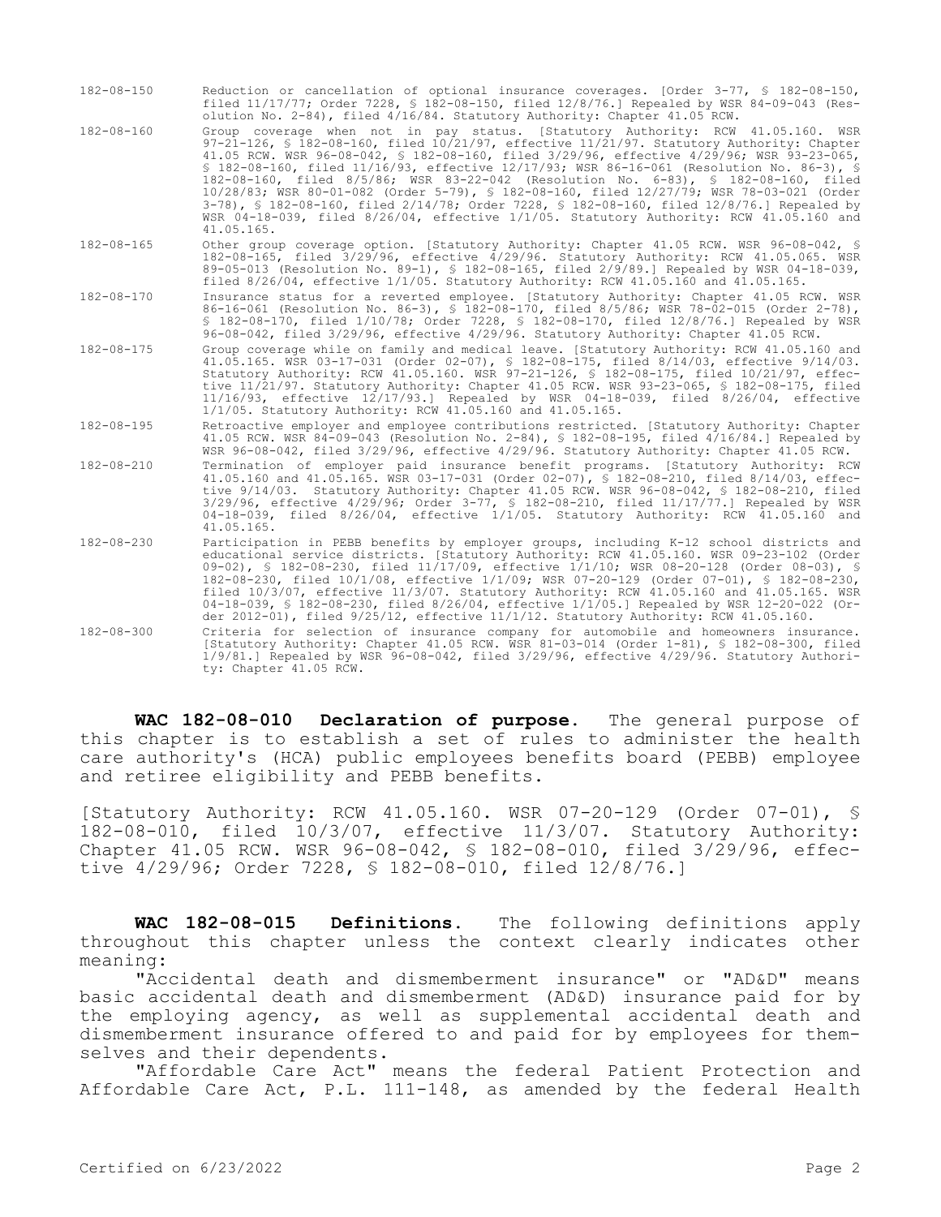| $182 - 08 - 150$ | Reduction or cancellation of optional insurance coverages. [Order 3-77, § 182-08-150,<br>filed 11/17/77; Order 7228, § 182-08-150, filed 12/8/76.] Repealed by WSR 84-09-043 (Res-<br>olution No. 2-84), filed 4/16/84. Statutory Authority: Chapter 41.05 RCW.                                                                                                                                                                                                                                                                                                                                                                                                                                                                                               |
|------------------|---------------------------------------------------------------------------------------------------------------------------------------------------------------------------------------------------------------------------------------------------------------------------------------------------------------------------------------------------------------------------------------------------------------------------------------------------------------------------------------------------------------------------------------------------------------------------------------------------------------------------------------------------------------------------------------------------------------------------------------------------------------|
| $182 - 08 - 160$ | Group coverage when not in pay status. [Statutory Authority: RCW 41.05.160. WSR<br>97-21-126, § 182-08-160, filed 10/21/97, effective 11/21/97. Statutory Authority: Chapter<br>41.05 RCW. WSR 96-08-042, § 182-08-160, filed 3/29/96, effective 4/29/96; WSR 93-23-065,<br>\$ 182-08-160, filed 11/16/93, effective 12/17/93; WSR 86-16-061 (Resolution No. 86-3), \$<br>182-08-160, filed 8/5/86; WSR 83-22-042 (Resolution No. 6-83), § 182-08-160, filed<br>10/28/83; WSR 80-01-082 (Order 5-79), § 182-08-160, filed 12/27/79; WSR 78-03-021 (Order<br>3-78), § 182-08-160, filed 2/14/78; Order 7228, § 182-08-160, filed 12/8/76.] Repealed by<br>WSR 04-18-039, filed 8/26/04, effective 1/1/05. Statutory Authority: RCW 41.05.160 and<br>41.05.165. |
| $182 - 08 - 165$ | Other group coverage option. [Statutory Authority: Chapter 41.05 RCW. WSR 96-08-042, §<br>182-08-165, filed 3/29/96, effective 4/29/96. Statutory Authority: RCW 41.05.065. WSR<br>89-05-013 (Resolution No. 89-1), \$ 182-08-165, filed 2/9/89.] Repealed by WSR 04-18-039,<br>filed $8/26/04$ , effective $1/1/05$ . Statutory Authority: RCW 41.05.160 and 41.05.165.                                                                                                                                                                                                                                                                                                                                                                                      |
| $182 - 08 - 170$ | Insurance status for a reverted employee. [Statutory Authority: Chapter 41.05 RCW. WSR<br>86-16-061 (Resolution No. 86-3), § 182-08-170, filed 8/5/86; WSR 78-02-015 (Order 2-78),<br>§ 182-08-170, filed 1/10/78; Order 7228, § 182-08-170, filed 12/8/76.] Repealed by WSR<br>96-08-042, filed 3/29/96, effective 4/29/96. Statutory Authority: Chapter 41.05 RCW.                                                                                                                                                                                                                                                                                                                                                                                          |
| $182 - 08 - 175$ | Group coverage while on family and medical leave. [Statutory Authority: RCW 41.05.160 and<br>41.05.165. WSR 03-17-031 (Order 02-07), § 182-08-175, filed 8/14/03, effective 9/14/03.<br>Statutory Authority: RCW 41.05.160. WSR 97-21-126, \$ 182-08-175, filed 10/21/97, effec-<br>tive 11/21/97. Statutory Authority: Chapter 41.05 RCW. WSR 93-23-065, § 182-08-175, filed<br>11/16/93, effective 12/17/93.] Repealed by WSR 04-18-039, filed 8/26/04, effective<br>1/1/05. Statutory Authority: RCW 41.05.160 and 41.05.165.                                                                                                                                                                                                                              |
| $182 - 08 - 195$ | Retroactive employer and employee contributions restricted. [Statutory Authority: Chapter<br>41.05 RCW. WSR 84-09-043 (Resolution No. 2-84), § 182-08-195, filed 4/16/84.] Repealed by<br>WSR 96-08-042, filed 3/29/96, effective 4/29/96. Statutory Authority: Chapter 41.05 RCW.                                                                                                                                                                                                                                                                                                                                                                                                                                                                            |
| $182 - 08 - 210$ | Termination of employer paid insurance benefit programs. [Statutory Authority: RCW<br>41.05.160 and 41.05.165. WSR 03-17-031 (Order 02-07), § 182-08-210, filed 8/14/03, effec-<br>tive 9/14/03. Statutory Authority: Chapter 41.05 RCW. WSR 96-08-042, § 182-08-210, filed<br>3/29/96, effective 4/29/96; Order 3-77, § 182-08-210, filed 11/17/77.] Repealed by WSR<br>04-18-039, filed 8/26/04, effective 1/1/05. Statutory Authority: RCW 41.05.160 and<br>41.05.165.                                                                                                                                                                                                                                                                                     |
| $182 - 08 - 230$ | Participation in PEBB benefits by employer groups, including K-12 school districts and<br>educational service districts. [Statutory Authority: RCW 41.05.160. WSR 09-23-102 (Order<br>09-02), § 182-08-230, filed 11/17/09, effective 1/1/10; WSR 08-20-128 (Order 08-03), §<br>182-08-230, filed 10/1/08, effective 1/1/09; WSR 07-20-129 (Order 07-01), § 182-08-230,<br>filed 10/3/07, effective 11/3/07. Statutory Authority: RCW 41.05.160 and 41.05.165. WSR<br>04-18-039, § 182-08-230, filed 8/26/04, effective 1/1/05.] Repealed by WSR 12-20-022 (Or-<br>der 2012-01), filed 9/25/12, effective 11/1/12. Statutory Authority: RCW 41.05.160.                                                                                                        |
| $182 - 08 - 300$ | Criteria for selection of insurance company for automobile and homeowners insurance.<br>[Statutory Authority: Chapter 41.05 RCW. WSR 81-03-014 (Order 1-81), § 182-08-300, filed<br>1/9/81.] Repealed by WSR 96-08-042, filed 3/29/96, effective 4/29/96. Statutory Authori-<br>ty: Chapter 41.05 RCW.                                                                                                                                                                                                                                                                                                                                                                                                                                                        |

**WAC 182-08-010 Declaration of purpose.** The general purpose of this chapter is to establish a set of rules to administer the health care authority's (HCA) public employees benefits board (PEBB) employee and retiree eligibility and PEBB benefits.

[Statutory Authority: RCW 41.05.160. WSR 07-20-129 (Order 07-01), § 182-08-010, filed 10/3/07, effective 11/3/07. Statutory Authority: Chapter 41.05 RCW. WSR 96-08-042, § 182-08-010, filed 3/29/96, effective 4/29/96; Order 7228, § 182-08-010, filed 12/8/76.]

**WAC 182-08-015 Definitions.** The following definitions apply throughout this chapter unless the context clearly indicates other meaning:

"Accidental death and dismemberment insurance" or "AD&D" means basic accidental death and dismemberment (AD&D) insurance paid for by the employing agency, as well as supplemental accidental death and dismemberment insurance offered to and paid for by employees for themselves and their dependents.

"Affordable Care Act" means the federal Patient Protection and Affordable Care Act, P.L. 111-148, as amended by the federal Health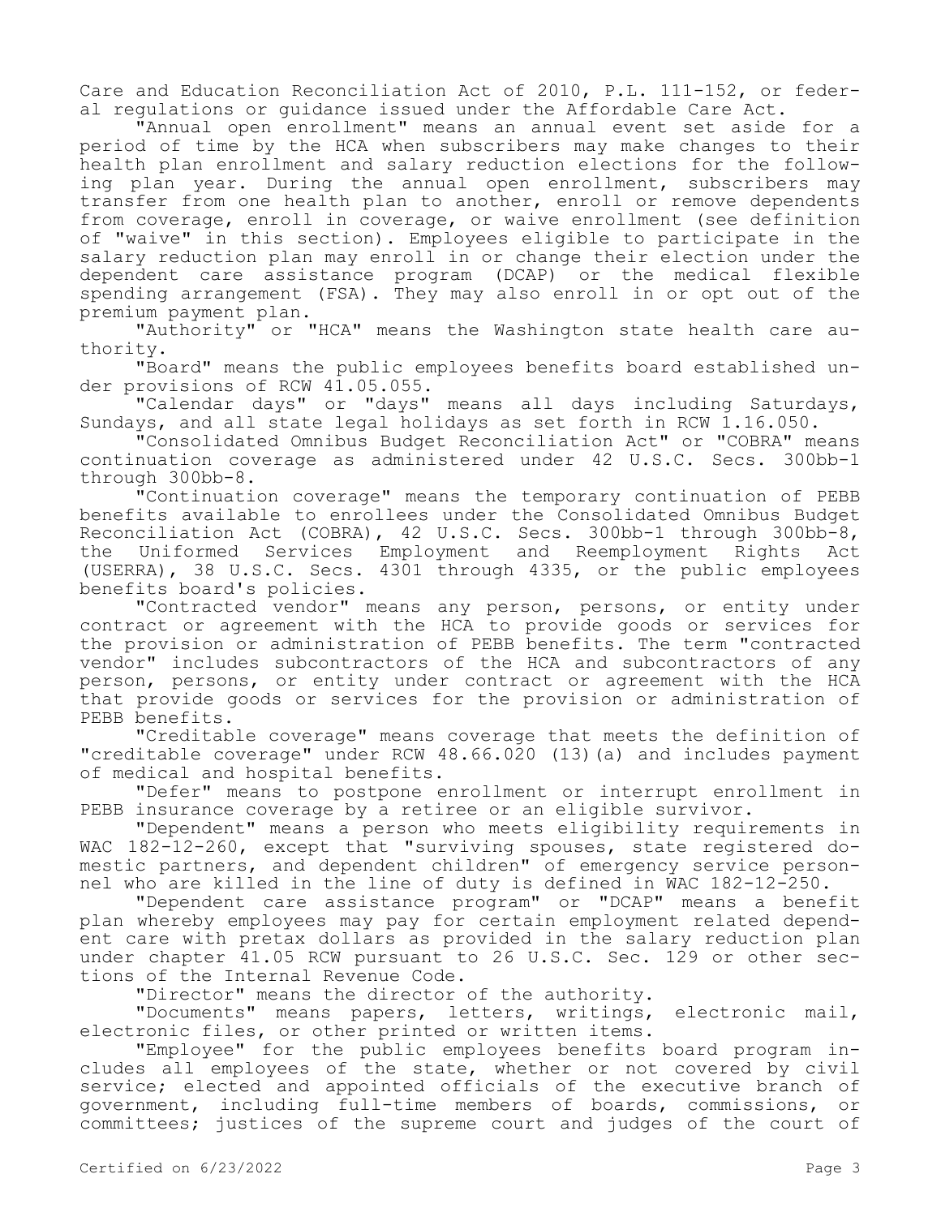Care and Education Reconciliation Act of 2010, P.L. 111-152, or federal regulations or guidance issued under the Affordable Care Act.

"Annual open enrollment" means an annual event set aside for a period of time by the HCA when subscribers may make changes to their health plan enrollment and salary reduction elections for the following plan year. During the annual open enrollment, subscribers may transfer from one health plan to another, enroll or remove dependents from coverage, enroll in coverage, or waive enrollment (see definition of "waive" in this section). Employees eligible to participate in the salary reduction plan may enroll in or change their election under the dependent care assistance program (DCAP) or the medical flexible spending arrangement (FSA). They may also enroll in or opt out of the premium payment plan.

"Authority" or "HCA" means the Washington state health care authority.

"Board" means the public employees benefits board established under provisions of RCW 41.05.055.

"Calendar days" or "days" means all days including Saturdays, Sundays, and all state legal holidays as set forth in RCW 1.16.050.

"Consolidated Omnibus Budget Reconciliation Act" or "COBRA" means continuation coverage as administered under 42 U.S.C. Secs. 300bb-1 through 300bb-8.

"Continuation coverage" means the temporary continuation of PEBB benefits available to enrollees under the Consolidated Omnibus Budget Reconciliation Act (COBRA), 42 U.S.C. Secs. 300bb-1 through 300bb-8, the Uniformed Services Employment and Reemployment Rights Act (USERRA), 38 U.S.C. Secs. 4301 through 4335, or the public employees benefits board's policies.

"Contracted vendor" means any person, persons, or entity under contract or agreement with the HCA to provide goods or services for the provision or administration of PEBB benefits. The term "contracted vendor" includes subcontractors of the HCA and subcontractors of any person, persons, or entity under contract or agreement with the HCA that provide goods or services for the provision or administration of PEBB benefits.

"Creditable coverage" means coverage that meets the definition of "creditable coverage" under RCW 48.66.020 (13)(a) and includes payment of medical and hospital benefits.

"Defer" means to postpone enrollment or interrupt enrollment in PEBB insurance coverage by a retiree or an eligible survivor.

"Dependent" means a person who meets eligibility requirements in WAC 182-12-260, except that "surviving spouses, state registered domestic partners, and dependent children" of emergency service personnel who are killed in the line of duty is defined in WAC 182-12-250.

"Dependent care assistance program" or "DCAP" means a benefit plan whereby employees may pay for certain employment related dependent care with pretax dollars as provided in the salary reduction plan under chapter 41.05 RCW pursuant to 26 U.S.C. Sec. 129 or other sections of the Internal Revenue Code.

"Director" means the director of the authority.

"Documents" means papers, letters, writings, electronic mail, electronic files, or other printed or written items.

"Employee" for the public employees benefits board program includes all employees of the state, whether or not covered by civil service; elected and appointed officials of the executive branch of government, including full-time members of boards, commissions, or committees; justices of the supreme court and judges of the court of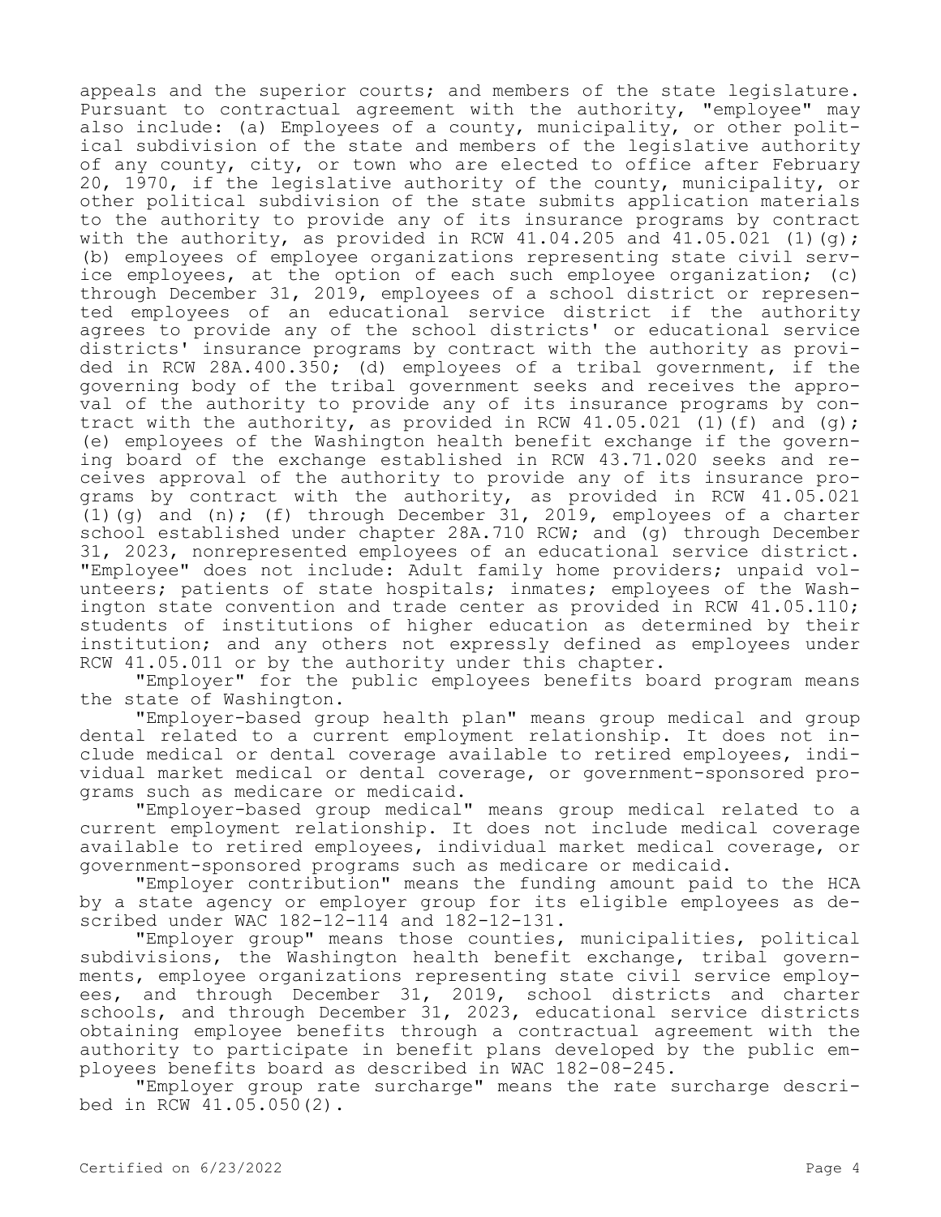appeals and the superior courts; and members of the state legislature. Pursuant to contractual agreement with the authority, "employee" may also include: (a) Employees of a county, municipality, or other political subdivision of the state and members of the legislative authority of any county, city, or town who are elected to office after February 20, 1970, if the legislative authority of the county, municipality, or other political subdivision of the state submits application materials to the authority to provide any of its insurance programs by contract with the authority, as provided in RCW 41.04.205 and  $41.05.021$  (1)(g); (b) employees of employee organizations representing state civil service employees, at the option of each such employee organization; (c) through December 31, 2019, employees of a school district or represented employees of an educational service district if the authority agrees to provide any of the school districts' or educational service districts' insurance programs by contract with the authority as provided in RCW 28A.400.350; (d) employees of a tribal government, if the governing body of the tribal government seeks and receives the approval of the authority to provide any of its insurance programs by contract with the authority, as provided in RCW  $41.05.021$  (1)(f) and (g); (e) employees of the Washington health benefit exchange if the governing board of the exchange established in RCW 43.71.020 seeks and receives approval of the authority to provide any of its insurance programs by contract with the authority, as provided in RCW 41.05.021 (1)(q) and (n); (f) through December 31, 2019, employees of a charter school established under chapter 28A.710 RCW; and (g) through December 31, 2023, nonrepresented employees of an educational service district. "Employee" does not include: Adult family home providers; unpaid volunteers; patients of state hospitals; inmates; employees of the Washington state convention and trade center as provided in RCW 41.05.110; students of institutions of higher education as determined by their institution; and any others not expressly defined as employees under RCW 41.05.011 or by the authority under this chapter.

"Employer" for the public employees benefits board program means the state of Washington.

"Employer-based group health plan" means group medical and group dental related to a current employment relationship. It does not include medical or dental coverage available to retired employees, individual market medical or dental coverage, or government-sponsored programs such as medicare or medicaid.

"Employer-based group medical" means group medical related to a current employment relationship. It does not include medical coverage available to retired employees, individual market medical coverage, or government-sponsored programs such as medicare or medicaid.

"Employer contribution" means the funding amount paid to the HCA by a state agency or employer group for its eligible employees as described under WAC 182-12-114 and 182-12-131.

"Employer group" means those counties, municipalities, political subdivisions, the Washington health benefit exchange, tribal governments, employee organizations representing state civil service employees, and through December 31, 2019, school districts and charter schools, and through December 31, 2023, educational service districts obtaining employee benefits through a contractual agreement with the authority to participate in benefit plans developed by the public employees benefits board as described in WAC 182-08-245.

"Employer group rate surcharge" means the rate surcharge described in RCW 41.05.050(2).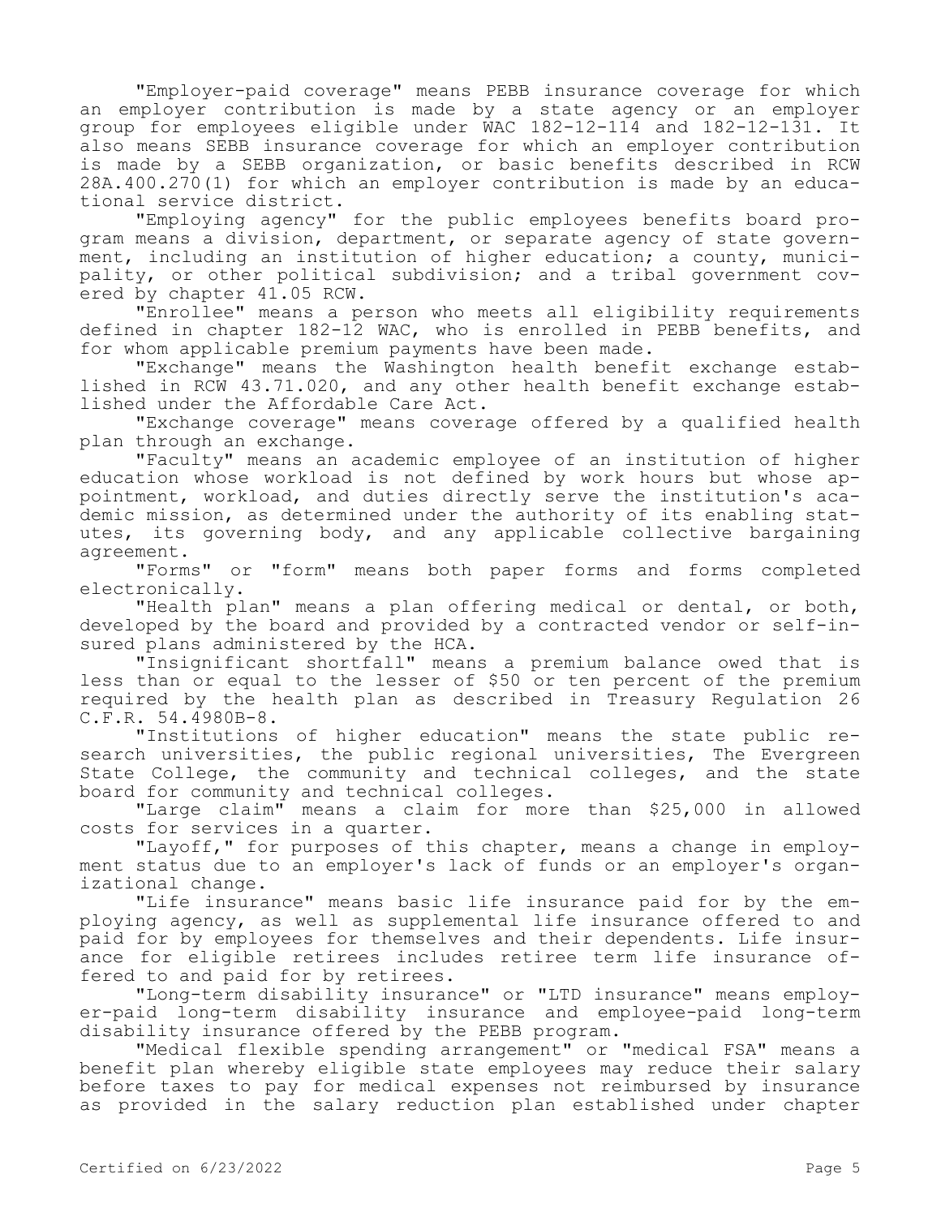"Employer-paid coverage" means PEBB insurance coverage for which an employer contribution is made by a state agency or an employer group for employees eligible under WAC 182-12-114 and 182-12-131. It also means SEBB insurance coverage for which an employer contribution is made by a SEBB organization, or basic benefits described in RCW 28A.400.270(1) for which an employer contribution is made by an educational service district.

"Employing agency" for the public employees benefits board program means a division, department, or separate agency of state government, including an institution of higher education; a county, municipality, or other political subdivision; and a tribal government covered by chapter 41.05 RCW.

"Enrollee" means a person who meets all eligibility requirements defined in chapter 182-12 WAC, who is enrolled in PEBB benefits, and for whom applicable premium payments have been made.

"Exchange" means the Washington health benefit exchange established in RCW 43.71.020, and any other health benefit exchange established under the Affordable Care Act.

"Exchange coverage" means coverage offered by a qualified health plan through an exchange.

"Faculty" means an academic employee of an institution of higher education whose workload is not defined by work hours but whose appointment, workload, and duties directly serve the institution's academic mission, as determined under the authority of its enabling statutes, its governing body, and any applicable collective bargaining agreement.

"Forms" or "form" means both paper forms and forms completed electronically.

"Health plan" means a plan offering medical or dental, or both, developed by the board and provided by a contracted vendor or self-insured plans administered by the HCA.

"Insignificant shortfall" means a premium balance owed that is less than or equal to the lesser of \$50 or ten percent of the premium required by the health plan as described in Treasury Regulation 26 C.F.R. 54.4980B-8.

"Institutions of higher education" means the state public research universities, the public regional universities, The Evergreen State College, the community and technical colleges, and the state board for community and technical colleges.

"Large claim" means a claim for more than \$25,000 in allowed costs for services in a quarter.

"Layoff," for purposes of this chapter, means a change in employment status due to an employer's lack of funds or an employer's organizational change.

"Life insurance" means basic life insurance paid for by the employing agency, as well as supplemental life insurance offered to and paid for by employees for themselves and their dependents. Life insurance for eligible retirees includes retiree term life insurance offered to and paid for by retirees.

"Long-term disability insurance" or "LTD insurance" means employer-paid long-term disability insurance and employee-paid long-term disability insurance offered by the PEBB program.

"Medical flexible spending arrangement" or "medical FSA" means a benefit plan whereby eligible state employees may reduce their salary before taxes to pay for medical expenses not reimbursed by insurance as provided in the salary reduction plan established under chapter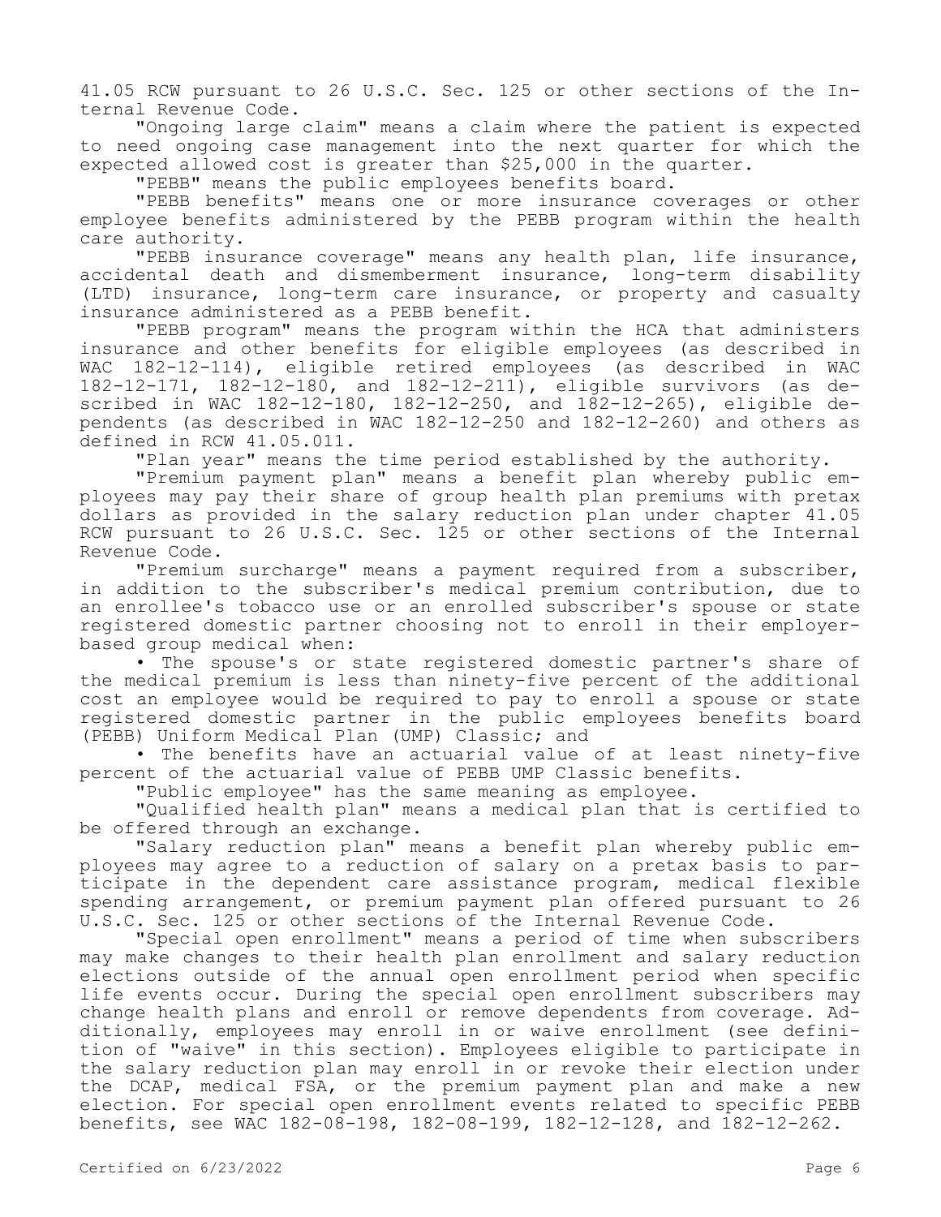41.05 RCW pursuant to 26 U.S.C. Sec. 125 or other sections of the Internal Revenue Code.

"Ongoing large claim" means a claim where the patient is expected to need ongoing case management into the next quarter for which the expected allowed cost is greater than \$25,000 in the quarter.

"PEBB" means the public employees benefits board.

"PEBB benefits" means one or more insurance coverages or other employee benefits administered by the PEBB program within the health care authority.

"PEBB insurance coverage" means any health plan, life insurance, accidental death and dismemberment insurance, long-term disability (LTD) insurance, long-term care insurance, or property and casualty insurance administered as a PEBB benefit.

"PEBB program" means the program within the HCA that administers insurance and other benefits for eligible employees (as described in WAC 182-12-114), eligible retired employees (as described in WAC 182-12-171, 182-12-180, and 182-12-211), eligible survivors (as described in WAC 182-12-180, 182-12-250, and 182-12-265), eligible dependents (as described in WAC 182-12-250 and 182-12-260) and others as defined in RCW 41.05.011.

"Plan year" means the time period established by the authority.

"Premium payment plan" means a benefit plan whereby public employees may pay their share of group health plan premiums with pretax dollars as provided in the salary reduction plan under chapter 41.05 RCW pursuant to 26 U.S.C. Sec. 125 or other sections of the Internal Revenue Code.

"Premium surcharge" means a payment required from a subscriber, in addition to the subscriber's medical premium contribution, due to an enrollee's tobacco use or an enrolled subscriber's spouse or state registered domestic partner choosing not to enroll in their employerbased group medical when:

• The spouse's or state registered domestic partner's share of the medical premium is less than ninety-five percent of the additional cost an employee would be required to pay to enroll a spouse or state registered domestic partner in the public employees benefits board (PEBB) Uniform Medical Plan (UMP) Classic; and

• The benefits have an actuarial value of at least ninety-five percent of the actuarial value of PEBB UMP Classic benefits.

"Public employee" has the same meaning as employee.

"Qualified health plan" means a medical plan that is certified to be offered through an exchange.

"Salary reduction plan" means a benefit plan whereby public employees may agree to a reduction of salary on a pretax basis to participate in the dependent care assistance program, medical flexible spending arrangement, or premium payment plan offered pursuant to 26 U.S.C. Sec. 125 or other sections of the Internal Revenue Code.

"Special open enrollment" means a period of time when subscribers may make changes to their health plan enrollment and salary reduction elections outside of the annual open enrollment period when specific life events occur. During the special open enrollment subscribers may change health plans and enroll or remove dependents from coverage. Additionally, employees may enroll in or waive enrollment (see definition of "waive" in this section). Employees eligible to participate in the salary reduction plan may enroll in or revoke their election under the DCAP, medical FSA, or the premium payment plan and make a new election. For special open enrollment events related to specific PEBB benefits, see WAC 182-08-198, 182-08-199, 182-12-128, and 182-12-262.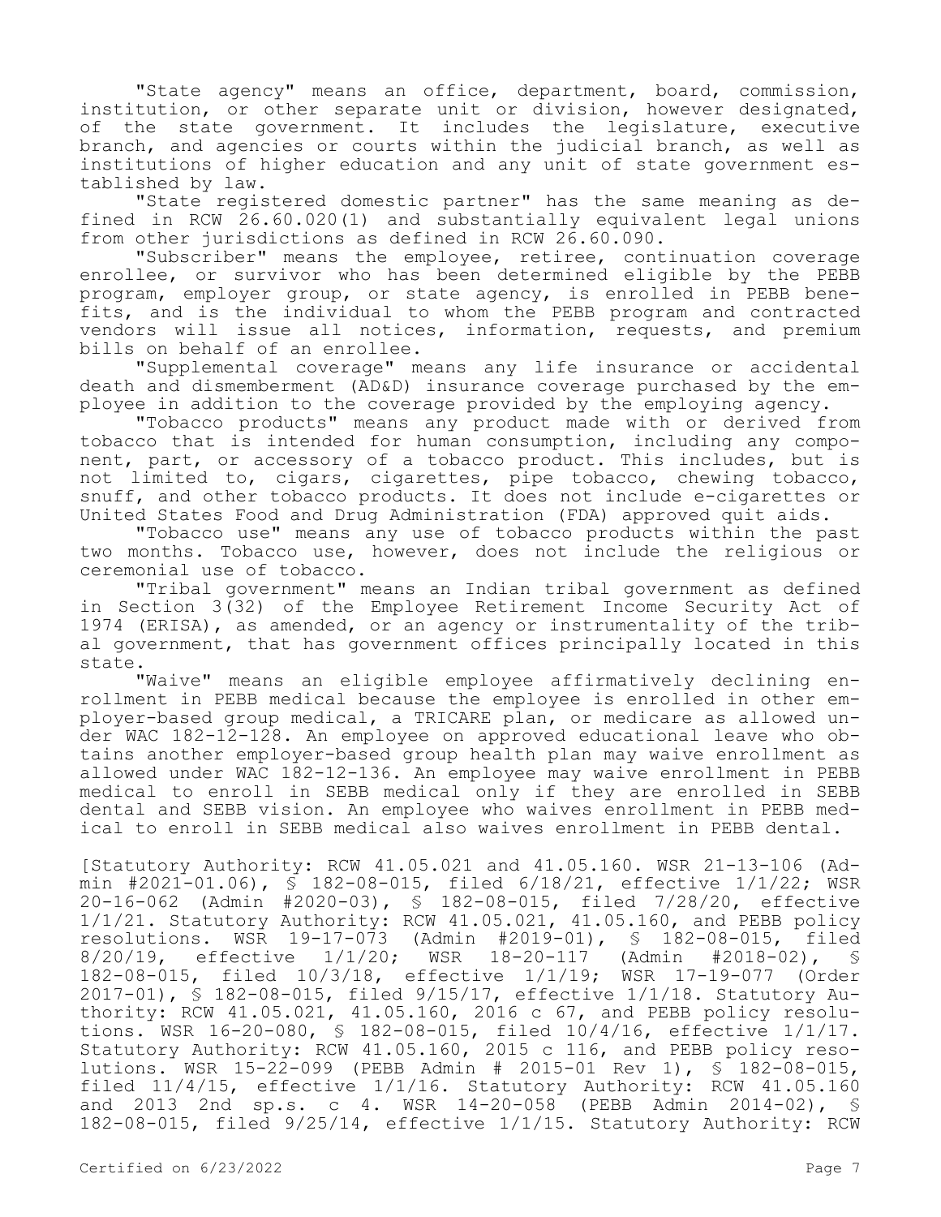"State agency" means an office, department, board, commission, institution, or other separate unit or division, however designated, of the state government. It includes the legislature, executive branch, and agencies or courts within the judicial branch, as well as institutions of higher education and any unit of state government established by law.

"State registered domestic partner" has the same meaning as defined in RCW 26.60.020(1) and substantially equivalent legal unions from other jurisdictions as defined in RCW 26.60.090.

"Subscriber" means the employee, retiree, continuation coverage enrollee, or survivor who has been determined eligible by the PEBB program, employer group, or state agency, is enrolled in PEBB benefits, and is the individual to whom the PEBB program and contracted vendors will issue all notices, information, requests, and premium bills on behalf of an enrollee.

"Supplemental coverage" means any life insurance or accidental death and dismemberment (AD&D) insurance coverage purchased by the employee in addition to the coverage provided by the employing agency.

"Tobacco products" means any product made with or derived from tobacco that is intended for human consumption, including any component, part, or accessory of a tobacco product. This includes, but is not limited to, cigars, cigarettes, pipe tobacco, chewing tobacco, snuff, and other tobacco products. It does not include e-cigarettes or United States Food and Drug Administration (FDA) approved quit aids.

"Tobacco use" means any use of tobacco products within the past two months. Tobacco use, however, does not include the religious or ceremonial use of tobacco.

"Tribal government" means an Indian tribal government as defined in Section 3(32) of the Employee Retirement Income Security Act of 1974 (ERISA), as amended, or an agency or instrumentality of the tribal government, that has government offices principally located in this state.

"Waive" means an eligible employee affirmatively declining enrollment in PEBB medical because the employee is enrolled in other employer-based group medical, a TRICARE plan, or medicare as allowed under WAC 182-12-128. An employee on approved educational leave who obtains another employer-based group health plan may waive enrollment as allowed under WAC 182-12-136. An employee may waive enrollment in PEBB medical to enroll in SEBB medical only if they are enrolled in SEBB dental and SEBB vision. An employee who waives enrollment in PEBB medical to enroll in SEBB medical also waives enrollment in PEBB dental.

[Statutory Authority: RCW 41.05.021 and 41.05.160. WSR 21-13-106 (Admin #2021-01.06), § 182-08-015, filed 6/18/21, effective 1/1/22; WSR 20-16-062 (Admin #2020-03), § 182-08-015, filed 7/28/20, effective  $1/1/21$ . Statutory Authority: RCW 41.05.021, 41.05.160, and PEBB policy resolutions. WSR 19-17-073 (Admin #2019-01), \$ 182-08-015, filed resolutions. Wadmin #2019-01), § 182-08-015, filed<br>WSR 18-20-117 (Admin #2018-02), § 8/20/19, effective 1/1/20; WSR 18-20-117 (Admin #2018-02), § 182-08-015, filed 10/3/18, effective 1/1/19; WSR 17-19-077 (Order 2017-01), § 182-08-015, filed 9/15/17, effective 1/1/18. Statutory Authority: RCW 41.05.021, 41.05.160, 2016 c 67, and PEBB policy resolutions. WSR 16-20-080, § 182-08-015, filed 10/4/16, effective 1/1/17. Statutory Authority: RCW 41.05.160, 2015 c 116, and PEBB policy resolutions. WSR 15-22-099 (PEBB Admin # 2015-01 Rev 1), § 182-08-015, filed 11/4/15, effective 1/1/16. Statutory Authority: RCW 41.05.160 and 2013 2nd sp.s. c 4. WSR 14-20-058 (PEBB Admin 2014-02), § 182-08-015, filed 9/25/14, effective 1/1/15. Statutory Authority: RCW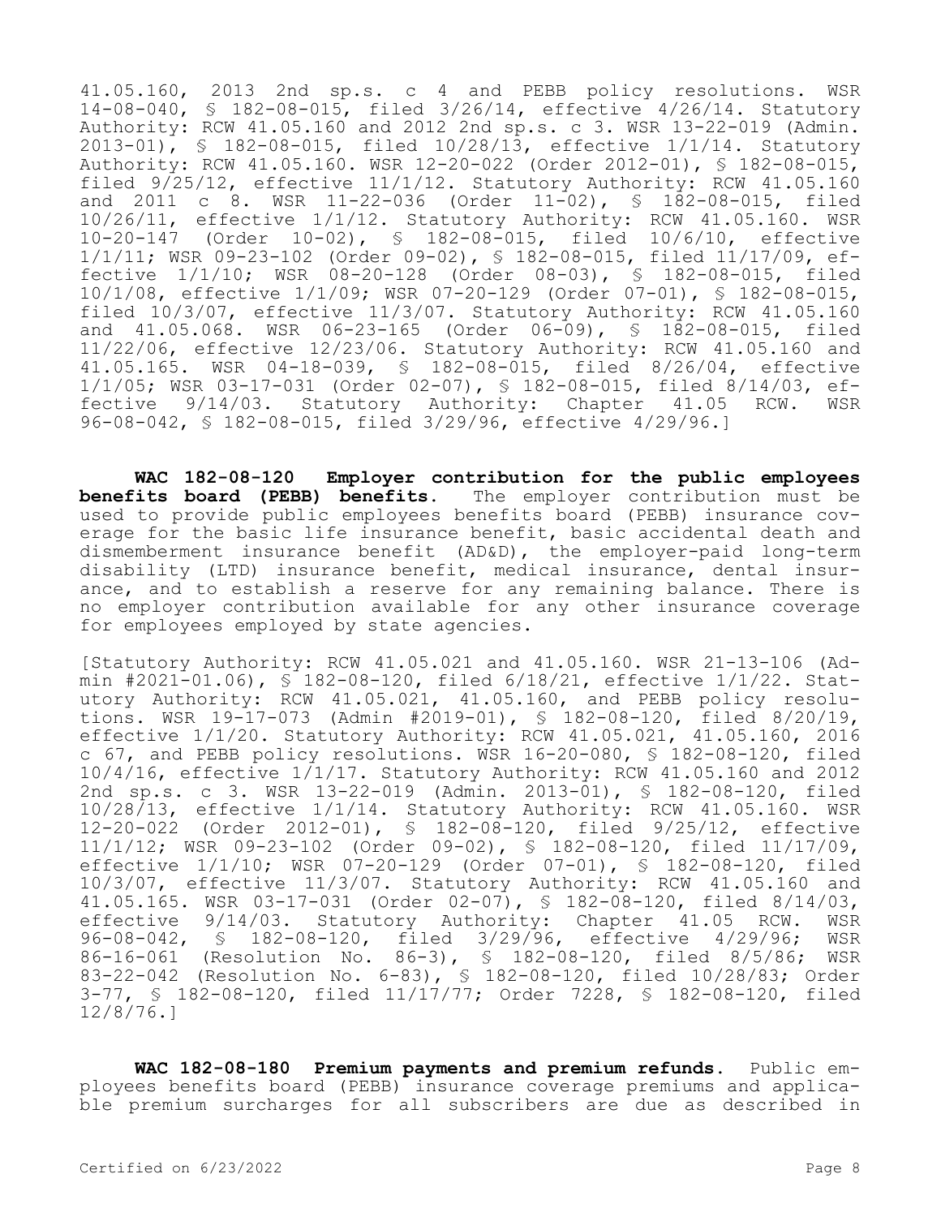41.05.160, 2013 2nd sp.s. c 4 and PEBB policy resolutions. WSR 14-08-040, § 182-08-015, filed 3/26/14, effective 4/26/14. Statutory Authority: RCW 41.05.160 and 2012 2nd sp.s. c 3. WSR 13-22-019 (Admin. 2013-01), § 182-08-015, filed 10/28/13, effective 1/1/14. Statutory Authority: RCW 41.05.160. WSR 12-20-022 (Order 2012-01), § 182-08-015, filed 9/25/12, effective 11/1/12. Statutory Authority: RCW 41.05.160 and 2011 c 8. WSR 11-22-036 (Order 11-02), § 182-08-015, filed 10/26/11, effective 1/1/12. Statutory Authority: RCW 41.05.160. WSR 10-20-147 (Order 10-02), § 182-08-015, filed 10/6/10, effective 1/1/11; WSR 09-23-102 (Order 09-02), § 182-08-015, filed 11/17/09, effective 1/1/10; WSR 08-20-128 (Order 08-03), § 182-08-015, filed 10/1/08, effective 1/1/09; WSR 07-20-129 (Order 07-01), § 182-08-015, filed 10/3/07, effective 11/3/07. Statutory Authority: RCW 41.05.160 and 41.05.068. WSR 06-23-165 (Order 06-09), § 182-08-015, filed 11/22/06, effective 12/23/06. Statutory Authority: RCW 41.05.160 and 41.05.165. WSR 04-18-039, § 182-08-015, filed 8/26/04, effective 1/1/05; WSR 03-17-031 (Order 02-07), § 182-08-015, filed 8/14/03, ef-<br>fective 9/14/03. Statutory Authority: Chapter 41.05 RCW. WSR 9/14/03. Statutory Authority: Chapter 41.05 RCW. WSR 96-08-042, § 182-08-015, filed 3/29/96, effective 4/29/96.]

**WAC 182-08-120 Employer contribution for the public employees benefits board (PEBB) benefits.** The employer contribution must be used to provide public employees benefits board (PEBB) insurance coverage for the basic life insurance benefit, basic accidental death and dismemberment insurance benefit (AD&D), the employer-paid long-term disability (LTD) insurance benefit, medical insurance, dental insurance, and to establish a reserve for any remaining balance. There is no employer contribution available for any other insurance coverage for employees employed by state agencies.

[Statutory Authority: RCW 41.05.021 and 41.05.160. WSR 21-13-106 (Admin #2021-01.06), § 182-08-120, filed 6/18/21, effective 1/1/22. Statutory Authority: RCW 41.05.021, 41.05.160, and PEBB policy resolutions. WSR 19-17-073 (Admin #2019-01), § 182-08-120, filed 8/20/19, effective 1/1/20. Statutory Authority: RCW 41.05.021, 41.05.160, 2016 c 67, and PEBB policy resolutions. WSR 16-20-080, § 182-08-120, filed 10/4/16, effective 1/1/17. Statutory Authority: RCW 41.05.160 and 2012 2nd sp.s. c 3. WSR 13-22-019 (Admin. 2013-01), § 182-08-120, filed 10/28/13, effective 1/1/14. Statutory Authority: RCW 41.05.160. WSR 12-20-022 (Order 2012-01), § 182-08-120, filed 9/25/12, effective 11/1/12; WSR 09-23-102 (Order 09-02), § 182-08-120, filed 11/17/09, effective 1/1/10; WSR 07-20-129 (Order 07-01), § 182-08-120, filed 10/3/07, effective 11/3/07. Statutory Authority: RCW 41.05.160 and 41.05.165. WSR 03-17-031 (Order 02-07), § 182-08-120, filed 8/14/03, effective 9/14/03. Statutory Authority: Chapter 41.05 RCW. WSR 96-08-042, § 182-08-120, filed 3/29/96, effective 4/29/96; WSR 86-16-061 (Resolution No. 86-3), § 182-08-120, filed 8/5/86; WSR 83-22-042 (Resolution No. 6-83), § 182-08-120, filed 10/28/83; Order 3-77, § 182-08-120, filed 11/17/77; Order 7228, § 182-08-120, filed 12/8/76.]

**WAC 182-08-180 Premium payments and premium refunds.** Public employees benefits board (PEBB) insurance coverage premiums and applicable premium surcharges for all subscribers are due as described in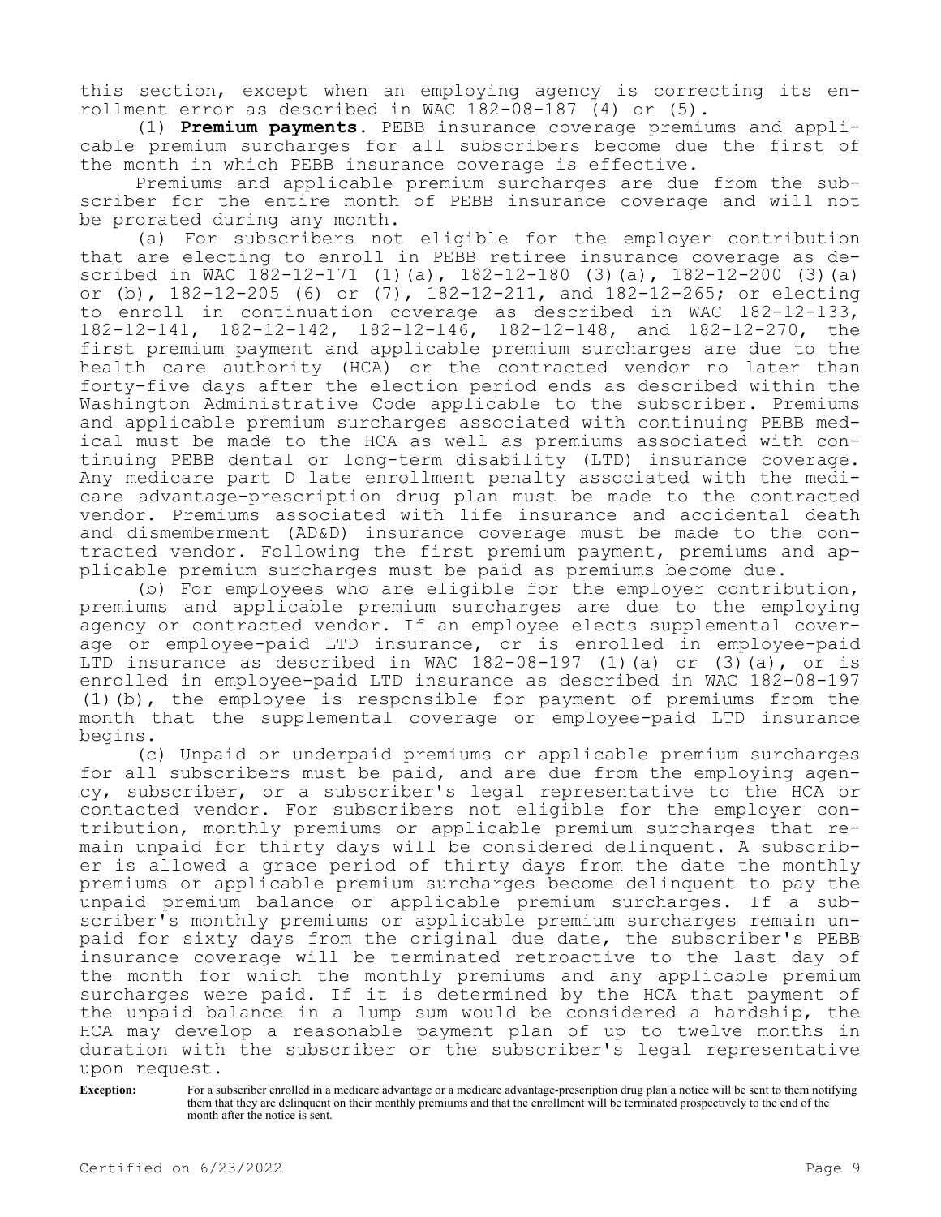this section, except when an employing agency is correcting its enrollment error as described in WAC 182-08-187 (4) or (5).

(1) **Premium payments.** PEBB insurance coverage premiums and applicable premium surcharges for all subscribers become due the first of the month in which PEBB insurance coverage is effective.

Premiums and applicable premium surcharges are due from the subscriber for the entire month of PEBB insurance coverage and will not be prorated during any month.

(a) For subscribers not eligible for the employer contribution that are electing to enroll in PEBB retiree insurance coverage as described in WAC 182-12-171 (1)(a), 182-12-180 (3)(a), 182-12-200 (3)(a) or (b), 182-12-205 (6) or (7), 182-12-211, and 182-12-265; or electing to enroll in continuation coverage as described in WAC 182-12-133, 182-12-141, 182-12-142, 182-12-146, 182-12-148, and 182-12-270, the first premium payment and applicable premium surcharges are due to the health care authority (HCA) or the contracted vendor no later than forty-five days after the election period ends as described within the Washington Administrative Code applicable to the subscriber. Premiums and applicable premium surcharges associated with continuing PEBB medical must be made to the HCA as well as premiums associated with continuing PEBB dental or long-term disability (LTD) insurance coverage. Any medicare part D late enrollment penalty associated with the medicare advantage-prescription drug plan must be made to the contracted vendor. Premiums associated with life insurance and accidental death and dismemberment (AD&D) insurance coverage must be made to the contracted vendor. Following the first premium payment, premiums and applicable premium surcharges must be paid as premiums become due.

(b) For employees who are eligible for the employer contribution, premiums and applicable premium surcharges are due to the employing agency or contracted vendor. If an employee elects supplemental coverage or employee-paid LTD insurance, or is enrolled in employee-paid LTD insurance as described in WAC  $182-08-197$  (1)(a) or (3)(a), or is enrolled in employee-paid LTD insurance as described in WAC 182-08-197 (1)(b), the employee is responsible for payment of premiums from the month that the supplemental coverage or employee-paid LTD insurance begins.

(c) Unpaid or underpaid premiums or applicable premium surcharges for all subscribers must be paid, and are due from the employing agency, subscriber, or a subscriber's legal representative to the HCA or contacted vendor. For subscribers not eligible for the employer contribution, monthly premiums or applicable premium surcharges that remain unpaid for thirty days will be considered delinquent. A subscriber is allowed a grace period of thirty days from the date the monthly premiums or applicable premium surcharges become delinquent to pay the unpaid premium balance or applicable premium surcharges. If a subscriber's monthly premiums or applicable premium surcharges remain unpaid for sixty days from the original due date, the subscriber's PEBB insurance coverage will be terminated retroactive to the last day of the month for which the monthly premiums and any applicable premium surcharges were paid. If it is determined by the HCA that payment of the unpaid balance in a lump sum would be considered a hardship, the HCA may develop a reasonable payment plan of up to twelve months in duration with the subscriber or the subscriber's legal representative upon request.

**Exception:** For a subscriber enrolled in a medicare advantage or a medicare advantage-prescription drug plan a notice will be sent to them notifying them that they are delinquent on their monthly premiums and that the enrollment will be terminated prospectively to the end of the month after the notice is sent.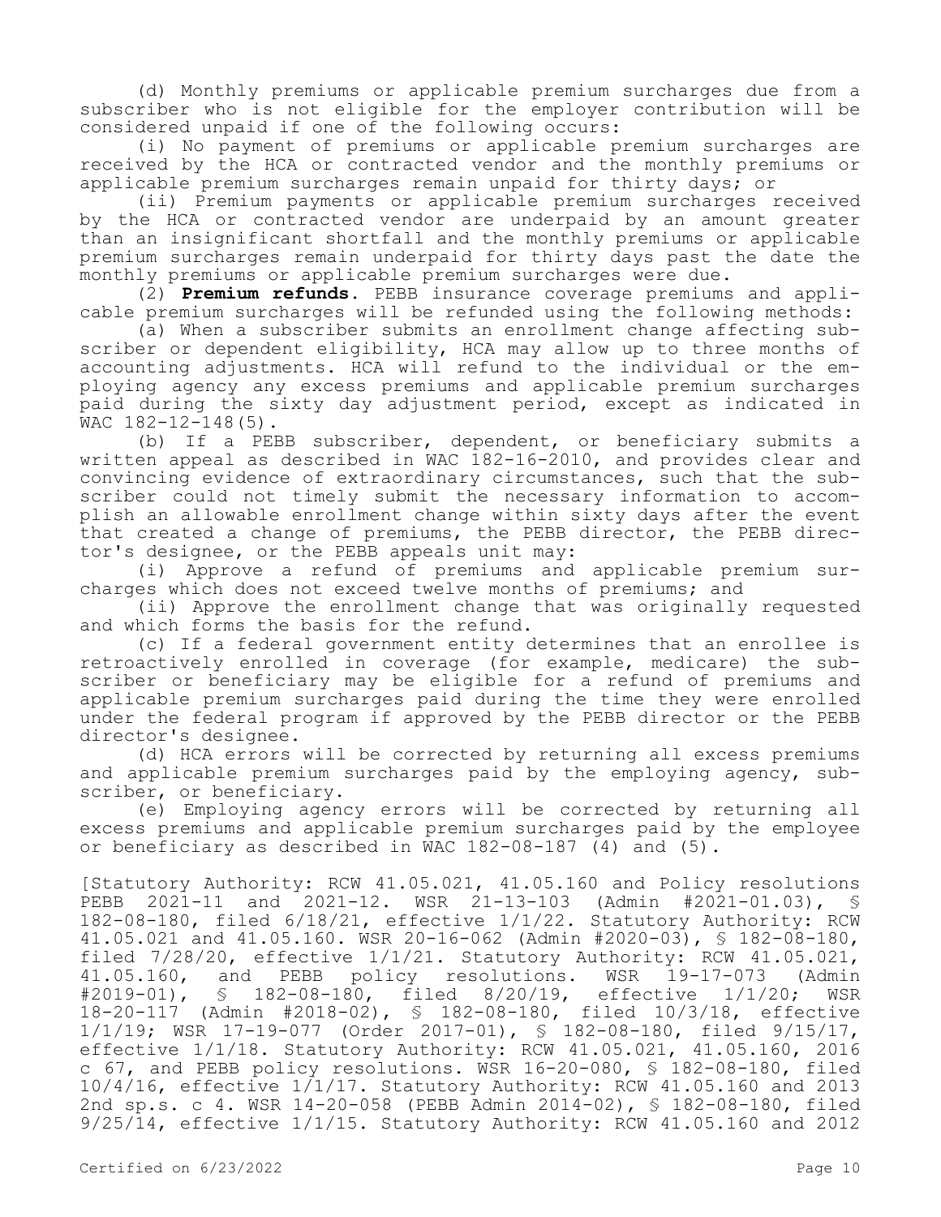(d) Monthly premiums or applicable premium surcharges due from a subscriber who is not eligible for the employer contribution will be considered unpaid if one of the following occurs:

(i) No payment of premiums or applicable premium surcharges are received by the HCA or contracted vendor and the monthly premiums or applicable premium surcharges remain unpaid for thirty days; or

(ii) Premium payments or applicable premium surcharges received by the HCA or contracted vendor are underpaid by an amount greater than an insignificant shortfall and the monthly premiums or applicable premium surcharges remain underpaid for thirty days past the date the monthly premiums or applicable premium surcharges were due.

(2) **Premium refunds.** PEBB insurance coverage premiums and applicable premium surcharges will be refunded using the following methods:

(a) When a subscriber submits an enrollment change affecting subscriber or dependent eligibility, HCA may allow up to three months of accounting adjustments. HCA will refund to the individual or the employing agency any excess premiums and applicable premium surcharges paid during the sixty day adjustment period, except as indicated in WAC 182-12-148(5).

(b) If a PEBB subscriber, dependent, or beneficiary submits a written appeal as described in WAC 182-16-2010, and provides clear and convincing evidence of extraordinary circumstances, such that the subscriber could not timely submit the necessary information to accomplish an allowable enrollment change within sixty days after the event that created a change of premiums, the PEBB director, the PEBB director's designee, or the PEBB appeals unit may:

(i) Approve a refund of premiums and applicable premium surcharges which does not exceed twelve months of premiums; and

(ii) Approve the enrollment change that was originally requested and which forms the basis for the refund.

(c) If a federal government entity determines that an enrollee is retroactively enrolled in coverage (for example, medicare) the subscriber or beneficiary may be eligible for a refund of premiums and applicable premium surcharges paid during the time they were enrolled under the federal program if approved by the PEBB director or the PEBB director's designee.

(d) HCA errors will be corrected by returning all excess premiums and applicable premium surcharges paid by the employing agency, subscriber, or beneficiary.

(e) Employing agency errors will be corrected by returning all excess premiums and applicable premium surcharges paid by the employee or beneficiary as described in WAC 182-08-187 (4) and (5).

[Statutory Authority: RCW 41.05.021, 41.05.160 and Policy resolutions PEBB 2021-11 and 2021-12. WSR 21-13-103 (Admin #2021-01.03), § 182-08-180, filed 6/18/21, effective 1/1/22. Statutory Authority: RCW 41.05.021 and 41.05.160. WSR 20-16-062 (Admin #2020-03), § 182-08-180, filed 7/28/20, effective 1/1/21. Statutory Authority: RCW 41.05.021, 41.05.160, and PEBB policy resolutions. WSR 19-17-073 (Admin #2019-01), § 182-08-180, filed 8/20/19, effective 1/1/20; WSR § 182-08-180, filed 8/20/19, effective 1/1/20; WSR 18-20-117 (Admin #2018-02), § 182-08-180, filed 10/3/18, effective 1/1/19; WSR 17-19-077 (Order 2017-01), § 182-08-180, filed 9/15/17, effective 1/1/18. Statutory Authority: RCW 41.05.021, 41.05.160, 2016 c 67, and PEBB policy resolutions. WSR 16-20-080, § 182-08-180, filed  $10/4/16$ , effective  $1/1/17$ . Statutory Authority: RCW 41.05.160 and 2013 2nd sp.s. c 4. WSR 14-20-058 (PEBB Admin 2014-02), § 182-08-180, filed 9/25/14, effective 1/1/15. Statutory Authority: RCW 41.05.160 and 2012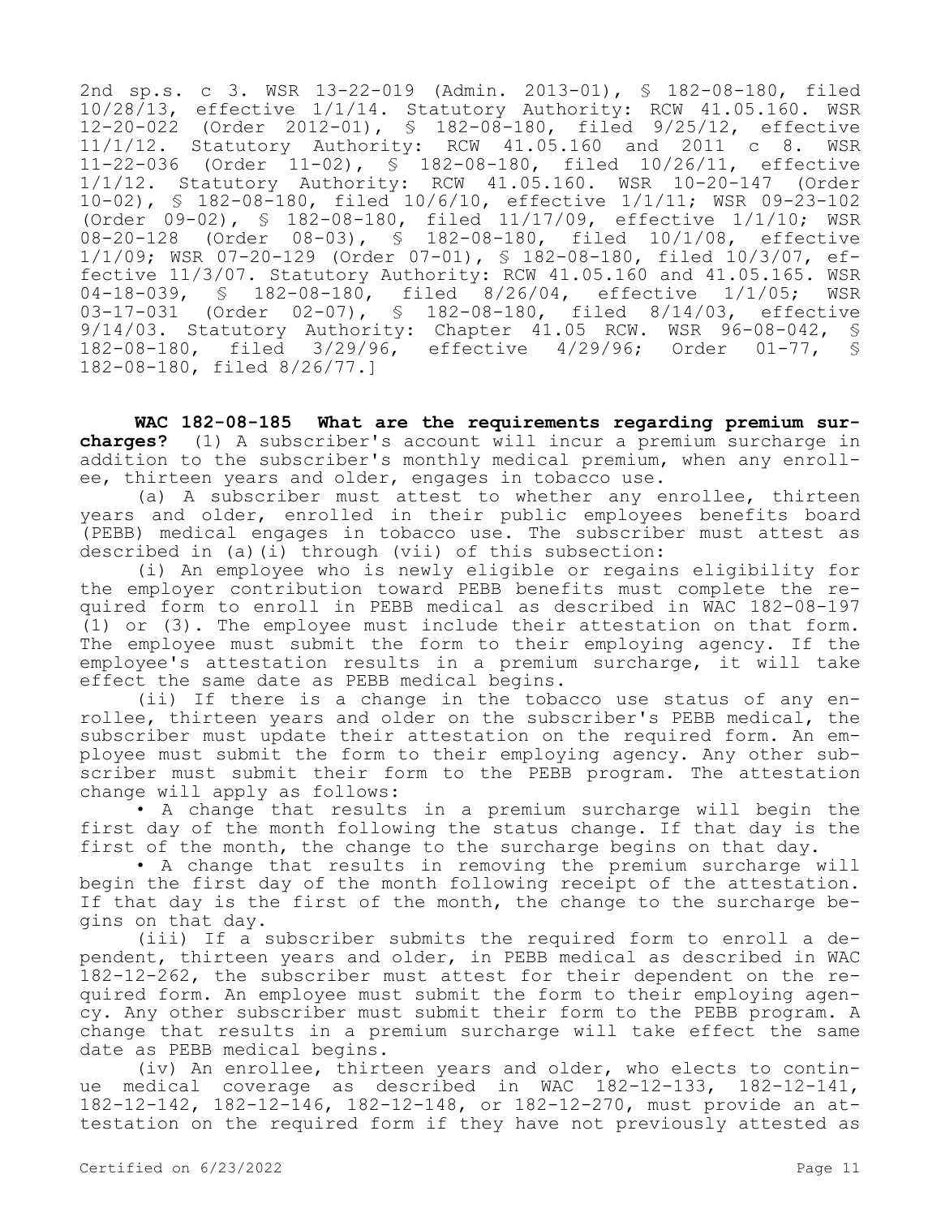2nd sp.s. c 3. WSR 13-22-019 (Admin. 2013-01), § 182-08-180, filed 10/28/13, effective 1/1/14. Statutory Authority: RCW 41.05.160. WSR 12-20-022 (Order 2012-01), § 182-08-180, filed 9/25/12, effective 11/1/12. Statutory Authority: RCW 41.05.160 and 2011 c 8. WSR 11-22-036 (Order 11-02), § 182-08-180, filed 10/26/11, effective 1/1/12. Statutory Authority: RCW 41.05.160. WSR 10-20-147 (Order 10-02), § 182-08-180, filed 10/6/10, effective 1/1/11; WSR 09-23-102 (Order 09-02), § 182-08-180, filed 11/17/09, effective 1/1/10; WSR 08-20-128 (Order 08-03), § 182-08-180, filed 10/1/08, effective 1/1/09; WSR 07-20-129 (Order 07-01), § 182-08-180, filed 10/3/07, effective 11/3/07. Statutory Authority: RCW 41.05.160 and 41.05.165. WSR 04-18-039, § 182-08-180, filed 8/26/04, effective 1/1/05; WSR 03-17-031 (Order 02-07), § 182-08-180, filed 8/14/03, effective 9/14/03. Statutory Authority: Chapter 41.05 RCW. WSR 96-08-042, § 182-08-180, filed 3/29/96, effective 4/29/96; Order 01-77, § 182-08-180, filed 8/26/77.]

**WAC 182-08-185 What are the requirements regarding premium surcharges?** (1) A subscriber's account will incur a premium surcharge in addition to the subscriber's monthly medical premium, when any enrollee, thirteen years and older, engages in tobacco use.

(a) A subscriber must attest to whether any enrollee, thirteen years and older, enrolled in their public employees benefits board (PEBB) medical engages in tobacco use. The subscriber must attest as described in (a)(i) through (vii) of this subsection:

(i) An employee who is newly eligible or regains eligibility for the employer contribution toward PEBB benefits must complete the required form to enroll in PEBB medical as described in WAC 182-08-197 (1) or (3). The employee must include their attestation on that form. The employee must submit the form to their employing agency. If the employee's attestation results in a premium surcharge, it will take effect the same date as PEBB medical begins.

(ii) If there is a change in the tobacco use status of any enrollee, thirteen years and older on the subscriber's PEBB medical, the subscriber must update their attestation on the required form. An employee must submit the form to their employing agency. Any other subscriber must submit their form to the PEBB program. The attestation change will apply as follows:

• A change that results in a premium surcharge will begin the first day of the month following the status change. If that day is the first of the month, the change to the surcharge begins on that day.

• A change that results in removing the premium surcharge will begin the first day of the month following receipt of the attestation. If that day is the first of the month, the change to the surcharge begins on that day.

(iii) If a subscriber submits the required form to enroll a dependent, thirteen years and older, in PEBB medical as described in WAC 182-12-262, the subscriber must attest for their dependent on the required form. An employee must submit the form to their employing agency. Any other subscriber must submit their form to the PEBB program. A change that results in a premium surcharge will take effect the same date as PEBB medical begins.

(iv) An enrollee, thirteen years and older, who elects to continue medical coverage as described in WAC 182-12-133, 182-12-141, 182-12-142, 182-12-146, 182-12-148, or 182-12-270, must provide an attestation on the required form if they have not previously attested as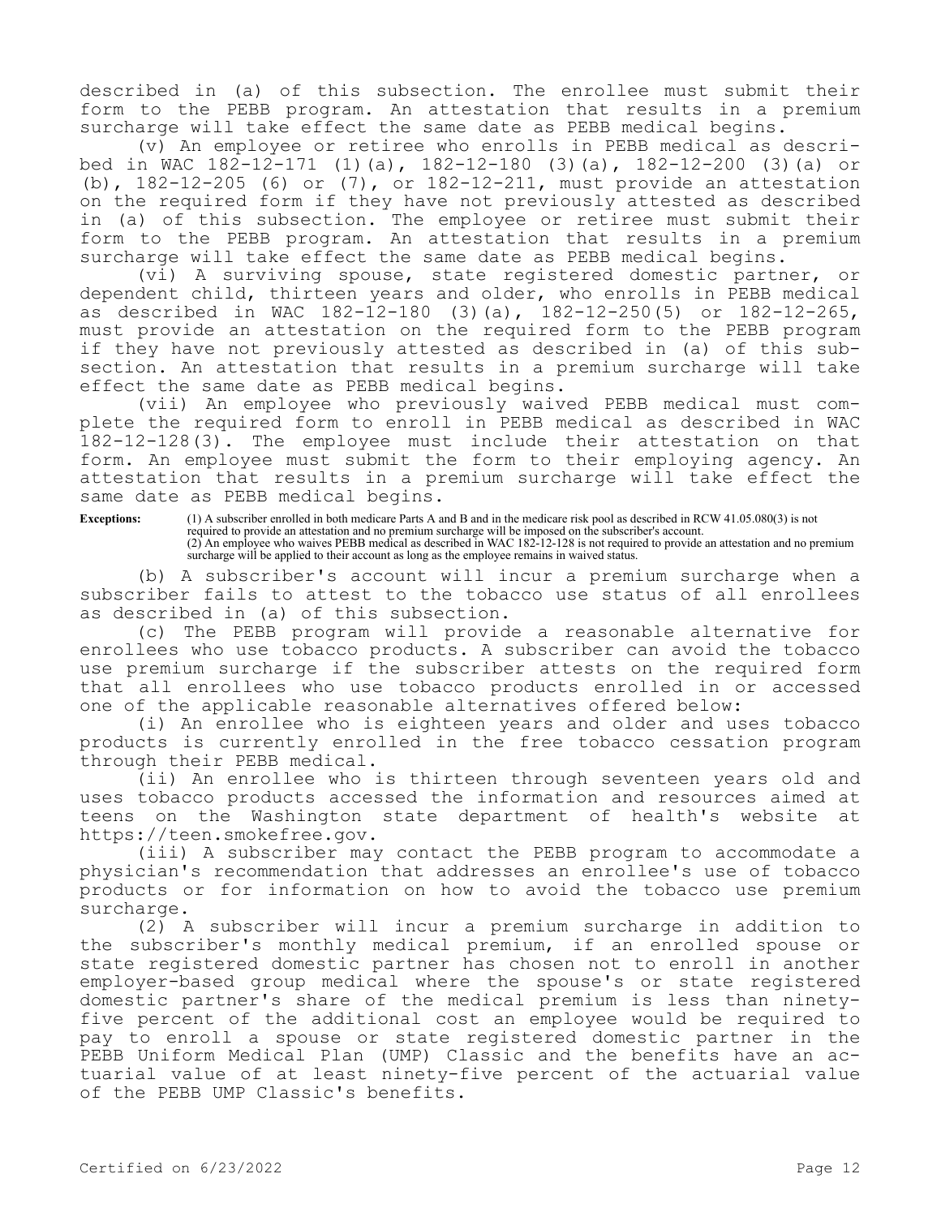described in (a) of this subsection. The enrollee must submit their form to the PEBB program. An attestation that results in a premium surcharge will take effect the same date as PEBB medical begins.

(v) An employee or retiree who enrolls in PEBB medical as described in WAC 182-12-171 (1)(a), 182-12-180 (3)(a), 182-12-200 (3)(a) or (b), 182-12-205 (6) or (7), or 182-12-211, must provide an attestation on the required form if they have not previously attested as described in (a) of this subsection. The employee or retiree must submit their form to the PEBB program. An attestation that results in a premium surcharge will take effect the same date as PEBB medical begins.

(vi) A surviving spouse, state registered domestic partner, or dependent child, thirteen years and older, who enrolls in PEBB medical as described in WAC 182-12-180 (3)(a), 182-12-250(5) or 182-12-265, must provide an attestation on the required form to the PEBB program if they have not previously attested as described in (a) of this subsection. An attestation that results in a premium surcharge will take effect the same date as PEBB medical begins.

(vii) An employee who previously waived PEBB medical must complete the required form to enroll in PEBB medical as described in WAC 182-12-128(3). The employee must include their attestation on that form. An employee must submit the form to their employing agency. An attestation that results in a premium surcharge will take effect the same date as PEBB medical begins.

**Exceptions:** (1) A subscriber enrolled in both medicare Parts A and B and in the medicare risk pool as described in RCW 41.05.080(3) is not required to provide an attestation and no premium surcharge will be imposed on the subscriber's account. (2) An employee who waives PEBB medical as described in WAC 182-12-128 is not required to provide an attestation and no premium surcharge will be applied to their account as long as the employee remains in waived status.

(b) A subscriber's account will incur a premium surcharge when a subscriber fails to attest to the tobacco use status of all enrollees as described in (a) of this subsection.

(c) The PEBB program will provide a reasonable alternative for enrollees who use tobacco products. A subscriber can avoid the tobacco use premium surcharge if the subscriber attests on the required form that all enrollees who use tobacco products enrolled in or accessed one of the applicable reasonable alternatives offered below:

(i) An enrollee who is eighteen years and older and uses tobacco products is currently enrolled in the free tobacco cessation program through their PEBB medical.

(ii) An enrollee who is thirteen through seventeen years old and uses tobacco products accessed the information and resources aimed at teens on the Washington state department of health's website at https://teen.smokefree.gov.

(iii) A subscriber may contact the PEBB program to accommodate a physician's recommendation that addresses an enrollee's use of tobacco products or for information on how to avoid the tobacco use premium surcharge.

(2) A subscriber will incur a premium surcharge in addition to the subscriber's monthly medical premium, if an enrolled spouse or state registered domestic partner has chosen not to enroll in another employer-based group medical where the spouse's or state registered domestic partner's share of the medical premium is less than ninetyfive percent of the additional cost an employee would be required to pay to enroll a spouse or state registered domestic partner in the PEBB Uniform Medical Plan (UMP) Classic and the benefits have an actuarial value of at least ninety-five percent of the actuarial value of the PEBB UMP Classic's benefits.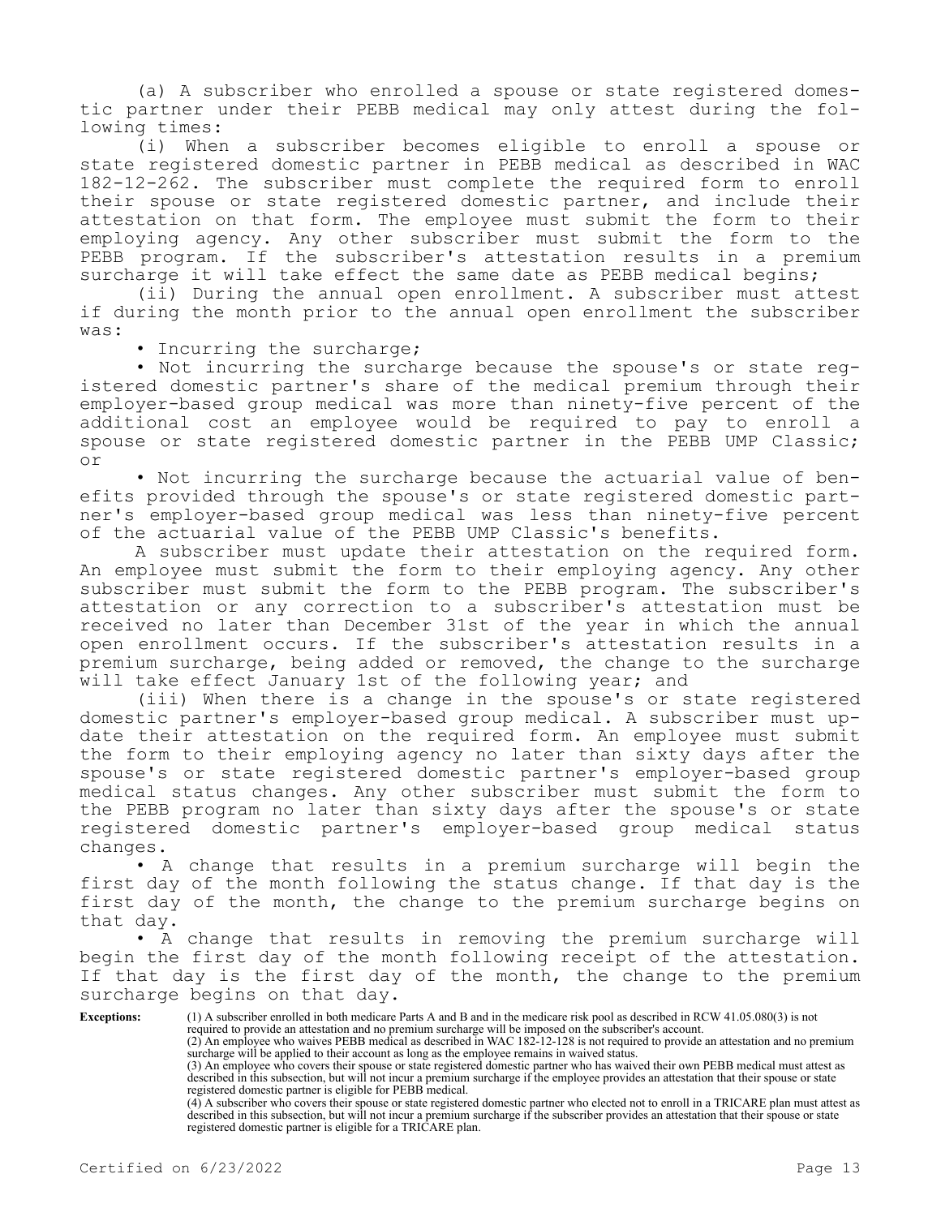(a) A subscriber who enrolled a spouse or state registered domestic partner under their PEBB medical may only attest during the following times:

(i) When a subscriber becomes eligible to enroll a spouse or state registered domestic partner in PEBB medical as described in WAC 182-12-262. The subscriber must complete the required form to enroll their spouse or state registered domestic partner, and include their attestation on that form. The employee must submit the form to their employing agency. Any other subscriber must submit the form to the PEBB program. If the subscriber's attestation results in a premium surcharge it will take effect the same date as PEBB medical begins;

(ii) During the annual open enrollment. A subscriber must attest if during the month prior to the annual open enrollment the subscriber was:

• Incurring the surcharge;

• Not incurring the surcharge because the spouse's or state registered domestic partner's share of the medical premium through their employer-based group medical was more than ninety-five percent of the additional cost an employee would be required to pay to enroll a spouse or state registered domestic partner in the PEBB UMP Classic; or

• Not incurring the surcharge because the actuarial value of benefits provided through the spouse's or state registered domestic partner's employer-based group medical was less than ninety-five percent of the actuarial value of the PEBB UMP Classic's benefits.

A subscriber must update their attestation on the required form. An employee must submit the form to their employing agency. Any other subscriber must submit the form to the PEBB program. The subscriber's attestation or any correction to a subscriber's attestation must be received no later than December 31st of the year in which the annual open enrollment occurs. If the subscriber's attestation results in a premium surcharge, being added or removed, the change to the surcharge will take effect January 1st of the following year; and

(iii) When there is a change in the spouse's or state registered domestic partner's employer-based group medical. A subscriber must update their attestation on the required form. An employee must submit the form to their employing agency no later than sixty days after the spouse's or state registered domestic partner's employer-based group medical status changes. Any other subscriber must submit the form to the PEBB program no later than sixty days after the spouse's or state registered domestic partner's employer-based group medical status changes.

• A change that results in a premium surcharge will begin the first day of the month following the status change. If that day is the first day of the month, the change to the premium surcharge begins on that day.

A change that results in removing the premium surcharge will begin the first day of the month following receipt of the attestation. If that day is the first day of the month, the change to the premium surcharge begins on that day.

**Exceptions:** (1) A subscriber enrolled in both medicare Parts A and B and in the medicare risk pool as described in RCW 41.05.080(3) is not

required to provide an attestation and no premium surcharge will be imposed on the subscriber's account. (2) An employee who waives PEBB medical as described in WAC 182-12-128 is not required to provide an attestation and no premium surcharge will be applied to their account as long as the employee remains in waived status.

(3) An employee who covers their spouse or state registered domestic partner who has waived their own PEBB medical must attest as described in this subsection, but will not incur a premium surcharge if the employee provides an attestation that their spouse or state registered domestic partner is eligible for PEBB medical.

(4) A subscriber who covers their spouse or state registered domestic partner who elected not to enroll in a TRICARE plan must attest as described in this subsection, but will not incur a premium surcharge if the subscriber provides an attestation that their spouse or state registered domestic partner is eligible for a TRICARE plan.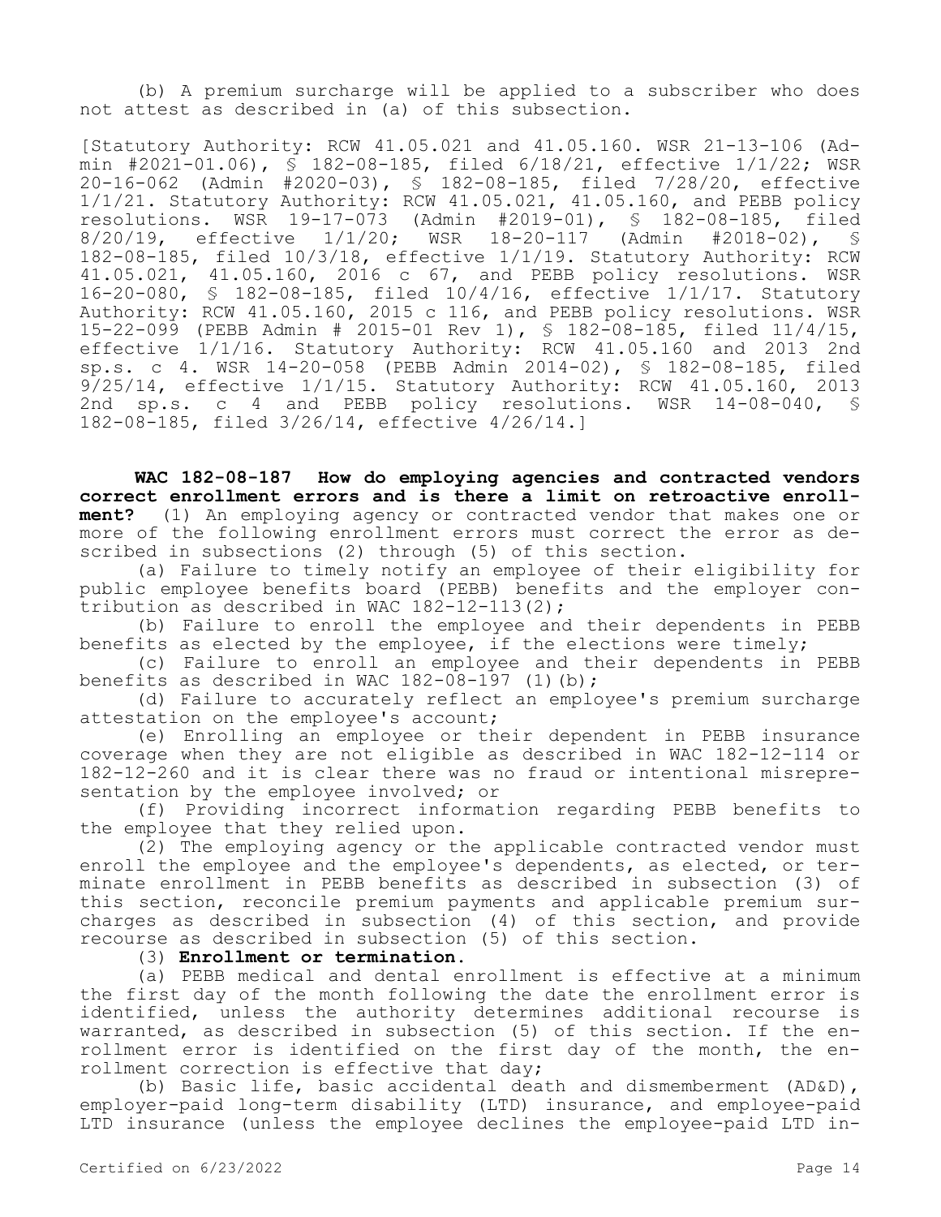(b) A premium surcharge will be applied to a subscriber who does not attest as described in (a) of this subsection.

[Statutory Authority: RCW 41.05.021 and 41.05.160. WSR 21-13-106 (Admin #2021-01.06), § 182-08-185, filed 6/18/21, effective 1/1/22; WSR 20-16-062 (Admin #2020-03), § 182-08-185, filed 7/28/20, effective 1/1/21. Statutory Authority: RCW 41.05.021, 41.05.160, and PEBB policy resolutions. WSR 19-17-073 (Admin #2019-01), § 182-08-185, filed<br>8/20/19, effective 1/1/20; WSR 18-20-117 (Admin #2018-02), § WSR 18-20-117 (Admin #2018-02), § 182-08-185, filed 10/3/18, effective 1/1/19. Statutory Authority: RCW 41.05.021, 41.05.160, 2016 c 67, and PEBB policy resolutions. WSR 16-20-080, § 182-08-185, filed 10/4/16, effective 1/1/17. Statutory Authority: RCW 41.05.160, 2015 c 116, and PEBB policy resolutions. WSR 15-22-099 (PEBB Admin # 2015-01 Rev 1), § 182-08-185, filed 11/4/15, effective 1/1/16. Statutory Authority: RCW 41.05.160 and 2013 2nd sp.s. c 4. WSR 14-20-058 (PEBB Admin 2014-02), § 182-08-185, filed 9/25/14, effective 1/1/15. Statutory Authority: RCW 41.05.160, 2013 2nd sp.s. c 4 and PEBB policy resolutions. WSR 14-08-040, § 182-08-185, filed 3/26/14, effective 4/26/14.]

**WAC 182-08-187 How do employing agencies and contracted vendors correct enrollment errors and is there a limit on retroactive enrollment?** (1) An employing agency or contracted vendor that makes one or more of the following enrollment errors must correct the error as described in subsections (2) through (5) of this section.

(a) Failure to timely notify an employee of their eligibility for public employee benefits board (PEBB) benefits and the employer contribution as described in WAC 182-12-113(2);

(b) Failure to enroll the employee and their dependents in PEBB benefits as elected by the employee, if the elections were timely;

(c) Failure to enroll an employee and their dependents in PEBB benefits as described in WAC  $182-08-197$  (1)(b);

(d) Failure to accurately reflect an employee's premium surcharge attestation on the employee's account;

(e) Enrolling an employee or their dependent in PEBB insurance coverage when they are not eligible as described in WAC 182-12-114 or 182-12-260 and it is clear there was no fraud or intentional misrepresentation by the employee involved; or

(f) Providing incorrect information regarding PEBB benefits to the employee that they relied upon.

(2) The employing agency or the applicable contracted vendor must enroll the employee and the employee's dependents, as elected, or terminate enrollment in PEBB benefits as described in subsection (3) of this section, reconcile premium payments and applicable premium surcharges as described in subsection (4) of this section, and provide recourse as described in subsection (5) of this section.

(3) **Enrollment or termination.**

(a) PEBB medical and dental enrollment is effective at a minimum the first day of the month following the date the enrollment error is identified, unless the authority determines additional recourse is warranted, as described in subsection (5) of this section. If the enrollment error is identified on the first day of the month, the enrollment correction is effective that day;

(b) Basic life, basic accidental death and dismemberment (AD&D), employer-paid long-term disability (LTD) insurance, and employee-paid LTD insurance (unless the employee declines the employee-paid LTD in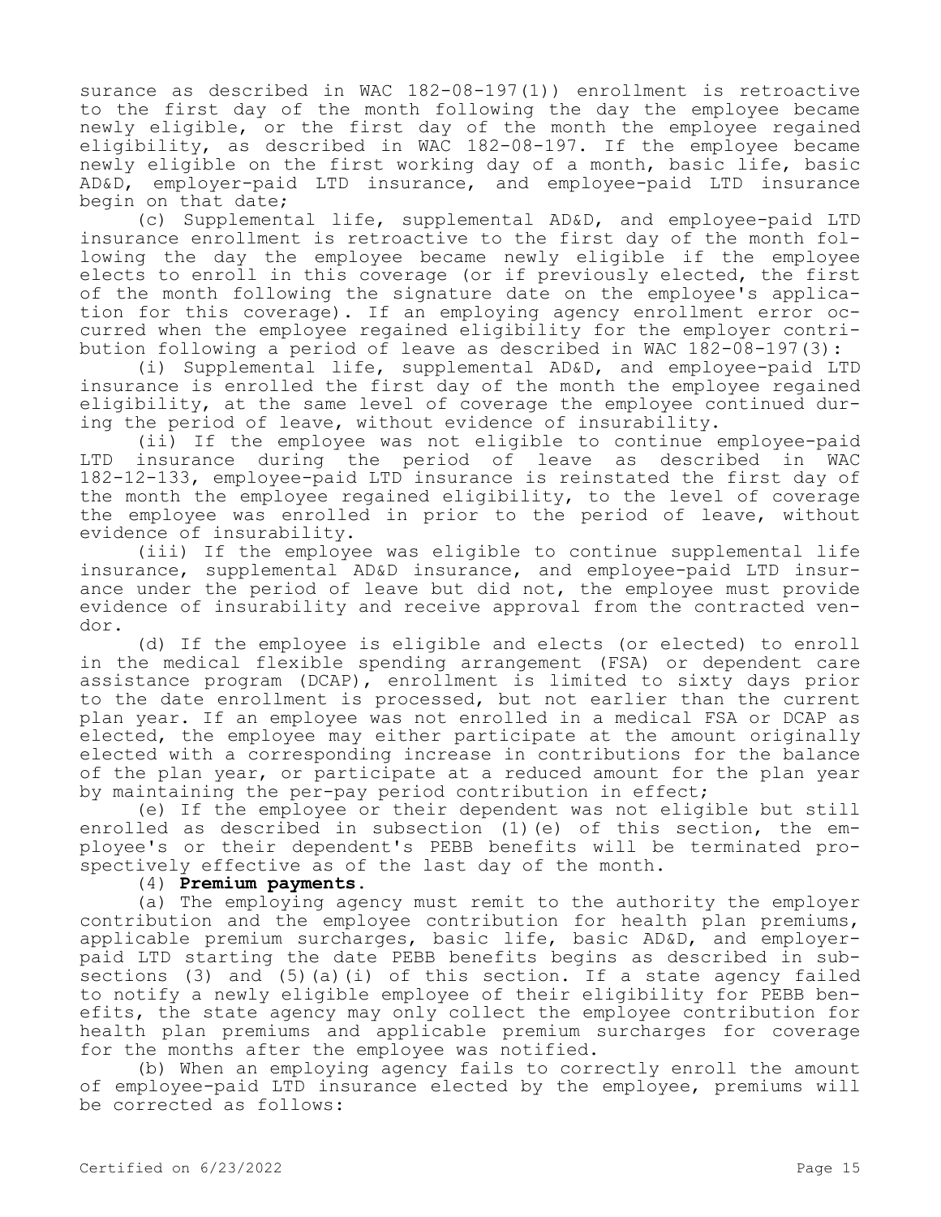surance as described in WAC 182-08-197(1)) enrollment is retroactive to the first day of the month following the day the employee became newly eligible, or the first day of the month the employee regained eligibility, as described in WAC 182-08-197. If the employee became newly eligible on the first working day of a month, basic life, basic AD&D, employer-paid LTD insurance, and employee-paid LTD insurance begin on that date;

(c) Supplemental life, supplemental AD&D, and employee-paid LTD insurance enrollment is retroactive to the first day of the month following the day the employee became newly eligible if the employee elects to enroll in this coverage (or if previously elected, the first of the month following the signature date on the employee's application for this coverage). If an employing agency enrollment error occurred when the employee regained eligibility for the employer contribution following a period of leave as described in WAC 182-08-197(3):

(i) Supplemental life, supplemental AD&D, and employee-paid LTD insurance is enrolled the first day of the month the employee regained eligibility, at the same level of coverage the employee continued during the period of leave, without evidence of insurability.

(ii) If the employee was not eligible to continue employee-paid LTD insurance during the period of leave as described in WAC 182-12-133, employee-paid LTD insurance is reinstated the first day of the month the employee regained eligibility, to the level of coverage the employee was enrolled in prior to the period of leave, without evidence of insurability.

(iii) If the employee was eligible to continue supplemental life insurance, supplemental AD&D insurance, and employee-paid LTD insurance under the period of leave but did not, the employee must provide evidence of insurability and receive approval from the contracted vendor.

(d) If the employee is eligible and elects (or elected) to enroll in the medical flexible spending arrangement (FSA) or dependent care assistance program (DCAP), enrollment is limited to sixty days prior to the date enrollment is processed, but not earlier than the current plan year. If an employee was not enrolled in a medical FSA or DCAP as elected, the employee may either participate at the amount originally elected with a corresponding increase in contributions for the balance of the plan year, or participate at a reduced amount for the plan year by maintaining the per-pay period contribution in effect;

(e) If the employee or their dependent was not eligible but still enrolled as described in subsection (1)(e) of this section, the employee's or their dependent's PEBB benefits will be terminated prospectively effective as of the last day of the month.

## (4) **Premium payments.**

(a) The employing agency must remit to the authority the employer contribution and the employee contribution for health plan premiums, applicable premium surcharges, basic life, basic AD&D, and employerpaid LTD starting the date PEBB benefits begins as described in subsections (3) and (5)(a)(i) of this section. If a state agency failed to notify a newly eligible employee of their eligibility for PEBB benefits, the state agency may only collect the employee contribution for health plan premiums and applicable premium surcharges for coverage for the months after the employee was notified.

(b) When an employing agency fails to correctly enroll the amount of employee-paid LTD insurance elected by the employee, premiums will be corrected as follows: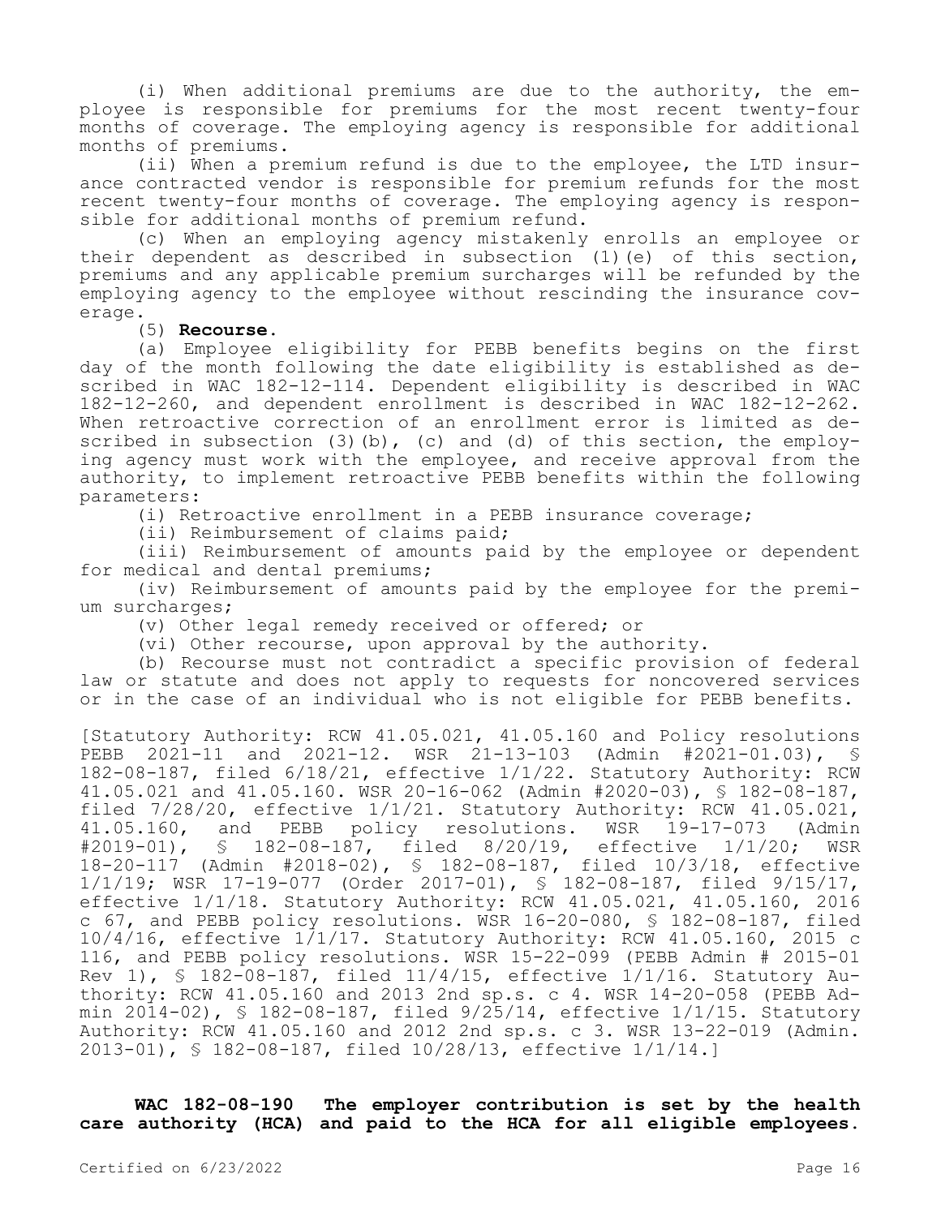(i) When additional premiums are due to the authority, the employee is responsible for premiums for the most recent twenty-four months of coverage. The employing agency is responsible for additional months of premiums.

(ii) When a premium refund is due to the employee, the LTD insurance contracted vendor is responsible for premium refunds for the most recent twenty-four months of coverage. The employing agency is responsible for additional months of premium refund.

(c) When an employing agency mistakenly enrolls an employee or their dependent as described in subsection (1)(e) of this section, premiums and any applicable premium surcharges will be refunded by the employing agency to the employee without rescinding the insurance coverage.

(5) **Recourse.**

(a) Employee eligibility for PEBB benefits begins on the first day of the month following the date eligibility is established as described in WAC 182-12-114. Dependent eligibility is described in WAC 182-12-260, and dependent enrollment is described in WAC 182-12-262. When retroactive correction of an enrollment error is limited as described in subsection  $(3)(b)$ ,  $(c)$  and  $(d)$  of this section, the employing agency must work with the employee, and receive approval from the authority, to implement retroactive PEBB benefits within the following parameters:

(i) Retroactive enrollment in a PEBB insurance coverage;

(ii) Reimbursement of claims paid;

(iii) Reimbursement of amounts paid by the employee or dependent for medical and dental premiums;

(iv) Reimbursement of amounts paid by the employee for the premium surcharges;

(v) Other legal remedy received or offered; or

(vi) Other recourse, upon approval by the authority.

(b) Recourse must not contradict a specific provision of federal law or statute and does not apply to requests for noncovered services or in the case of an individual who is not eligible for PEBB benefits.

[Statutory Authority: RCW 41.05.021, 41.05.160 and Policy resolutions PEBB 2021-11 and 2021-12. WSR 21-13-103 (Admin #2021-01.03), § 182-08-187, filed 6/18/21, effective 1/1/22. Statutory Authority: RCW 41.05.021 and 41.05.160. WSR 20-16-062 (Admin #2020-03), § 182-08-187, filed 7/28/20, effective 1/1/21. Statutory Authority: RCW 41.05.021,<br>41.05.160, and PEBB policy resolutions. WSR 19-17-073 (Admin 41.05.160, and PEBB policy resolutions. WSR 19-17-073 (Admin #2019-01), § 182-08-187, filed 8/20/19, effective 1/1/20; WSR § 182-08-187, filed 8/20/19, effective 1/1/20; WSR 18-20-117 (Admin #2018-02), § 182-08-187, filed 10/3/18, effective 1/1/19; WSR 17-19-077 (Order 2017-01), § 182-08-187, filed 9/15/17, effective 1/1/18. Statutory Authority: RCW 41.05.021, 41.05.160, 2016 c 67, and PEBB policy resolutions. WSR 16-20-080, § 182-08-187, filed 10/4/16, effective 1/1/17. Statutory Authority: RCW 41.05.160, 2015 c 116, and PEBB policy resolutions. WSR 15-22-099 (PEBB Admin # 2015-01 Rev 1), § 182-08-187, filed 11/4/15, effective 1/1/16. Statutory Authority: RCW 41.05.160 and 2013 2nd sp.s. c 4. WSR 14-20-058 (PEBB Admin 2014-02), § 182-08-187, filed 9/25/14, effective 1/1/15. Statutory Authority: RCW 41.05.160 and 2012 2nd sp.s. c 3. WSR 13-22-019 (Admin. 2013-01), § 182-08-187, filed 10/28/13, effective 1/1/14.]

**WAC 182-08-190 The employer contribution is set by the health care authority (HCA) and paid to the HCA for all eligible employees.**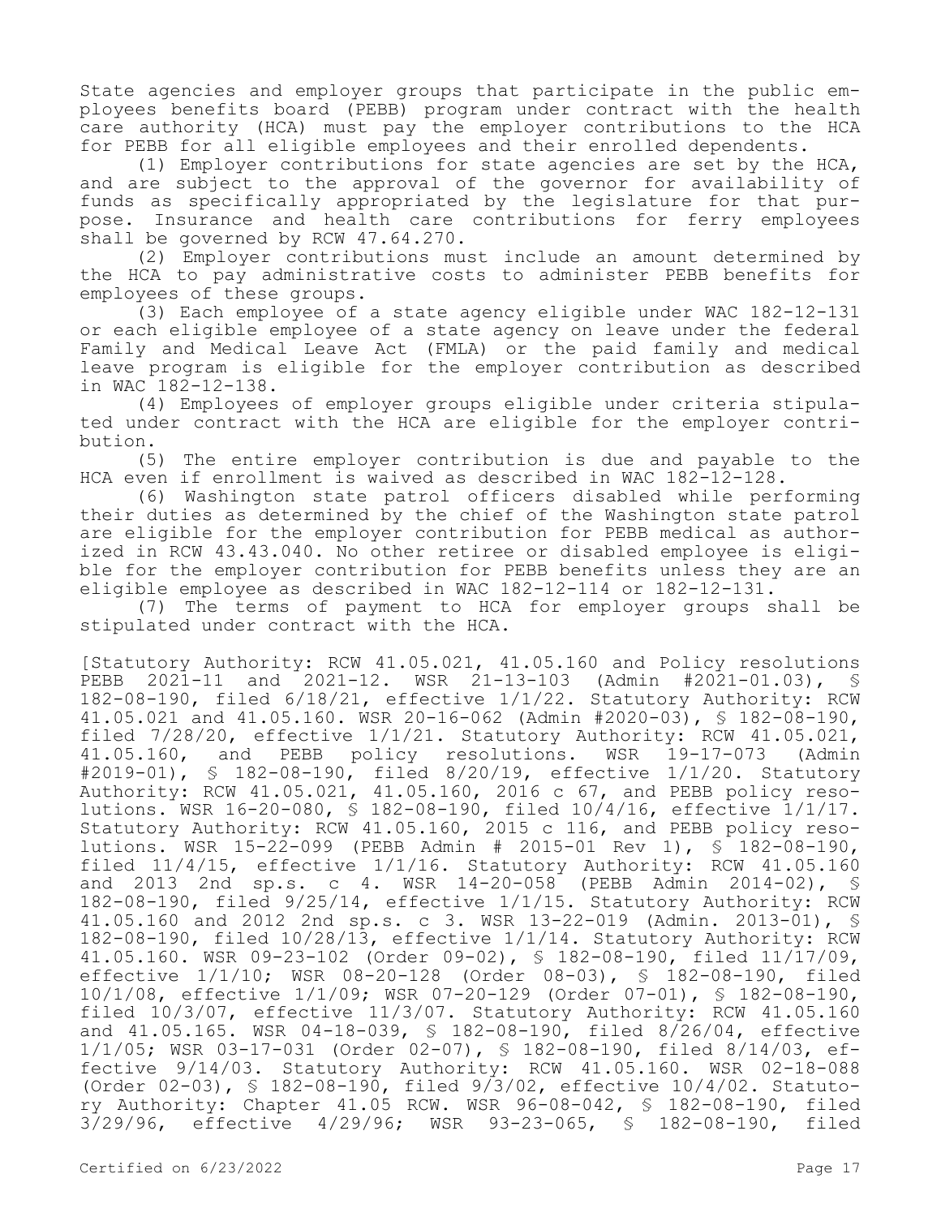State agencies and employer groups that participate in the public employees benefits board (PEBB) program under contract with the health care authority (HCA) must pay the employer contributions to the HCA for PEBB for all eligible employees and their enrolled dependents.

(1) Employer contributions for state agencies are set by the HCA, and are subject to the approval of the governor for availability of funds as specifically appropriated by the legislature for that purpose. Insurance and health care contributions for ferry employees shall be governed by RCW 47.64.270.

(2) Employer contributions must include an amount determined by the HCA to pay administrative costs to administer PEBB benefits for employees of these groups.

(3) Each employee of a state agency eligible under WAC 182-12-131 or each eligible employee of a state agency on leave under the federal Family and Medical Leave Act (FMLA) or the paid family and medical leave program is eligible for the employer contribution as described in WAC 182-12-138.

(4) Employees of employer groups eligible under criteria stipulated under contract with the HCA are eligible for the employer contribution.

(5) The entire employer contribution is due and payable to the HCA even if enrollment is waived as described in WAC 182-12-128.

(6) Washington state patrol officers disabled while performing their duties as determined by the chief of the Washington state patrol are eligible for the employer contribution for PEBB medical as authorized in RCW 43.43.040. No other retiree or disabled employee is eligible for the employer contribution for PEBB benefits unless they are an eligible employee as described in WAC 182-12-114 or 182-12-131.

(7) The terms of payment to HCA for employer groups shall be stipulated under contract with the HCA.

[Statutory Authority: RCW 41.05.021, 41.05.160 and Policy resolutions PEBB 2021-11 and 2021-12. WSR 21-13-103 (Admin #2021-01.03), § 182-08-190, filed 6/18/21, effective 1/1/22. Statutory Authority: RCW 41.05.021 and 41.05.160. WSR 20-16-062 (Admin #2020-03), § 182-08-190, filed 7/28/20, effective 1/1/21. Statutory Authority: RCW 41.05.021, 41.05.160, and PEBB policy resolutions. WSR 19-17-073 (Admin #2019-01), § 182-08-190, filed 8/20/19, effective 1/1/20. Statutory Authority: RCW 41.05.021, 41.05.160, 2016 c 67, and PEBB policy resolutions. WSR 16-20-080, § 182-08-190, filed 10/4/16, effective 1/1/17. Statutory Authority: RCW 41.05.160, 2015 c 116, and PEBB policy resolutions. WSR 15-22-099 (PEBB Admin # 2015-01 Rev 1), § 182-08-190, filed 11/4/15, effective 1/1/16. Statutory Authority: RCW 41.05.160 and 2013 2nd sp.s. c 4. WSR 14-20-058 (PEBB Admin 2014-02), § 182-08-190, filed 9/25/14, effective 1/1/15. Statutory Authority: RCW 41.05.160 and 2012 2nd sp.s. c 3. WSR 13-22-019 (Admin. 2013-01), § 182-08-190, filed 10/28/13, effective 1/1/14. Statutory Authority: RCW 41.05.160. WSR 09-23-102 (Order 09-02), § 182-08-190, filed 11/17/09, effective 1/1/10; WSR 08-20-128 (Order 08-03), § 182-08-190, filed 10/1/08, effective 1/1/09; WSR 07-20-129 (Order 07-01), § 182-08-190, filed 10/3/07, effective 11/3/07. Statutory Authority: RCW 41.05.160 and 41.05.165. WSR 04-18-039, § 182-08-190, filed 8/26/04, effective 1/1/05; WSR 03-17-031 (Order 02-07), § 182-08-190, filed 8/14/03, effective 9/14/03. Statutory Authority: RCW 41.05.160. WSR 02-18-088 (Order 02-03), § 182-08-190, filed 9/3/02, effective 10/4/02. Statutory Authority: Chapter 41.05 RCW. WSR 96-08-042, § 182-08-190, filed 3/29/96, effective 4/29/96; WSR 93-23-065, § 182-08-190, filed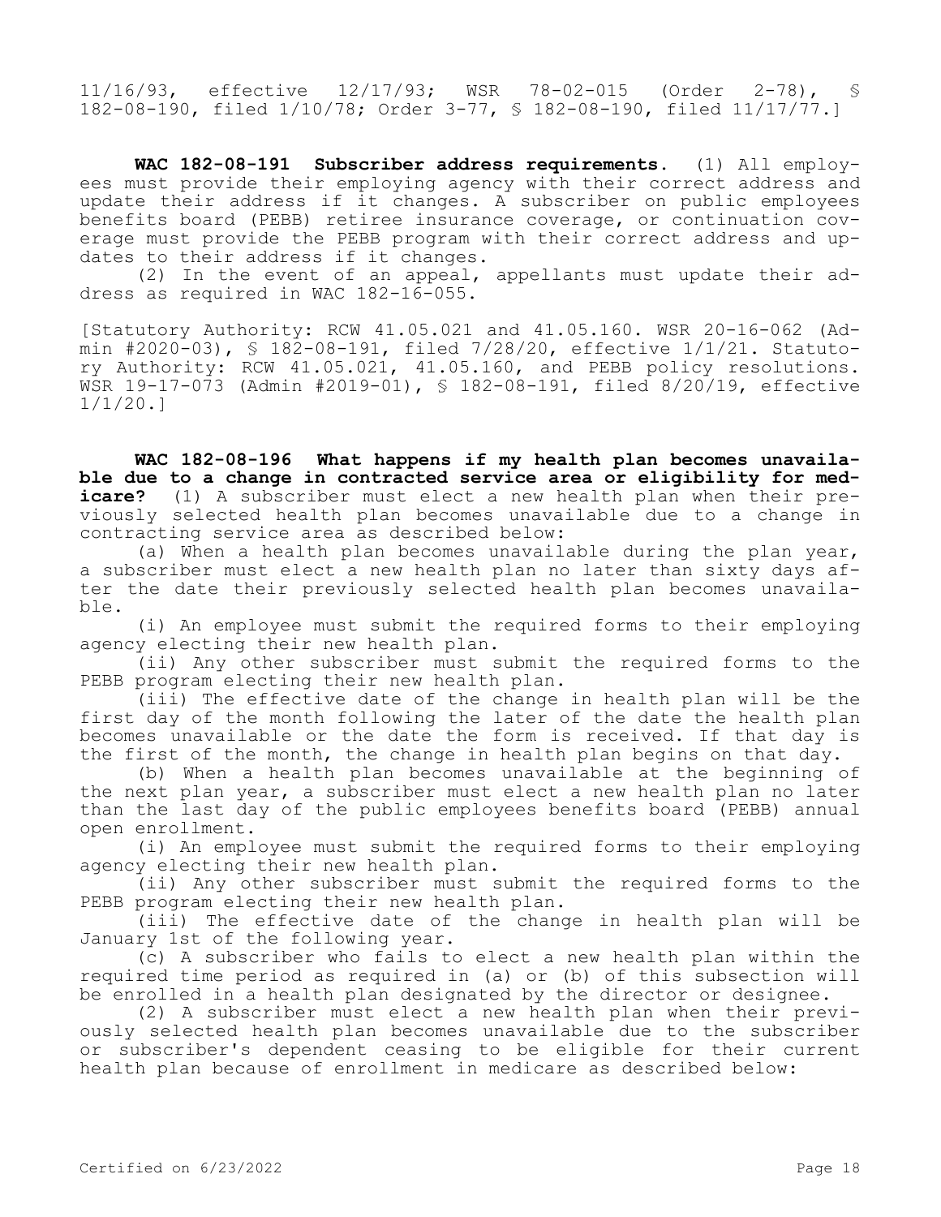11/16/93, effective 12/17/93; WSR 78-02-015 (Order 2-78), § 182-08-190, filed 1/10/78; Order 3-77, § 182-08-190, filed 11/17/77.]

**WAC 182-08-191 Subscriber address requirements.** (1) All employees must provide their employing agency with their correct address and update their address if it changes. A subscriber on public employees benefits board (PEBB) retiree insurance coverage, or continuation coverage must provide the PEBB program with their correct address and updates to their address if it changes.

(2) In the event of an appeal, appellants must update their address as required in WAC 182-16-055.

[Statutory Authority: RCW 41.05.021 and 41.05.160. WSR 20-16-062 (Admin #2020-03), § 182-08-191, filed  $7/28/20$ , effective  $1/1/21$ . Statutory Authority: RCW 41.05.021, 41.05.160, and PEBB policy resolutions. WSR 19-17-073 (Admin #2019-01), § 182-08-191, filed 8/20/19, effective 1/1/20.]

**WAC 182-08-196 What happens if my health plan becomes unavailable due to a change in contracted service area or eligibility for medicare?** (1) A subscriber must elect a new health plan when their previously selected health plan becomes unavailable due to a change in contracting service area as described below:

(a) When a health plan becomes unavailable during the plan year, a subscriber must elect a new health plan no later than sixty days after the date their previously selected health plan becomes unavailable.

(i) An employee must submit the required forms to their employing agency electing their new health plan.

(ii) Any other subscriber must submit the required forms to the PEBB program electing their new health plan.

(iii) The effective date of the change in health plan will be the first day of the month following the later of the date the health plan becomes unavailable or the date the form is received. If that day is the first of the month, the change in health plan begins on that day.

(b) When a health plan becomes unavailable at the beginning of the next plan year, a subscriber must elect a new health plan no later than the last day of the public employees benefits board (PEBB) annual open enrollment.

(i) An employee must submit the required forms to their employing agency electing their new health plan.

(ii) Any other subscriber must submit the required forms to the PEBB program electing their new health plan.

(iii) The effective date of the change in health plan will be January 1st of the following year.

(c) A subscriber who fails to elect a new health plan within the required time period as required in (a) or (b) of this subsection will be enrolled in a health plan designated by the director or designee.

(2) A subscriber must elect a new health plan when their previously selected health plan becomes unavailable due to the subscriber or subscriber's dependent ceasing to be eligible for their current health plan because of enrollment in medicare as described below: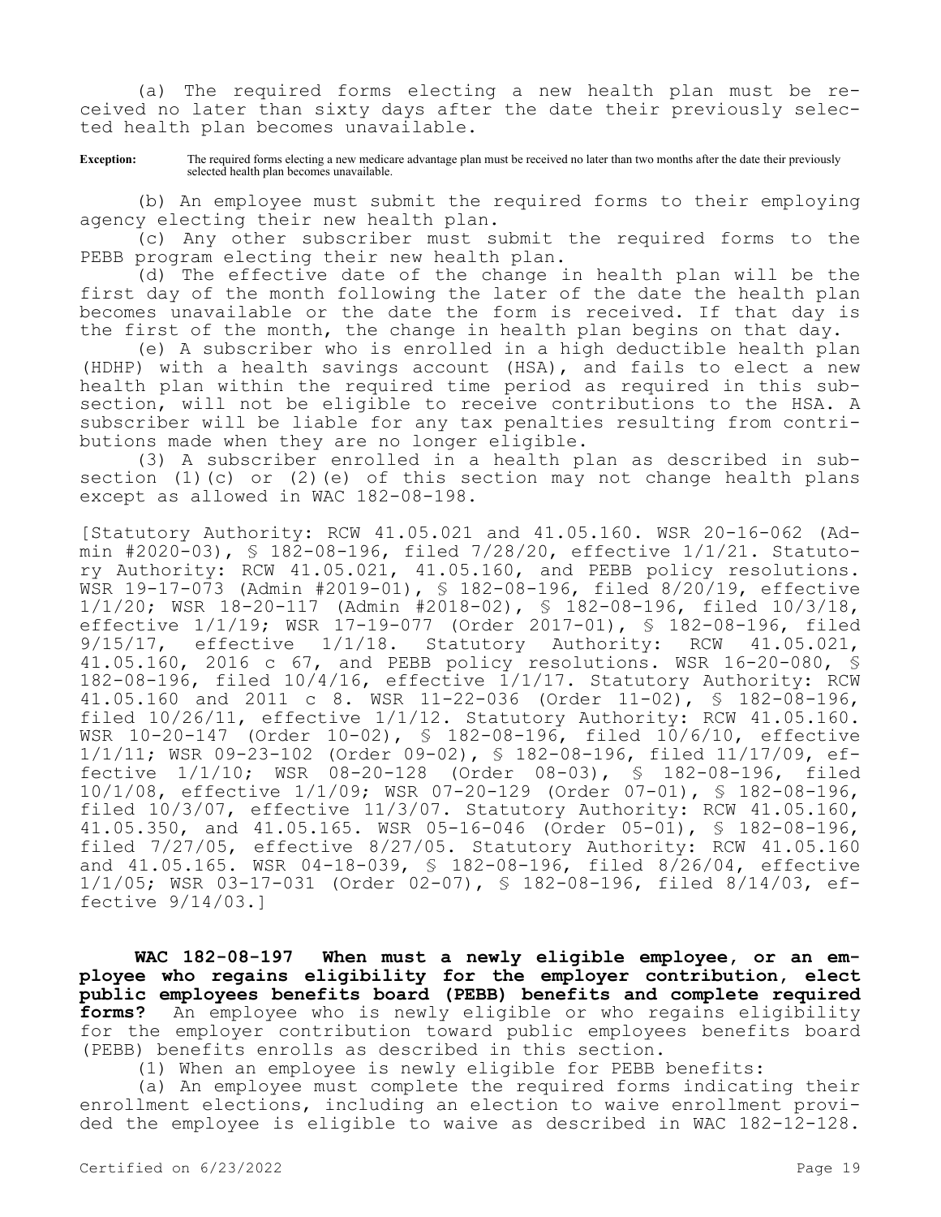(a) The required forms electing a new health plan must be received no later than sixty days after the date their previously selected health plan becomes unavailable.

**Exception:** The required forms electing a new medicare advantage plan must be received no later than two months after the date their previously selected health plan becomes unavailable.

(b) An employee must submit the required forms to their employing agency electing their new health plan.

(c) Any other subscriber must submit the required forms to the PEBB program electing their new health plan.

(d) The effective date of the change in health plan will be the first day of the month following the later of the date the health plan becomes unavailable or the date the form is received. If that day is the first of the month, the change in health plan begins on that day.

(e) A subscriber who is enrolled in a high deductible health plan (HDHP) with a health savings account (HSA), and fails to elect a new health plan within the required time period as required in this subsection, will not be eligible to receive contributions to the HSA. A subscriber will be liable for any tax penalties resulting from contributions made when they are no longer eligible.

(3) A subscriber enrolled in a health plan as described in subsection (1)(c) or (2)(e) of this section may not change health plans except as allowed in WAC 182-08-198.

[Statutory Authority: RCW 41.05.021 and 41.05.160. WSR 20-16-062 (Admin #2020-03), § 182-08-196, filed 7/28/20, effective 1/1/21. Statutory Authority: RCW 41.05.021, 41.05.160, and PEBB policy resolutions. WSR 19-17-073 (Admin #2019-01), § 182-08-196, filed 8/20/19, effective 1/1/20; WSR 18-20-117 (Admin #2018-02), § 182-08-196, filed 10/3/18, effective 1/1/19; WSR 17-19-077 (Order 2017-01), § 182-08-196, filed 9/15/17, effective 1/1/18. Statutory Authority: RCW 41.05.021, 41.05.160, 2016 c 67, and PEBB policy resolutions. WSR 16-20-080, § 182-08-196, filed 10/4/16, effective 1/1/17. Statutory Authority: RCW 41.05.160 and 2011 c 8. WSR 11-22-036 (Order 11-02), § 182-08-196, filed 10/26/11, effective 1/1/12. Statutory Authority: RCW 41.05.160. WSR 10-20-147 (Order 10-02), § 182-08-196, filed 10/6/10, effective 1/1/11; WSR 09-23-102 (Order 09-02), § 182-08-196, filed 11/17/09, effective 1/1/10; WSR 08-20-128 (Order 08-03), § 182-08-196, filed 10/1/08, effective 1/1/09; WSR 07-20-129 (Order 07-01), § 182-08-196, filed 10/3/07, effective 11/3/07. Statutory Authority: RCW 41.05.160, 41.05.350, and 41.05.165. WSR 05-16-046 (Order 05-01), § 182-08-196, filed 7/27/05, effective 8/27/05. Statutory Authority: RCW 41.05.160 and 41.05.165. WSR 04-18-039, § 182-08-196, filed 8/26/04, effective 1/1/05; WSR 03-17-031 (Order 02-07), § 182-08-196, filed 8/14/03, effective 9/14/03.]

**WAC 182-08-197 When must a newly eligible employee, or an employee who regains eligibility for the employer contribution, elect public employees benefits board (PEBB) benefits and complete required forms?** An employee who is newly eligible or who regains eligibility for the employer contribution toward public employees benefits board (PEBB) benefits enrolls as described in this section.

(1) When an employee is newly eligible for PEBB benefits:

(a) An employee must complete the required forms indicating their enrollment elections, including an election to waive enrollment provided the employee is eligible to waive as described in WAC 182-12-128.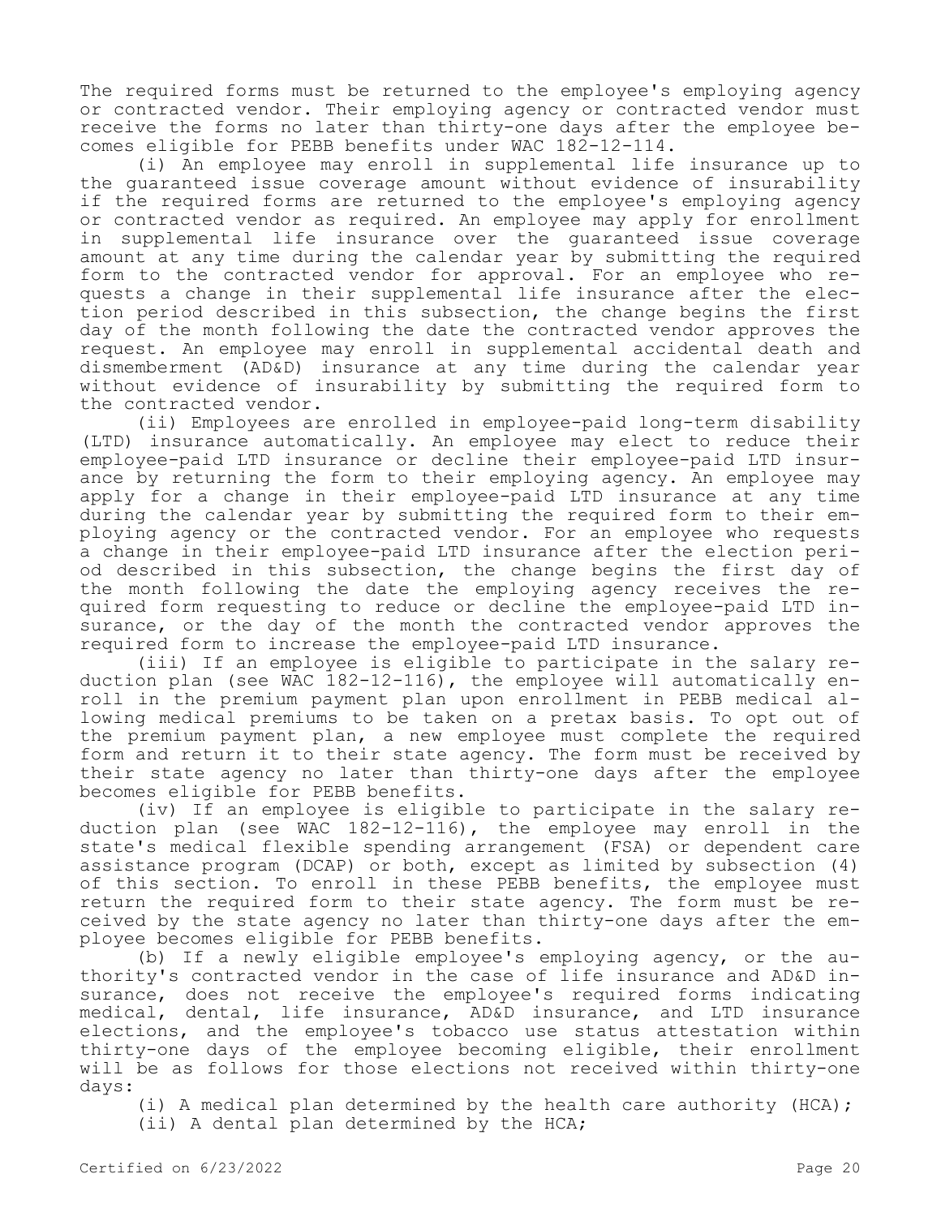The required forms must be returned to the employee's employing agency or contracted vendor. Their employing agency or contracted vendor must receive the forms no later than thirty-one days after the employee becomes eligible for PEBB benefits under WAC 182-12-114.

(i) An employee may enroll in supplemental life insurance up to the guaranteed issue coverage amount without evidence of insurability if the required forms are returned to the employee's employing agency or contracted vendor as required. An employee may apply for enrollment in supplemental life insurance over the guaranteed issue coverage amount at any time during the calendar year by submitting the required form to the contracted vendor for approval. For an employee who requests a change in their supplemental life insurance after the election period described in this subsection, the change begins the first day of the month following the date the contracted vendor approves the request. An employee may enroll in supplemental accidental death and dismemberment (AD&D) insurance at any time during the calendar year without evidence of insurability by submitting the required form to the contracted vendor.

(ii) Employees are enrolled in employee-paid long-term disability (LTD) insurance automatically. An employee may elect to reduce their employee-paid LTD insurance or decline their employee-paid LTD insurance by returning the form to their employing agency. An employee may apply for a change in their employee-paid LTD insurance at any time during the calendar year by submitting the required form to their employing agency or the contracted vendor. For an employee who requests a change in their employee-paid LTD insurance after the election period described in this subsection, the change begins the first day of the month following the date the employing agency receives the required form requesting to reduce or decline the employee-paid LTD insurance, or the day of the month the contracted vendor approves the required form to increase the employee-paid LTD insurance.

(iii) If an employee is eligible to participate in the salary reduction plan (see WAC 182-12-116), the employee will automatically enroll in the premium payment plan upon enrollment in PEBB medical allowing medical premiums to be taken on a pretax basis. To opt out of the premium payment plan, a new employee must complete the required form and return it to their state agency. The form must be received by their state agency no later than thirty-one days after the employee becomes eligible for PEBB benefits.

(iv) If an employee is eligible to participate in the salary reduction plan (see WAC 182-12-116), the employee may enroll in the state's medical flexible spending arrangement (FSA) or dependent care assistance program (DCAP) or both, except as limited by subsection (4) of this section. To enroll in these PEBB benefits, the employee must return the required form to their state agency. The form must be received by the state agency no later than thirty-one days after the employee becomes eligible for PEBB benefits.

(b) If a newly eligible employee's employing agency, or the authority's contracted vendor in the case of life insurance and AD&D insurance, does not receive the employee's required forms indicating medical, dental, life insurance, AD&D insurance, and LTD insurance elections, and the employee's tobacco use status attestation within thirty-one days of the employee becoming eligible, their enrollment will be as follows for those elections not received within thirty-one days:

(i) A medical plan determined by the health care authority (HCA); (ii) A dental plan determined by the HCA;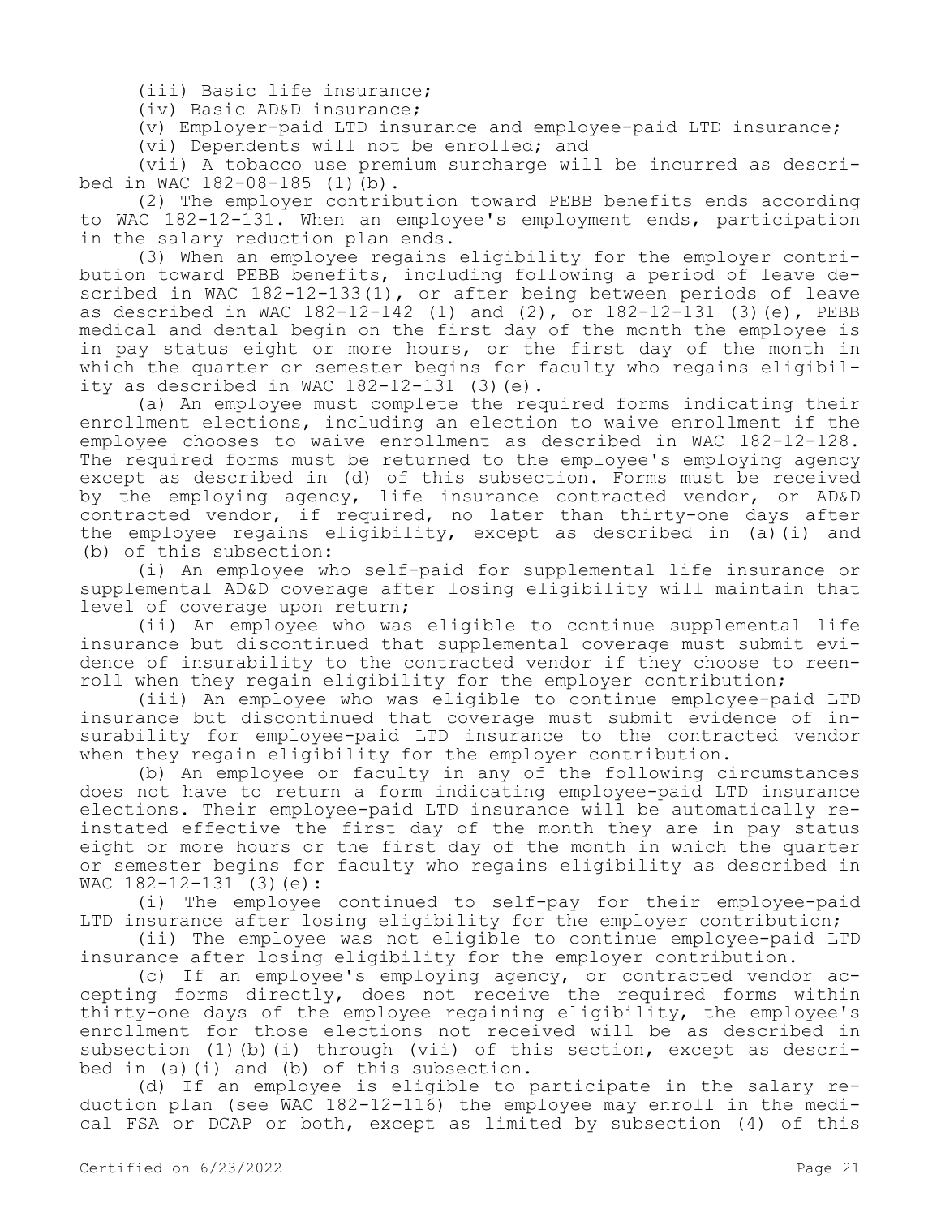(iii) Basic life insurance;

(iv) Basic AD&D insurance;

(v) Employer-paid LTD insurance and employee-paid LTD insurance;

(vi) Dependents will not be enrolled; and

(vii) A tobacco use premium surcharge will be incurred as described in WAC 182-08-185 (1)(b).

(2) The employer contribution toward PEBB benefits ends according to WAC 182-12-131. When an employee's employment ends, participation in the salary reduction plan ends.

(3) When an employee regains eligibility for the employer contribution toward PEBB benefits, including following a period of leave described in WAC 182-12-133(1), or after being between periods of leave as described in WAC 182-12-142 (1) and (2), or 182-12-131 (3)(e), PEBB medical and dental begin on the first day of the month the employee is in pay status eight or more hours, or the first day of the month in which the quarter or semester begins for faculty who regains eligibility as described in WAC 182-12-131 (3)(e).

(a) An employee must complete the required forms indicating their enrollment elections, including an election to waive enrollment if the employee chooses to waive enrollment as described in WAC 182-12-128. The required forms must be returned to the employee's employing agency except as described in (d) of this subsection. Forms must be received by the employing agency, life insurance contracted vendor, or AD&D contracted vendor, if required, no later than thirty-one days after the employee regains eligibility, except as described in (a)(i) and (b) of this subsection:

(i) An employee who self-paid for supplemental life insurance or supplemental AD&D coverage after losing eligibility will maintain that level of coverage upon return;

(ii) An employee who was eligible to continue supplemental life insurance but discontinued that supplemental coverage must submit evidence of insurability to the contracted vendor if they choose to reenroll when they regain eligibility for the employer contribution;

(iii) An employee who was eligible to continue employee-paid LTD insurance but discontinued that coverage must submit evidence of insurability for employee-paid LTD insurance to the contracted vendor when they regain eligibility for the employer contribution.

(b) An employee or faculty in any of the following circumstances does not have to return a form indicating employee-paid LTD insurance elections. Their employee-paid LTD insurance will be automatically reinstated effective the first day of the month they are in pay status eight or more hours or the first day of the month in which the quarter or semester begins for faculty who regains eligibility as described in WAC 182-12-131 (3)(e):

(i) The employee continued to self-pay for their employee-paid LTD insurance after losing eligibility for the employer contribution;

(ii) The employee was not eligible to continue employee-paid LTD insurance after losing eligibility for the employer contribution.

(c) If an employee's employing agency, or contracted vendor accepting forms directly, does not receive the required forms within thirty-one days of the employee regaining eligibility, the employee's enrollment for those elections not received will be as described in subsection (1)(b)(i) through (vii) of this section, except as described in (a)(i) and (b) of this subsection.

(d) If an employee is eligible to participate in the salary reduction plan (see WAC 182-12-116) the employee may enroll in the medical FSA or DCAP or both, except as limited by subsection (4) of this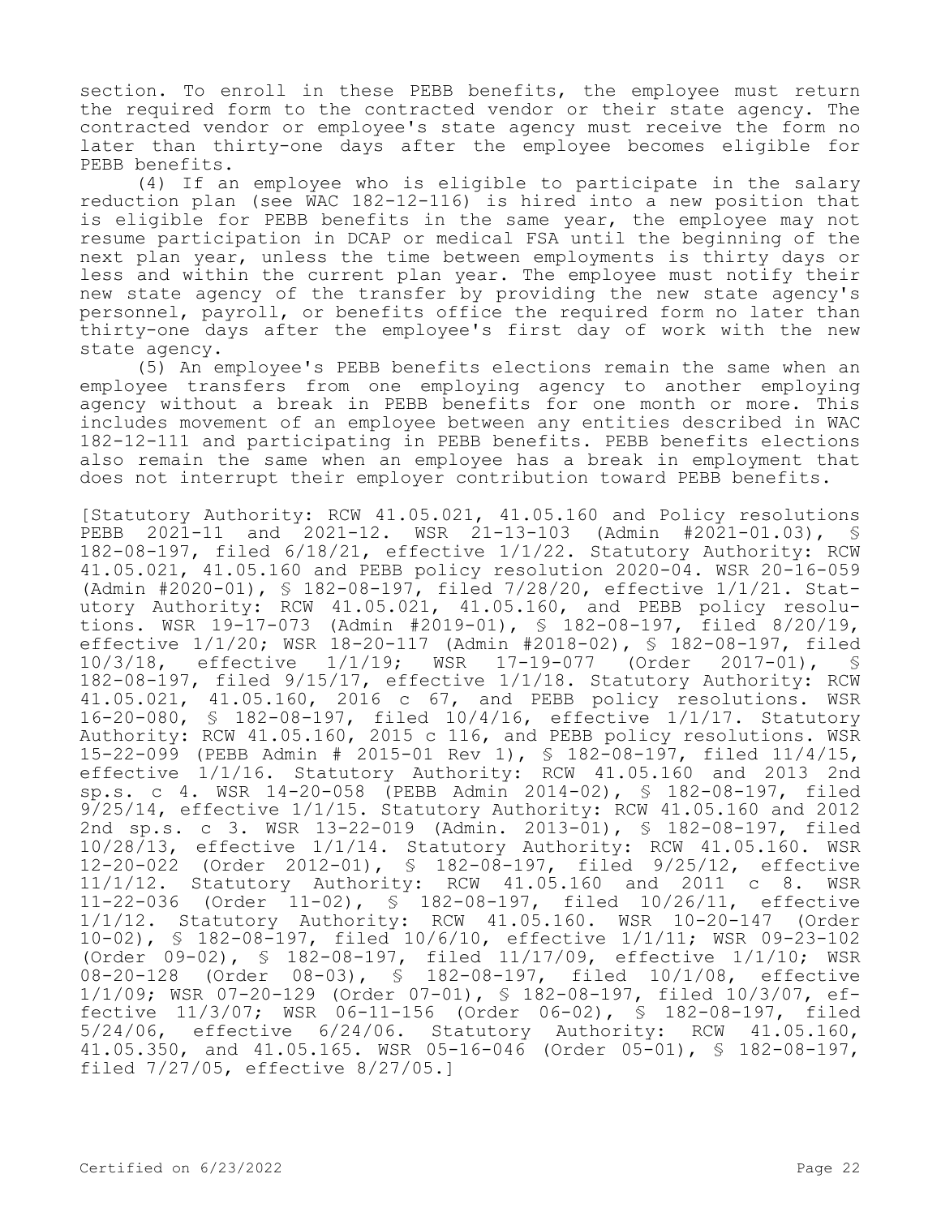section. To enroll in these PEBB benefits, the employee must return the required form to the contracted vendor or their state agency. The contracted vendor or employee's state agency must receive the form no later than thirty-one days after the employee becomes eligible for PEBB benefits.

(4) If an employee who is eligible to participate in the salary reduction plan (see WAC 182-12-116) is hired into a new position that is eligible for PEBB benefits in the same year, the employee may not resume participation in DCAP or medical FSA until the beginning of the next plan year, unless the time between employments is thirty days or less and within the current plan year. The employee must notify their new state agency of the transfer by providing the new state agency's personnel, payroll, or benefits office the required form no later than thirty-one days after the employee's first day of work with the new state agency.

(5) An employee's PEBB benefits elections remain the same when an employee transfers from one employing agency to another employing agency without a break in PEBB benefits for one month or more. This includes movement of an employee between any entities described in WAC 182-12-111 and participating in PEBB benefits. PEBB benefits elections also remain the same when an employee has a break in employment that does not interrupt their employer contribution toward PEBB benefits.

[Statutory Authority: RCW 41.05.021, 41.05.160 and Policy resolutions PEBB 2021-11 and 2021-12. WSR 21-13-103 (Admin #2021-01.03), § 182-08-197, filed 6/18/21, effective 1/1/22. Statutory Authority: RCW 41.05.021, 41.05.160 and PEBB policy resolution 2020-04. WSR 20-16-059 (Admin #2020-01), § 182-08-197, filed 7/28/20, effective 1/1/21. Statutory Authority: RCW 41.05.021, 41.05.160, and PEBB policy resolutions. WSR 19-17-073 (Admin #2019-01), § 182-08-197, filed 8/20/19, effective 1/1/20; WSR 18-20-117 (Admin #2018-02), § 182-08-197, filed<br>10/3/18, effective 1/1/19; WSR 17-19-077 (Order 2017-01), § 1/1/19; WSR 17-19-077 (Order 2017-01), § 182-08-197, filed 9/15/17, effective 1/1/18. Statutory Authority: RCW 41.05.021, 41.05.160, 2016 c 67, and PEBB policy resolutions. WSR 16-20-080, § 182-08-197, filed 10/4/16, effective 1/1/17. Statutory Authority: RCW 41.05.160, 2015 c 116, and PEBB policy resolutions. WSR 15-22-099 (PEBB Admin # 2015-01 Rev 1), § 182-08-197, filed 11/4/15, effective 1/1/16. Statutory Authority: RCW 41.05.160 and 2013 2nd sp.s. c 4. WSR 14-20-058 (PEBB Admin 2014-02), § 182-08-197, filed 9/25/14, effective 1/1/15. Statutory Authority: RCW 41.05.160 and 2012 2nd sp.s. c 3. WSR 13-22-019 (Admin. 2013-01), § 182-08-197, filed 10/28/13, effective 1/1/14. Statutory Authority: RCW 41.05.160. WSR 12-20-022 (Order 2012-01), § 182-08-197, filed 9/25/12, effective 11/1/12. Statutory Authority: RCW 41.05.160 and 2011 c 8. WSR 11-22-036 (Order 11-02), § 182-08-197, filed 10/26/11, effective 1/1/12. Statutory Authority: RCW 41.05.160. WSR 10-20-147 (Order 10-02), § 182-08-197, filed 10/6/10, effective 1/1/11; WSR 09-23-102 (Order 09-02), § 182-08-197, filed 11/17/09, effective 1/1/10; WSR 08-20-128 (Order 08-03), § 182-08-197, filed 10/1/08, effective 1/1/09; WSR 07-20-129 (Order 07-01), § 182-08-197, filed 10/3/07, effective 11/3/07; WSR 06-11-156 (Order 06-02), § 182-08-197, filed 5/24/06, effective 6/24/06. Statutory Authority: RCW 41.05.160, 41.05.350, and 41.05.165. WSR 05-16-046 (Order 05-01), § 182-08-197, filed 7/27/05, effective 8/27/05.]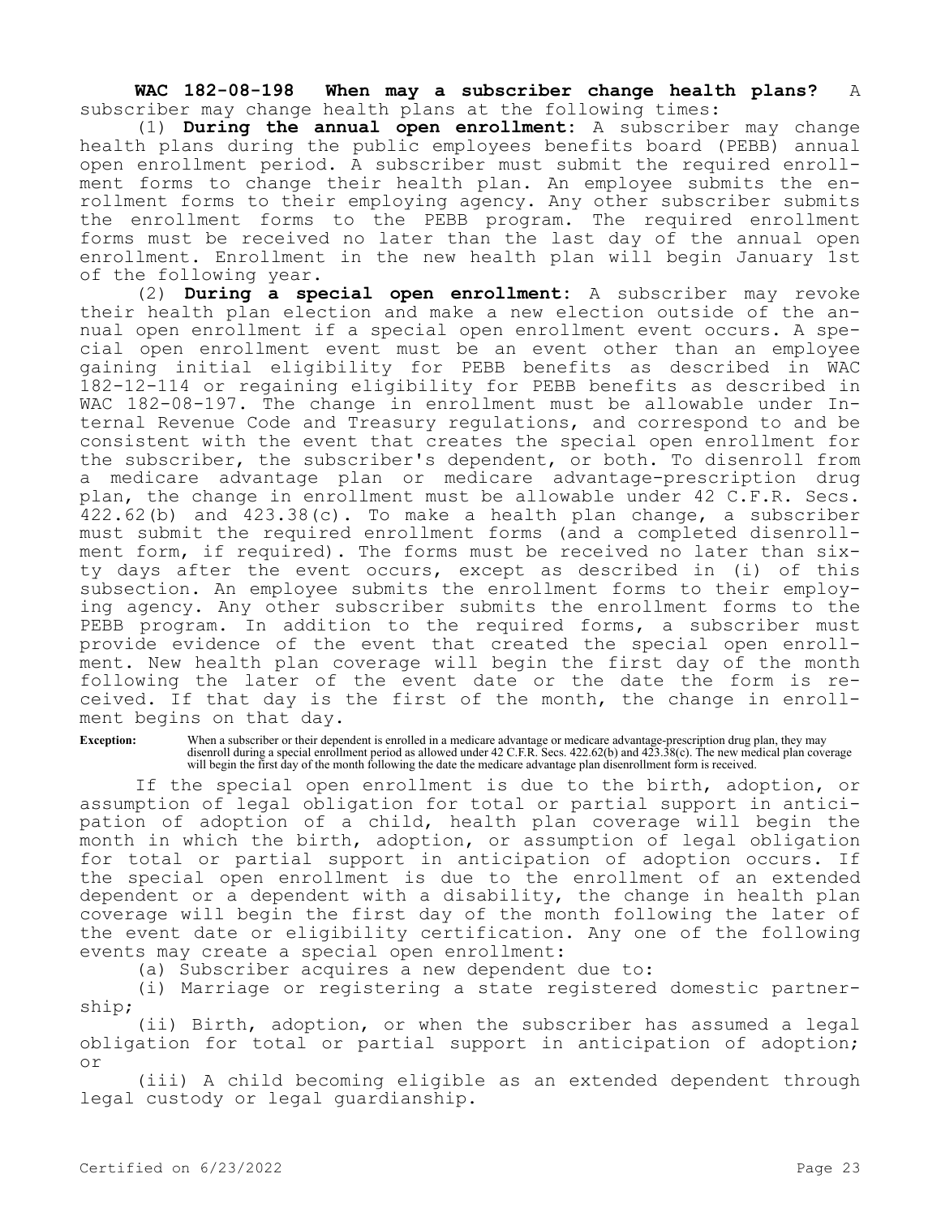**WAC 182-08-198 When may a subscriber change health plans?** A subscriber may change health plans at the following times:

(1) **During the annual open enrollment:** A subscriber may change health plans during the public employees benefits board (PEBB) annual open enrollment period. A subscriber must submit the required enrollment forms to change their health plan. An employee submits the enrollment forms to their employing agency. Any other subscriber submits the enrollment forms to the PEBB program. The required enrollment forms must be received no later than the last day of the annual open enrollment. Enrollment in the new health plan will begin January 1st of the following year.

(2) **During a special open enrollment:** A subscriber may revoke their health plan election and make a new election outside of the annual open enrollment if a special open enrollment event occurs. A special open enrollment event must be an event other than an employee gaining initial eligibility for PEBB benefits as described in WAC 182-12-114 or regaining eligibility for PEBB benefits as described in WAC 182-08-197. The change in enrollment must be allowable under Internal Revenue Code and Treasury regulations, and correspond to and be consistent with the event that creates the special open enrollment for the subscriber, the subscriber's dependent, or both. To disenroll from a medicare advantage plan or medicare advantage-prescription drug plan, the change in enrollment must be allowable under 42 C.F.R. Secs. 422.62(b) and 423.38(c). To make a health plan change, a subscriber must submit the required enrollment forms (and a completed disenrollment form, if required). The forms must be received no later than sixty days after the event occurs, except as described in (i) of this subsection. An employee submits the enrollment forms to their employing agency. Any other subscriber submits the enrollment forms to the PEBB program. In addition to the required forms, a subscriber must provide evidence of the event that created the special open enrollment. New health plan coverage will begin the first day of the month following the later of the event date or the date the form is received. If that day is the first of the month, the change in enrollment begins on that day.

**Exception:** When a subscriber or their dependent is enrolled in a medicare advantage or medicare advantage-prescription drug plan, they may disenroll during a special enrollment period as allowed under 42 C.F.R. Secs. 422.62(b) and 423.38(c). The new medical plan coverage will begin the first day of the month following the date the medicare advantage plan disenrollment form is received.

If the special open enrollment is due to the birth, adoption, or assumption of legal obligation for total or partial support in anticipation of adoption of a child, health plan coverage will begin the month in which the birth, adoption, or assumption of legal obligation for total or partial support in anticipation of adoption occurs. If the special open enrollment is due to the enrollment of an extended dependent or a dependent with a disability, the change in health plan coverage will begin the first day of the month following the later of the event date or eligibility certification. Any one of the following events may create a special open enrollment:

(a) Subscriber acquires a new dependent due to:

(i) Marriage or registering a state registered domestic partnership;

(ii) Birth, adoption, or when the subscriber has assumed a legal obligation for total or partial support in anticipation of adoption; or

(iii) A child becoming eligible as an extended dependent through legal custody or legal guardianship.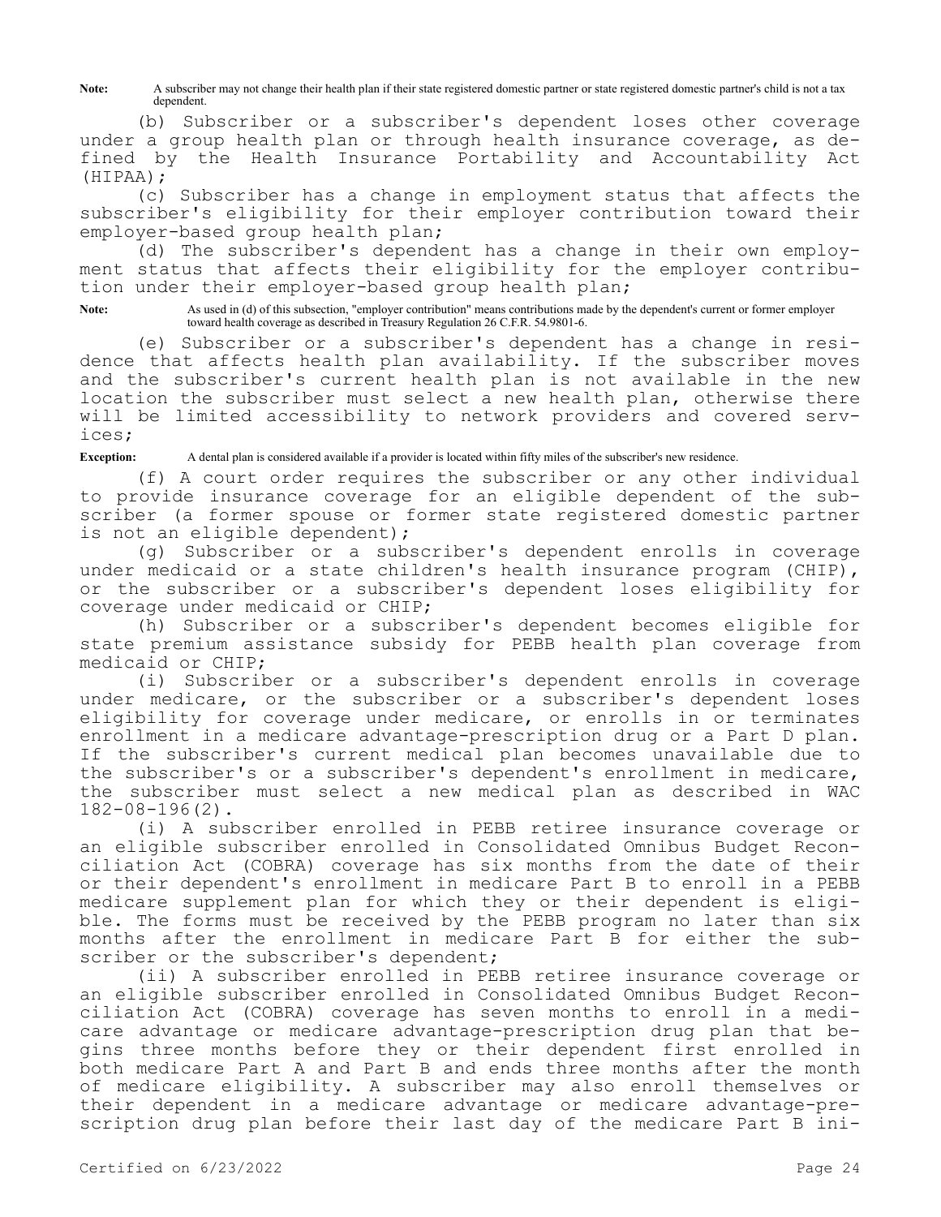Note: A subscriber may not change their health plan if their state registered domestic partner or state registered domestic partner's child is not a tax dependent.

(b) Subscriber or a subscriber's dependent loses other coverage under a group health plan or through health insurance coverage, as defined by the Health Insurance Portability and Accountability Act (HIPAA);

(c) Subscriber has a change in employment status that affects the subscriber's eligibility for their employer contribution toward their employer-based group health plan;

(d) The subscriber's dependent has a change in their own employment status that affects their eligibility for the employer contribution under their employer-based group health plan;

**Note:** As used in (d) of this subsection, "employer contribution" means contributions made by the dependent's current or former employer toward health coverage as described in Treasury Regulation 26 C.F.R. 54.9801-6.

(e) Subscriber or a subscriber's dependent has a change in residence that affects health plan availability. If the subscriber moves and the subscriber's current health plan is not available in the new location the subscriber must select a new health plan, otherwise there will be limited accessibility to network providers and covered services;

**Exception:** A dental plan is considered available if a provider is located within fifty miles of the subscriber's new residence.

(f) A court order requires the subscriber or any other individual to provide insurance coverage for an eligible dependent of the subscriber (a former spouse or former state registered domestic partner is not an eligible dependent);

(g) Subscriber or a subscriber's dependent enrolls in coverage under medicaid or a state children's health insurance program (CHIP), or the subscriber or a subscriber's dependent loses eligibility for coverage under medicaid or CHIP;

(h) Subscriber or a subscriber's dependent becomes eligible for state premium assistance subsidy for PEBB health plan coverage from medicaid or CHIP;

(i) Subscriber or a subscriber's dependent enrolls in coverage under medicare, or the subscriber or a subscriber's dependent loses eligibility for coverage under medicare, or enrolls in or terminates enrollment in a medicare advantage-prescription drug or a Part D plan. If the subscriber's current medical plan becomes unavailable due to the subscriber's or a subscriber's dependent's enrollment in medicare, the subscriber must select a new medical plan as described in WAC 182-08-196(2).

(i) A subscriber enrolled in PEBB retiree insurance coverage or an eligible subscriber enrolled in Consolidated Omnibus Budget Reconciliation Act (COBRA) coverage has six months from the date of their or their dependent's enrollment in medicare Part B to enroll in a PEBB medicare supplement plan for which they or their dependent is eligible. The forms must be received by the PEBB program no later than six months after the enrollment in medicare Part B for either the subscriber or the subscriber's dependent;

(ii) A subscriber enrolled in PEBB retiree insurance coverage or an eligible subscriber enrolled in Consolidated Omnibus Budget Reconciliation Act (COBRA) coverage has seven months to enroll in a medicare advantage or medicare advantage-prescription drug plan that begins three months before they or their dependent first enrolled in both medicare Part A and Part B and ends three months after the month of medicare eligibility. A subscriber may also enroll themselves or their dependent in a medicare advantage or medicare advantage-prescription drug plan before their last day of the medicare Part B ini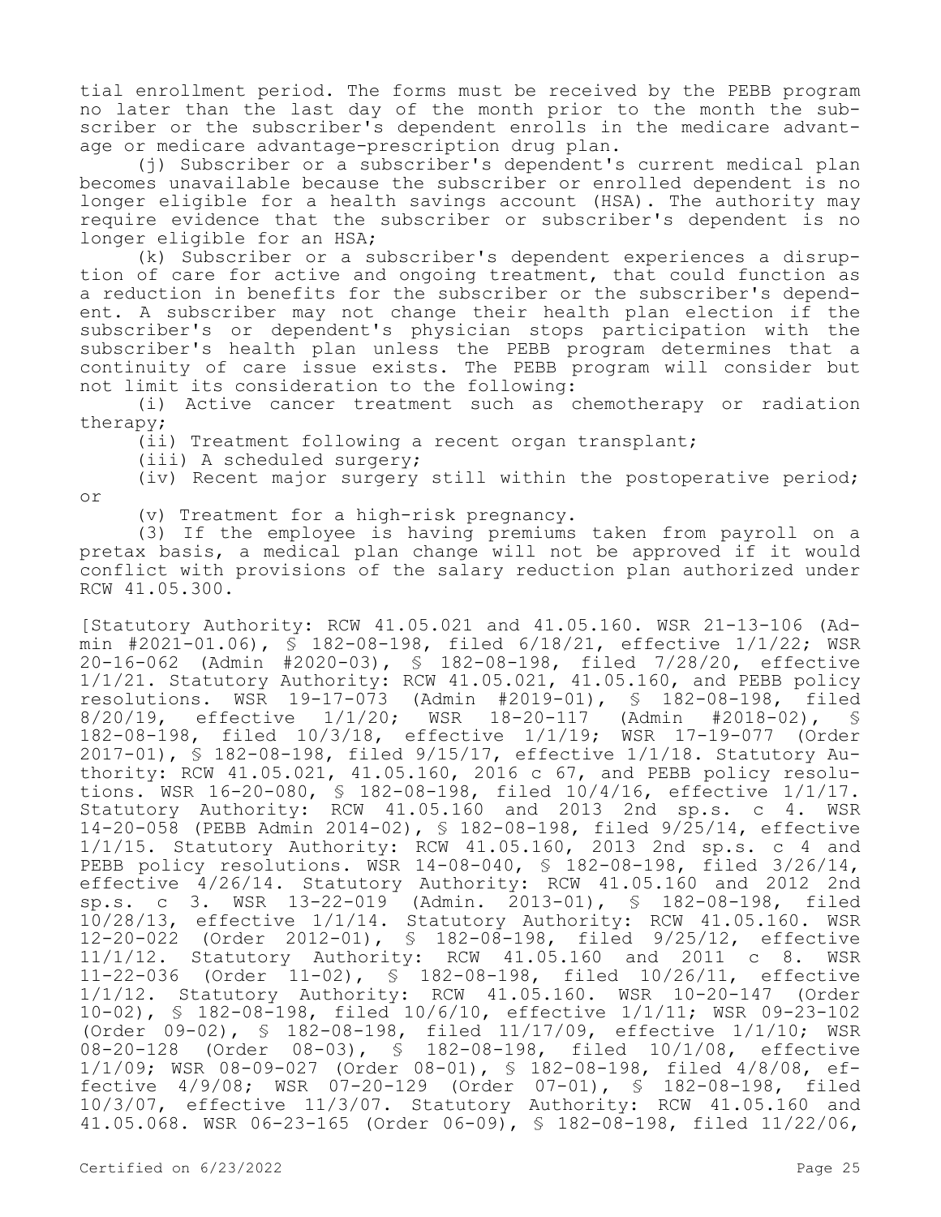tial enrollment period. The forms must be received by the PEBB program no later than the last day of the month prior to the month the subscriber or the subscriber's dependent enrolls in the medicare advantage or medicare advantage-prescription drug plan.

(j) Subscriber or a subscriber's dependent's current medical plan becomes unavailable because the subscriber or enrolled dependent is no longer eligible for a health savings account (HSA). The authority may require evidence that the subscriber or subscriber's dependent is no longer eligible for an HSA;

(k) Subscriber or a subscriber's dependent experiences a disruption of care for active and ongoing treatment, that could function as a reduction in benefits for the subscriber or the subscriber's dependent. A subscriber may not change their health plan election if the subscriber's or dependent's physician stops participation with the subscriber's health plan unless the PEBB program determines that a continuity of care issue exists. The PEBB program will consider but not limit its consideration to the following:

(i) Active cancer treatment such as chemotherapy or radiation therapy;

(ii) Treatment following a recent organ transplant;

(iii) A scheduled surgery;

(iv) Recent major surgery still within the postoperative period; or

(v) Treatment for a high-risk pregnancy.

(3) If the employee is having premiums taken from payroll on a pretax basis, a medical plan change will not be approved if it would conflict with provisions of the salary reduction plan authorized under RCW 41.05.300.

[Statutory Authority: RCW 41.05.021 and 41.05.160. WSR 21-13-106 (Admin #2021-01.06), § 182-08-198, filed 6/18/21, effective 1/1/22; WSR 20-16-062 (Admin #2020-03), § 182-08-198, filed 7/28/20, effective 1/1/21. Statutory Authority: RCW 41.05.021, 41.05.160, and PEBB policy resolutions. WSR 19-17-073 (Admin #2019-01), § 182-08-198, filed<br>8/20/19, effective 1/1/20; WSR 18-20-117 (Admin #2018-02), § 8/20/19, effective 1/1/20; WSR 18-20-117 (Admin #2018-02), § 182-08-198, filed 10/3/18, effective 1/1/19; WSR 17-19-077 (Order 2017-01), § 182-08-198, filed 9/15/17, effective 1/1/18. Statutory Authority: RCW 41.05.021, 41.05.160, 2016 c 67, and PEBB policy resolutions. WSR 16-20-080, § 182-08-198, filed 10/4/16, effective 1/1/17. Statutory Authority: RCW 41.05.160 and 2013 2nd sp.s. c 4. WSR 14-20-058 (PEBB Admin 2014-02), § 182-08-198, filed 9/25/14, effective 1/1/15. Statutory Authority: RCW 41.05.160, 2013 2nd sp.s. c 4 and PEBB policy resolutions. WSR 14-08-040, § 182-08-198, filed 3/26/14, effective 4/26/14. Statutory Authority: RCW 41.05.160 and 2012 2nd sp.s. c 3. WSR 13-22-019 (Admin. 2013-01), § 182-08-198, filed 10/28/13, effective 1/1/14. Statutory Authority: RCW 41.05.160. WSR 12-20-022 (Order 2012-01), § 182-08-198, filed 9/25/12, effective 11/1/12. Statutory Authority: RCW 41.05.160 and 2011 c 8. WSR 11-22-036 (Order 11-02), § 182-08-198, filed 10/26/11, effective 1/1/12. Statutory Authority: RCW 41.05.160. WSR 10-20-147 (Order 10-02), § 182-08-198, filed 10/6/10, effective 1/1/11; WSR 09-23-102 (Order 09-02), § 182-08-198, filed 11/17/09, effective 1/1/10; WSR 08-20-128 (Order 08-03), § 182-08-198, filed 10/1/08, effective 1/1/09; WSR 08-09-027 (Order 08-01), § 182-08-198, filed 4/8/08, effective 4/9/08; WSR 07-20-129 (Order 07-01), § 182-08-198, filed 10/3/07, effective 11/3/07. Statutory Authority: RCW 41.05.160 and 41.05.068. WSR 06-23-165 (Order 06-09), § 182-08-198, filed 11/22/06,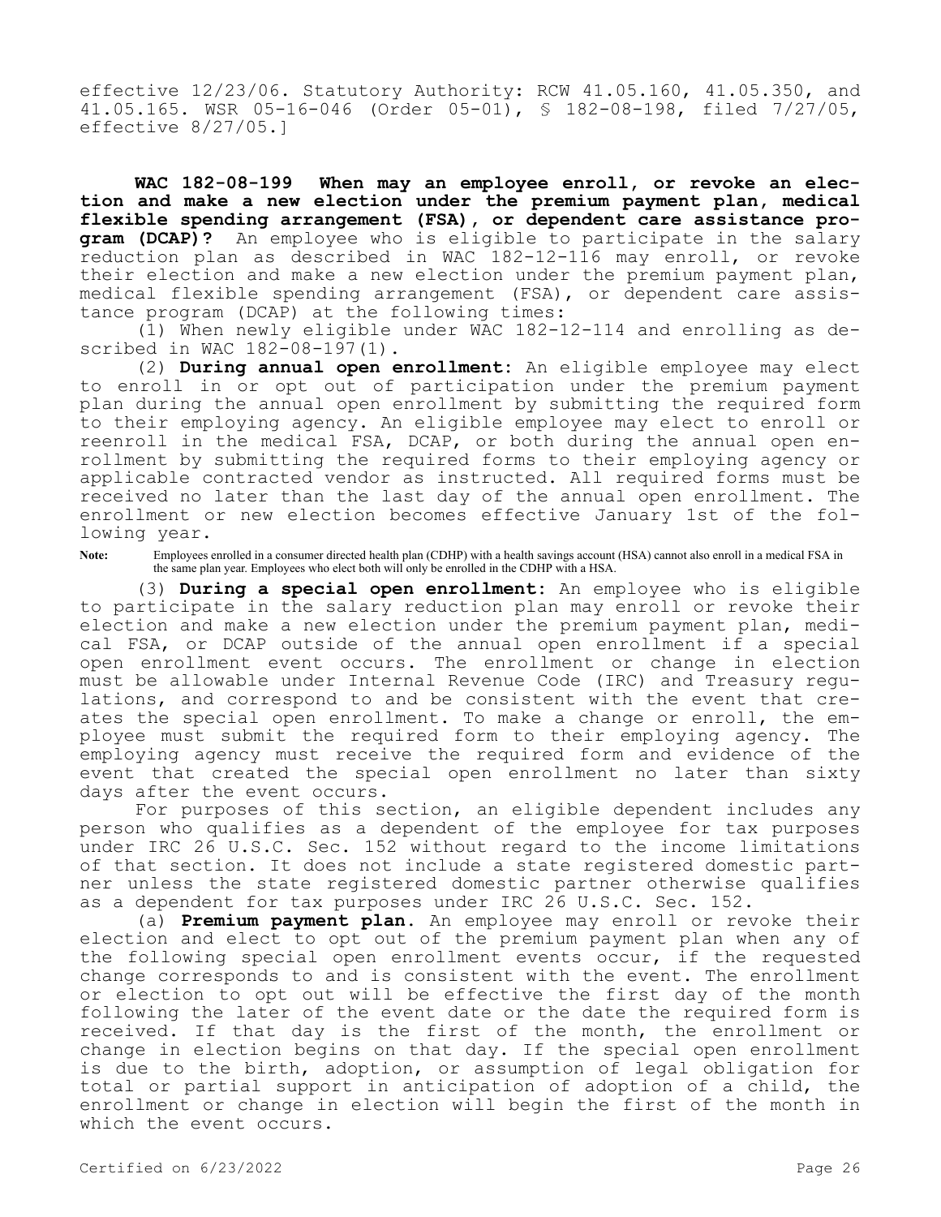effective 12/23/06. Statutory Authority: RCW 41.05.160, 41.05.350, and 41.05.165. WSR 05-16-046 (Order 05-01), § 182-08-198, filed 7/27/05, effective 8/27/05.]

**WAC 182-08-199 When may an employee enroll, or revoke an election and make a new election under the premium payment plan, medical flexible spending arrangement (FSA), or dependent care assistance program (DCAP)?** An employee who is eligible to participate in the salary reduction plan as described in WAC 182-12-116 may enroll, or revoke their election and make a new election under the premium payment plan, medical flexible spending arrangement (FSA), or dependent care assistance program (DCAP) at the following times:

(1) When newly eligible under WAC 182-12-114 and enrolling as described in WAC 182-08-197(1).

(2) **During annual open enrollment:** An eligible employee may elect to enroll in or opt out of participation under the premium payment plan during the annual open enrollment by submitting the required form to their employing agency. An eligible employee may elect to enroll or reenroll in the medical FSA, DCAP, or both during the annual open enrollment by submitting the required forms to their employing agency or applicable contracted vendor as instructed. All required forms must be received no later than the last day of the annual open enrollment. The enrollment or new election becomes effective January 1st of the following year.

Note: Employees enrolled in a consumer directed health plan (CDHP) with a health savings account (HSA) cannot also enroll in a medical FSA in the same plan year. Employees who elect both will only be enrolled in the CDHP with a HSA.

(3) **During a special open enrollment:** An employee who is eligible to participate in the salary reduction plan may enroll or revoke their election and make a new election under the premium payment plan, medical FSA, or DCAP outside of the annual open enrollment if a special open enrollment event occurs. The enrollment or change in election must be allowable under Internal Revenue Code (IRC) and Treasury regulations, and correspond to and be consistent with the event that creates the special open enrollment. To make a change or enroll, the employee must submit the required form to their employing agency. The employing agency must receive the required form and evidence of the event that created the special open enrollment no later than sixty days after the event occurs.

For purposes of this section, an eligible dependent includes any person who qualifies as a dependent of the employee for tax purposes under IRC 26 U.S.C. Sec. 152 without regard to the income limitations of that section. It does not include a state registered domestic partner unless the state registered domestic partner otherwise qualifies as a dependent for tax purposes under IRC 26 U.S.C. Sec. 152.

(a) **Premium payment plan.** An employee may enroll or revoke their election and elect to opt out of the premium payment plan when any of the following special open enrollment events occur, if the requested change corresponds to and is consistent with the event. The enrollment or election to opt out will be effective the first day of the month following the later of the event date or the date the required form is received. If that day is the first of the month, the enrollment or change in election begins on that day. If the special open enrollment is due to the birth, adoption, or assumption of legal obligation for total or partial support in anticipation of adoption of a child, the enrollment or change in election will begin the first of the month in which the event occurs.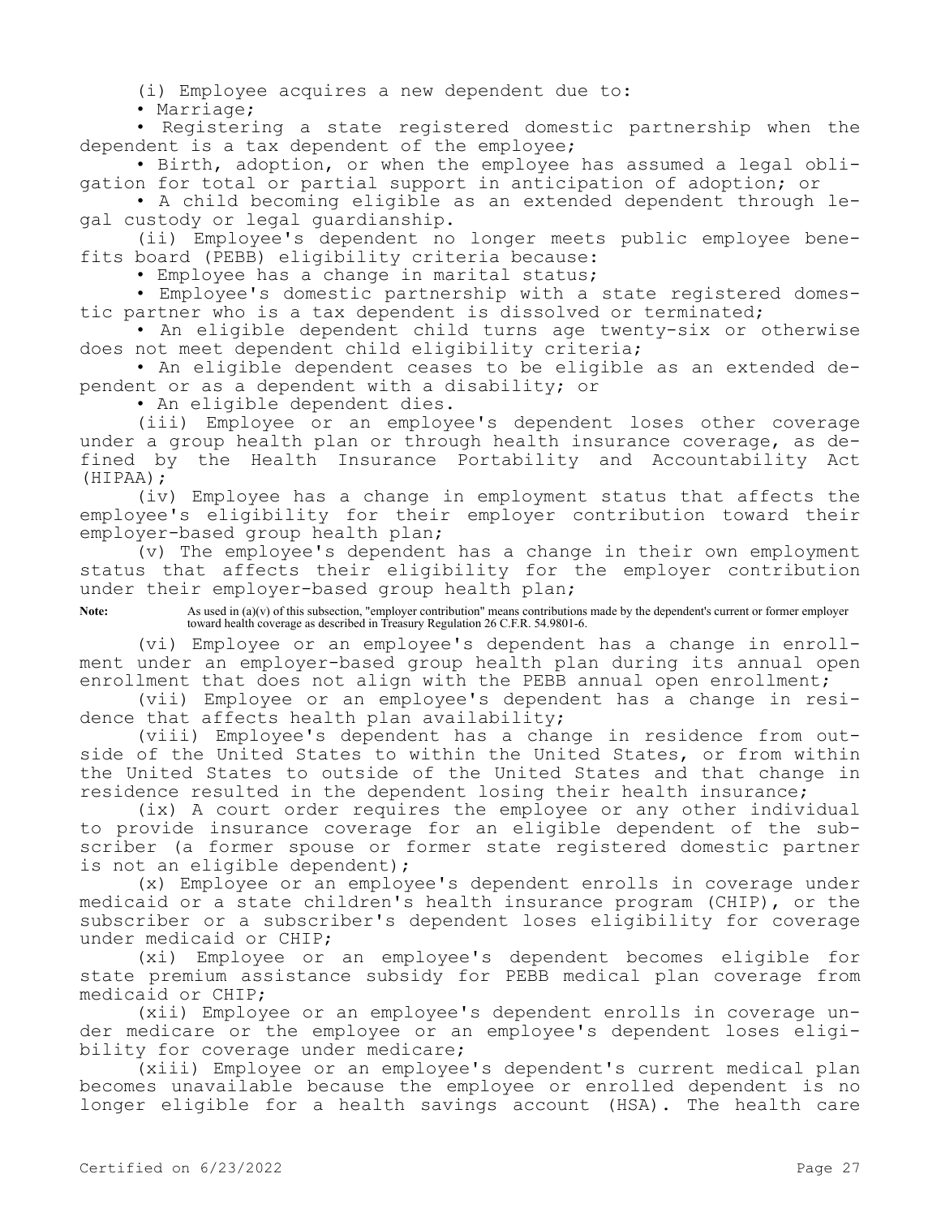(i) Employee acquires a new dependent due to:

• Marriage;

• Registering a state registered domestic partnership when the dependent is a tax dependent of the employee;

• Birth, adoption, or when the employee has assumed a legal obligation for total or partial support in anticipation of adoption; or

• A child becoming eligible as an extended dependent through legal custody or legal guardianship.

(ii) Employee's dependent no longer meets public employee benefits board (PEBB) eligibility criteria because:

• Employee has a change in marital status;

• Employee's domestic partnership with a state registered domestic partner who is a tax dependent is dissolved or terminated;

• An eligible dependent child turns age twenty-six or otherwise does not meet dependent child eligibility criteria;

• An eligible dependent ceases to be eligible as an extended dependent or as a dependent with a disability; or

• An eligible dependent dies.

(iii) Employee or an employee's dependent loses other coverage under a group health plan or through health insurance coverage, as defined by the Health Insurance Portability and Accountability Act (HIPAA);

(iv) Employee has a change in employment status that affects the employee's eligibility for their employer contribution toward their employer-based group health plan;

(v) The employee's dependent has a change in their own employment status that affects their eligibility for the employer contribution under their employer-based group health plan;

**Note:** As used in (a)(v) of this subsection, "employer contribution" means contributions made by the dependent's current or former employer toward health coverage as described in Treasury Regulation 26 C.F.R. 54.9801-6.

(vi) Employee or an employee's dependent has a change in enrollment under an employer-based group health plan during its annual open enrollment that does not align with the PEBB annual open enrollment;

(vii) Employee or an employee's dependent has a change in residence that affects health plan availability;

(viii) Employee's dependent has a change in residence from outside of the United States to within the United States, or from within the United States to outside of the United States and that change in residence resulted in the dependent losing their health insurance;

(ix) A court order requires the employee or any other individual to provide insurance coverage for an eligible dependent of the subscriber (a former spouse or former state registered domestic partner is not an eligible dependent);

(x) Employee or an employee's dependent enrolls in coverage under medicaid or a state children's health insurance program (CHIP), or the subscriber or a subscriber's dependent loses eligibility for coverage under medicaid or CHIP;

(xi) Employee or an employee's dependent becomes eligible for state premium assistance subsidy for PEBB medical plan coverage from medicaid or CHIP;

(xii) Employee or an employee's dependent enrolls in coverage under medicare or the employee or an employee's dependent loses eligibility for coverage under medicare;

(xiii) Employee or an employee's dependent's current medical plan becomes unavailable because the employee or enrolled dependent is no longer eligible for a health savings account (HSA). The health care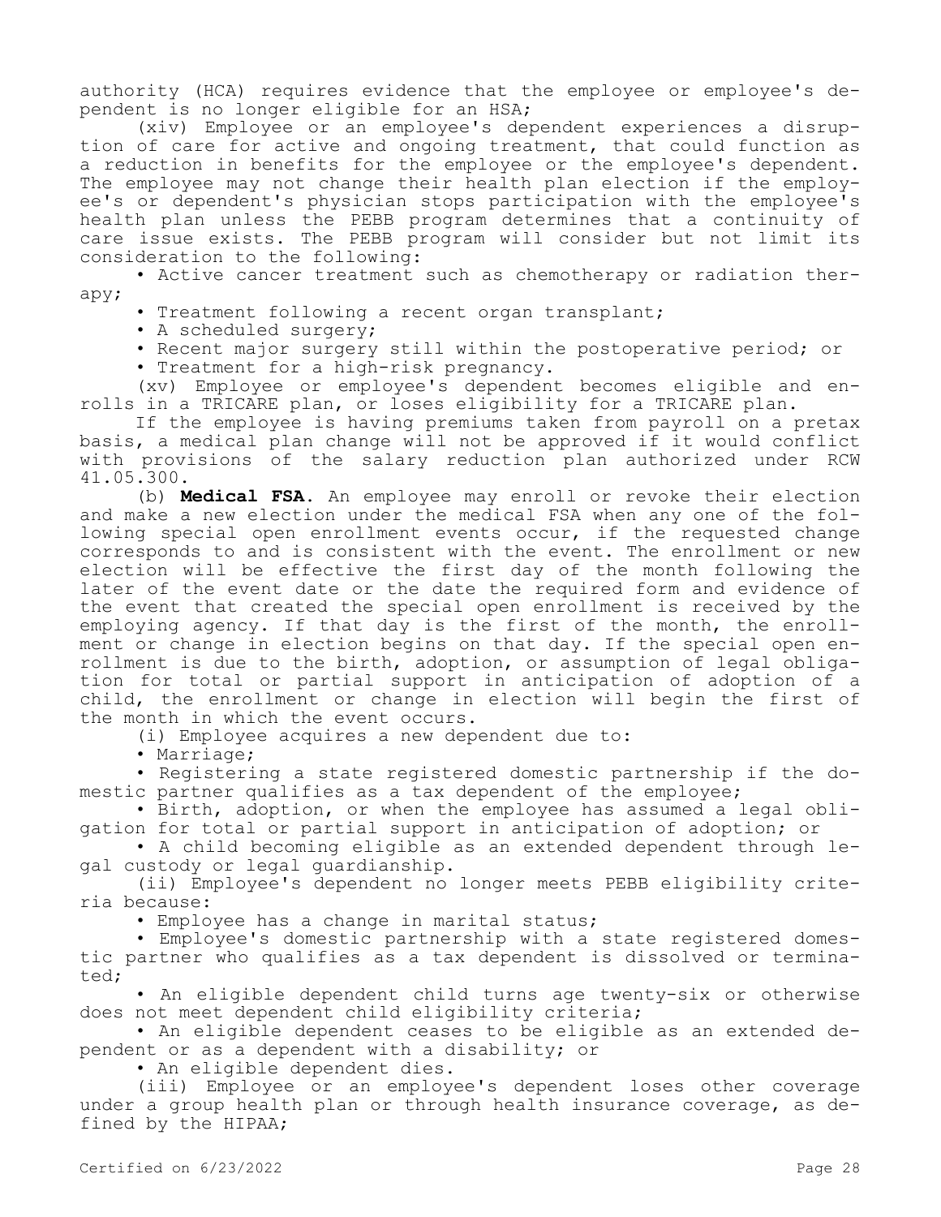authority (HCA) requires evidence that the employee or employee's dependent is no longer eligible for an HSA;

(xiv) Employee or an employee's dependent experiences a disruption of care for active and ongoing treatment, that could function as a reduction in benefits for the employee or the employee's dependent. The employee may not change their health plan election if the employee's or dependent's physician stops participation with the employee's health plan unless the PEBB program determines that a continuity of care issue exists. The PEBB program will consider but not limit its consideration to the following:

• Active cancer treatment such as chemotherapy or radiation therapy;

• Treatment following a recent organ transplant;

• A scheduled surgery;

• Recent major surgery still within the postoperative period; or

• Treatment for a high-risk pregnancy.

(xv) Employee or employee's dependent becomes eligible and enrolls in a TRICARE plan, or loses eligibility for a TRICARE plan.

If the employee is having premiums taken from payroll on a pretax basis, a medical plan change will not be approved if it would conflict with provisions of the salary reduction plan authorized under RCW 41.05.300.

(b) **Medical FSA.** An employee may enroll or revoke their election and make a new election under the medical FSA when any one of the following special open enrollment events occur, if the requested change corresponds to and is consistent with the event. The enrollment or new election will be effective the first day of the month following the later of the event date or the date the required form and evidence of the event that created the special open enrollment is received by the employing agency. If that day is the first of the month, the enrollment or change in election begins on that day. If the special open enrollment is due to the birth, adoption, or assumption of legal obligation for total or partial support in anticipation of adoption of a child, the enrollment or change in election will begin the first of the month in which the event occurs.

(i) Employee acquires a new dependent due to:

• Marriage;

• Registering a state registered domestic partnership if the domestic partner qualifies as a tax dependent of the employee;

• Birth, adoption, or when the employee has assumed a legal obligation for total or partial support in anticipation of adoption; or

• A child becoming eligible as an extended dependent through legal custody or legal guardianship.

(ii) Employee's dependent no longer meets PEBB eligibility criteria because:

• Employee has a change in marital status;

• Employee's domestic partnership with a state registered domestic partner who qualifies as a tax dependent is dissolved or terminated;

• An eligible dependent child turns age twenty-six or otherwise does not meet dependent child eligibility criteria;

• An eligible dependent ceases to be eligible as an extended dependent or as a dependent with a disability; or

• An eligible dependent dies.

(iii) Employee or an employee's dependent loses other coverage under a group health plan or through health insurance coverage, as defined by the HIPAA;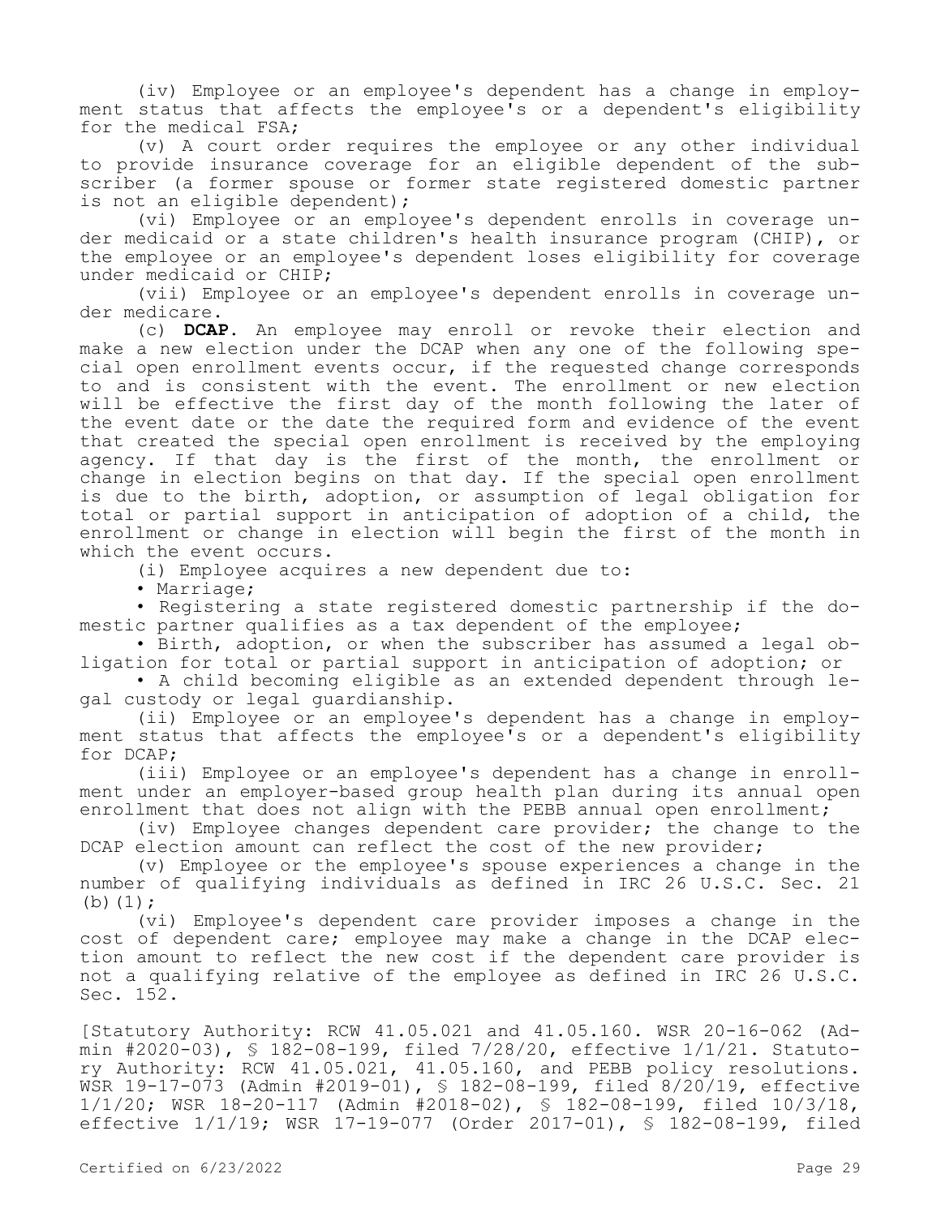(iv) Employee or an employee's dependent has a change in employment status that affects the employee's or a dependent's eligibility for the medical FSA;

(v) A court order requires the employee or any other individual to provide insurance coverage for an eligible dependent of the subscriber (a former spouse or former state registered domestic partner is not an eligible dependent);

(vi) Employee or an employee's dependent enrolls in coverage under medicaid or a state children's health insurance program (CHIP), or the employee or an employee's dependent loses eligibility for coverage under medicaid or CHIP;

(vii) Employee or an employee's dependent enrolls in coverage under medicare.

(c) **DCAP.** An employee may enroll or revoke their election and make a new election under the DCAP when any one of the following special open enrollment events occur, if the requested change corresponds to and is consistent with the event. The enrollment or new election will be effective the first day of the month following the later of the event date or the date the required form and evidence of the event that created the special open enrollment is received by the employing agency. If that day is the first of the month, the enrollment or change in election begins on that day. If the special open enrollment is due to the birth, adoption, or assumption of legal obligation for total or partial support in anticipation of adoption of a child, the enrollment or change in election will begin the first of the month in which the event occurs.

(i) Employee acquires a new dependent due to:

• Marriage;

• Registering a state registered domestic partnership if the domestic partner qualifies as a tax dependent of the employee;

• Birth, adoption, or when the subscriber has assumed a legal obligation for total or partial support in anticipation of adoption; or

• A child becoming eligible as an extended dependent through legal custody or legal guardianship.

(ii) Employee or an employee's dependent has a change in employment status that affects the employee's or a dependent's eligibility for DCAP;

(iii) Employee or an employee's dependent has a change in enrollment under an employer-based group health plan during its annual open enrollment that does not align with the PEBB annual open enrollment;

(iv) Employee changes dependent care provider; the change to the DCAP election amount can reflect the cost of the new provider;

(v) Employee or the employee's spouse experiences a change in the number of qualifying individuals as defined in IRC 26 U.S.C. Sec. 21 (b)  $(1);$ 

(vi) Employee's dependent care provider imposes a change in the cost of dependent care; employee may make a change in the DCAP election amount to reflect the new cost if the dependent care provider is not a qualifying relative of the employee as defined in IRC 26 U.S.C. Sec. 152.

[Statutory Authority: RCW 41.05.021 and 41.05.160. WSR 20-16-062 (Admin #2020-03), § 182-08-199, filed 7/28/20, effective 1/1/21. Statutory Authority: RCW 41.05.021, 41.05.160, and PEBB policy resolutions. WSR 19-17-073 (Admin #2019-01), § 182-08-199, filed 8/20/19, effective 1/1/20; WSR 18-20-117 (Admin #2018-02), § 182-08-199, filed 10/3/18, effective 1/1/19; WSR 17-19-077 (Order 2017-01), § 182-08-199, filed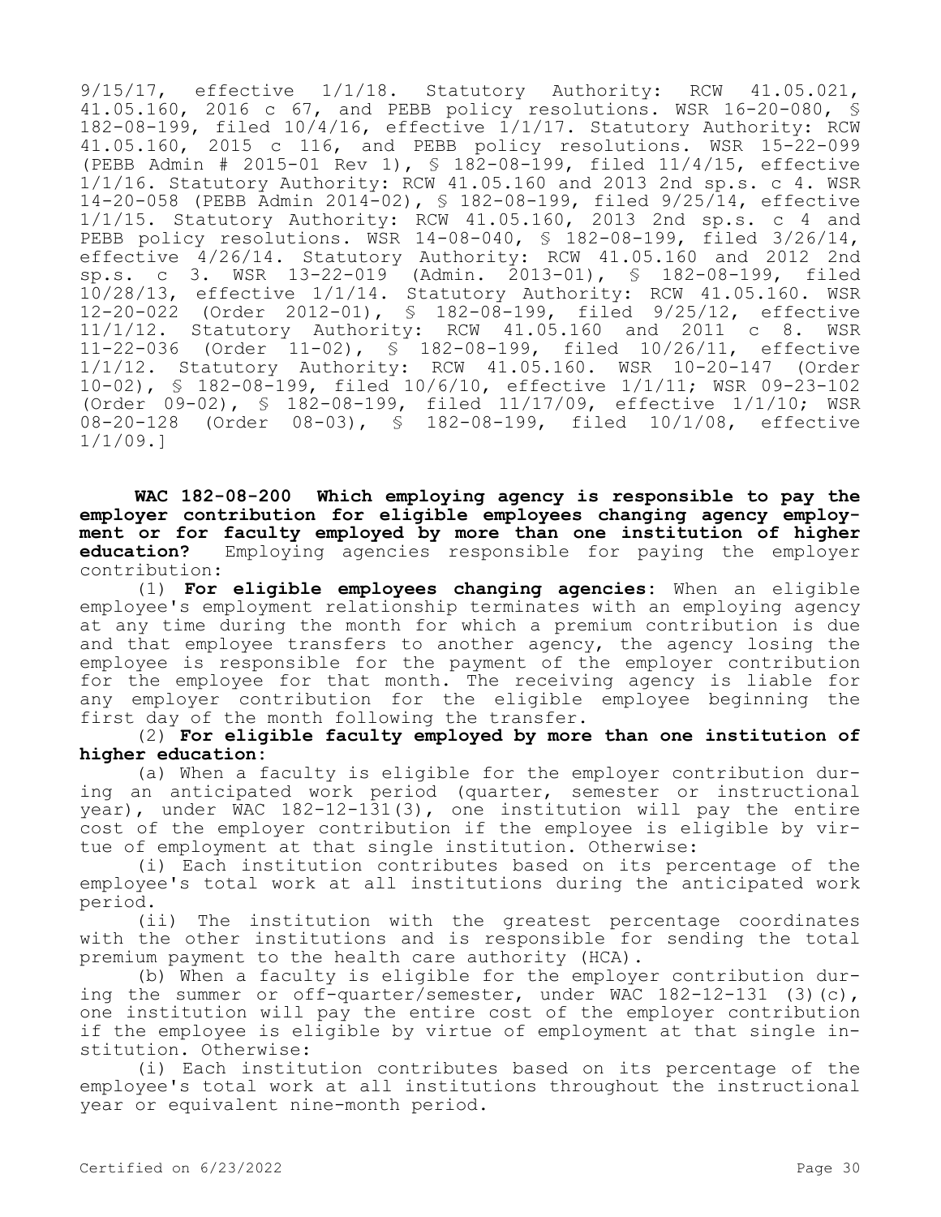9/15/17, effective 1/1/18. Statutory Authority: RCW 41.05.021, 41.05.160, 2016 c 67, and PEBB policy resolutions. WSR 16-20-080, § 182-08-199, filed 10/4/16, effective 1/1/17. Statutory Authority: RCW 41.05.160, 2015 c 116, and PEBB policy resolutions. WSR 15-22-099 (PEBB Admin # 2015-01 Rev 1), § 182-08-199, filed 11/4/15, effective 1/1/16. Statutory Authority: RCW 41.05.160 and 2013 2nd sp.s. c 4. WSR 14-20-058 (PEBB Admin 2014-02), § 182-08-199, filed 9/25/14, effective 1/1/15. Statutory Authority: RCW 41.05.160, 2013 2nd sp.s. c 4 and PEBB policy resolutions. WSR 14-08-040, § 182-08-199, filed 3/26/14, effective 4/26/14. Statutory Authority: RCW 41.05.160 and 2012 2nd sp.s. c 3. WSR 13-22-019 (Admin. 2013-01), § 182-08-199, filed 10/28/13, effective 1/1/14. Statutory Authority: RCW 41.05.160. WSR 12-20-022 (Order 2012-01), § 182-08-199, filed 9/25/12, effective Statutory Authority: RCW 41.05.160 and 2011 c 8. WSR 11-22-036 (Order 11-02), § 182-08-199, filed 10/26/11, effective 1/1/12. Statutory Authority: RCW 41.05.160. WSR 10-20-147 (Order 10-02), § 182-08-199, filed 10/6/10, effective 1/1/11; WSR 09-23-102 (Order 09-02), § 182-08-199, filed 11/17/09, effective 1/1/10; WSR 08-20-128 (Order 08-03), § 182-08-199, filed 10/1/08, effective 1/1/09.]

**WAC 182-08-200 Which employing agency is responsible to pay the employer contribution for eligible employees changing agency employment or for faculty employed by more than one institution of higher education?** Employing agencies responsible for paying the employer contribution:

(1) **For eligible employees changing agencies:** When an eligible employee's employment relationship terminates with an employing agency at any time during the month for which a premium contribution is due and that employee transfers to another agency, the agency losing the employee is responsible for the payment of the employer contribution for the employee for that month. The receiving agency is liable for any employer contribution for the eligible employee beginning the first day of the month following the transfer.

(2) **For eligible faculty employed by more than one institution of higher education:**

(a) When a faculty is eligible for the employer contribution during an anticipated work period (quarter, semester or instructional year), under WAC 182-12-131(3), one institution will pay the entire cost of the employer contribution if the employee is eligible by virtue of employment at that single institution. Otherwise:

(i) Each institution contributes based on its percentage of the employee's total work at all institutions during the anticipated work period.

(ii) The institution with the greatest percentage coordinates with the other institutions and is responsible for sending the total premium payment to the health care authority (HCA).

(b) When a faculty is eligible for the employer contribution during the summer or off-quarter/semester, under WAC  $182-12-131$  (3)(c), one institution will pay the entire cost of the employer contribution if the employee is eligible by virtue of employment at that single institution. Otherwise:

(i) Each institution contributes based on its percentage of the employee's total work at all institutions throughout the instructional year or equivalent nine-month period.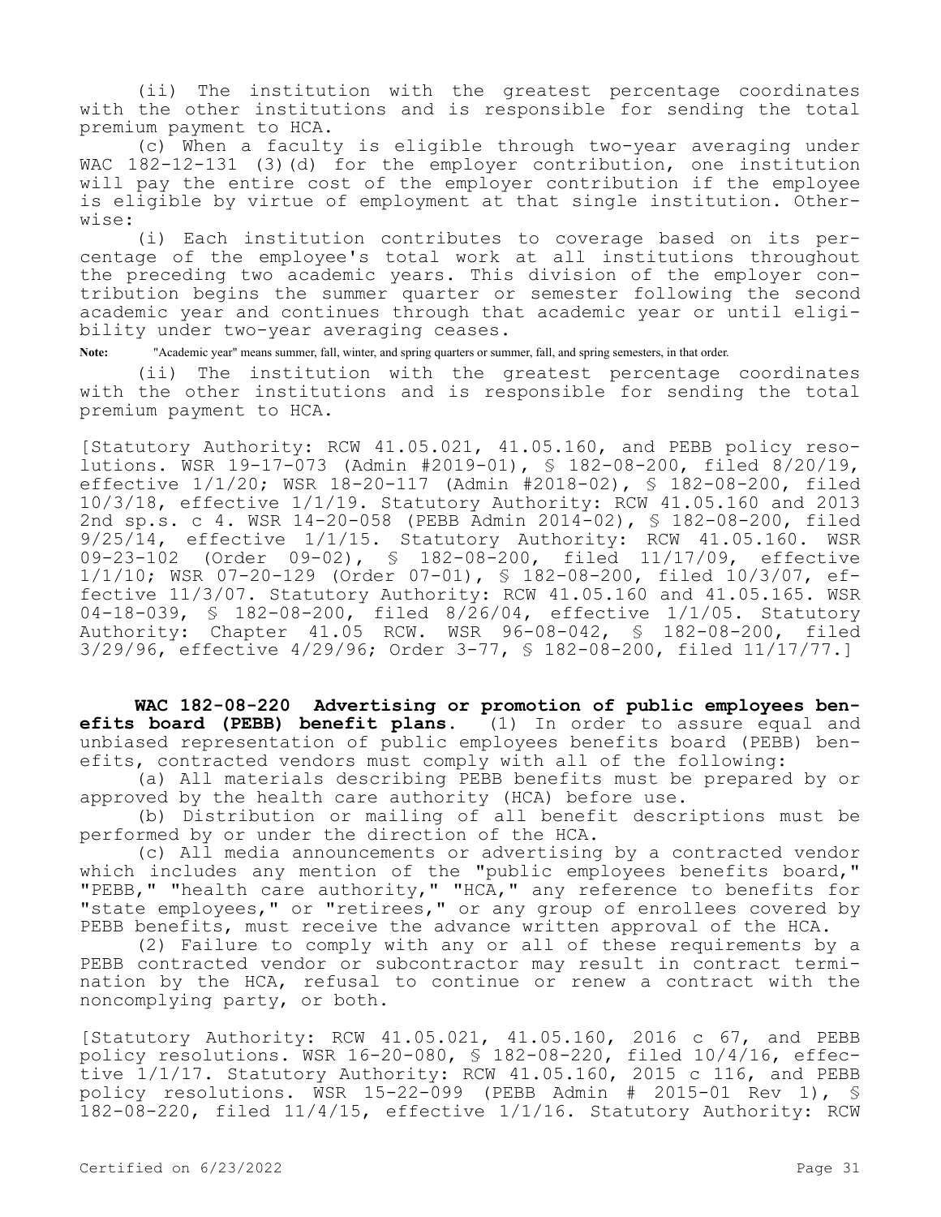(ii) The institution with the greatest percentage coordinates with the other institutions and is responsible for sending the total premium payment to HCA.

(c) When a faculty is eligible through two-year averaging under WAC 182-12-131 (3)(d) for the employer contribution, one institution will pay the entire cost of the employer contribution if the employee is eligible by virtue of employment at that single institution. Otherwise:

(i) Each institution contributes to coverage based on its percentage of the employee's total work at all institutions throughout the preceding two academic years. This division of the employer contribution begins the summer quarter or semester following the second academic year and continues through that academic year or until eligibility under two-year averaging ceases.

**Note:** "Academic year" means summer, fall, winter, and spring quarters or summer, fall, and spring semesters, in that order.

(ii) The institution with the greatest percentage coordinates with the other institutions and is responsible for sending the total premium payment to HCA.

[Statutory Authority: RCW 41.05.021, 41.05.160, and PEBB policy resolutions. WSR 19-17-073 (Admin #2019-01), § 182-08-200, filed 8/20/19, effective 1/1/20; WSR 18-20-117 (Admin #2018-02), § 182-08-200, filed 10/3/18, effective 1/1/19. Statutory Authority: RCW 41.05.160 and 2013 2nd sp.s. c 4. WSR 14-20-058 (PEBB Admin 2014-02), § 182-08-200, filed 9/25/14, effective 1/1/15. Statutory Authority: RCW 41.05.160. WSR 09-23-102 (Order 09-02), § 182-08-200, filed 11/17/09, effective 1/1/10; WSR 07-20-129 (Order 07-01), § 182-08-200, filed 10/3/07, effective 11/3/07. Statutory Authority: RCW 41.05.160 and 41.05.165. WSR 04-18-039, § 182-08-200, filed 8/26/04, effective 1/1/05. Statutory Authority: Chapter 41.05 RCW. WSR 96-08-042, § 182-08-200, filed 3/29/96, effective 4/29/96; Order 3-77, § 182-08-200, filed 11/17/77.]

**WAC 182-08-220 Advertising or promotion of public employees benefits board (PEBB) benefit plans.** (1) In order to assure equal and unbiased representation of public employees benefits board (PEBB) benefits, contracted vendors must comply with all of the following:

(a) All materials describing PEBB benefits must be prepared by or approved by the health care authority (HCA) before use.

(b) Distribution or mailing of all benefit descriptions must be performed by or under the direction of the HCA.

(c) All media announcements or advertising by a contracted vendor which includes any mention of the "public employees benefits board," "PEBB," "health care authority," "HCA," any reference to benefits for "state employees," or "retirees," or any group of enrollees covered by PEBB benefits, must receive the advance written approval of the HCA.

(2) Failure to comply with any or all of these requirements by a PEBB contracted vendor or subcontractor may result in contract termination by the HCA, refusal to continue or renew a contract with the noncomplying party, or both.

[Statutory Authority: RCW 41.05.021, 41.05.160, 2016 c 67, and PEBB policy resolutions. WSR 16-20-080, § 182-08-220, filed 10/4/16, effective 1/1/17. Statutory Authority: RCW 41.05.160, 2015 c 116, and PEBB policy resolutions. WSR 15-22-099 (PEBB Admin # 2015-01 Rev 1), § 182-08-220, filed 11/4/15, effective 1/1/16. Statutory Authority: RCW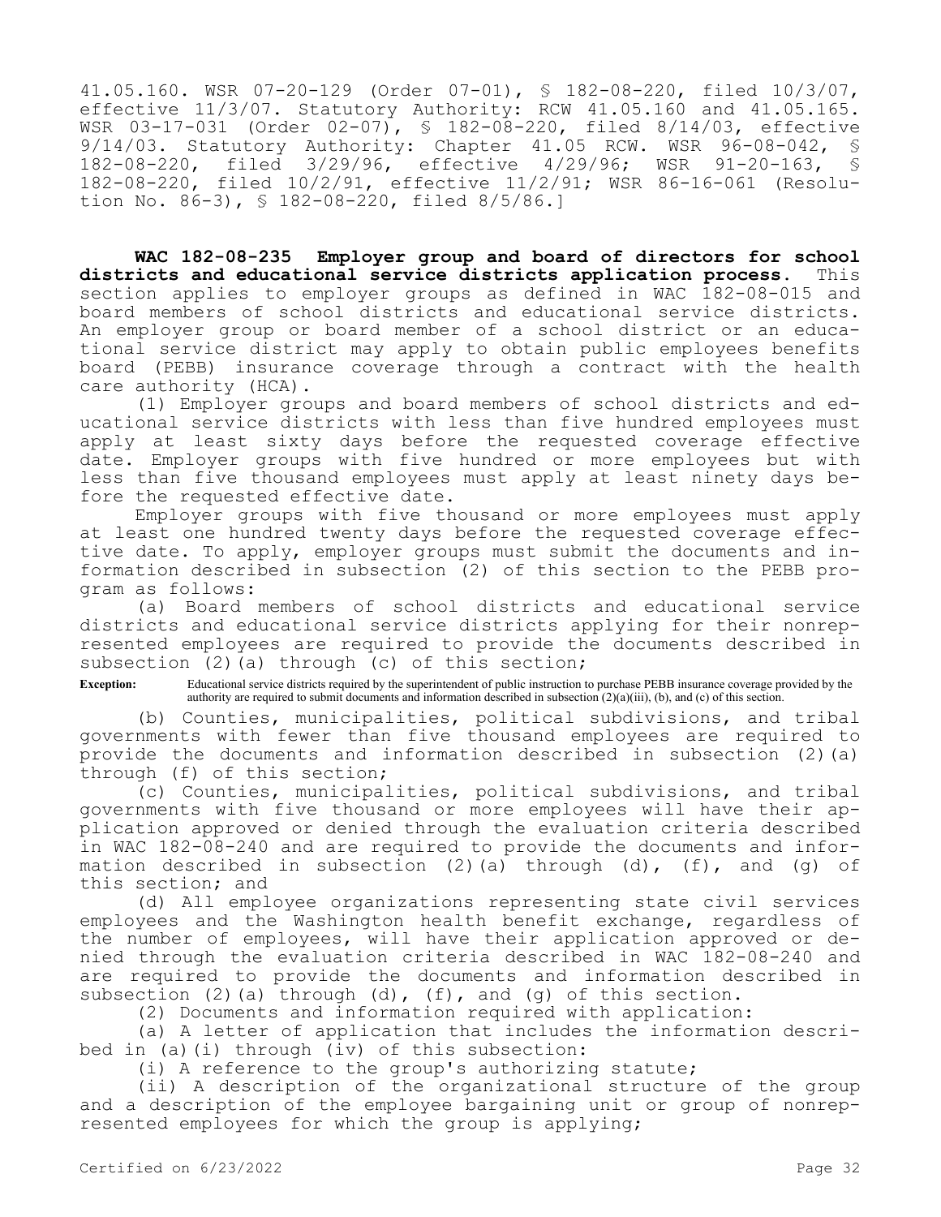41.05.160. WSR 07-20-129 (Order 07-01), § 182-08-220, filed 10/3/07, effective 11/3/07. Statutory Authority: RCW 41.05.160 and 41.05.165. WSR 03-17-031 (Order 02-07), § 182-08-220, filed 8/14/03, effective 9/14/03. Statutory Authority: Chapter 41.05 RCW. WSR 96-08-042, \$<br>182-08-220, filed 3/29/96, effective 4/29/96; WSR 91-20-163, \$ 182-08-220, filed 3/29/96, effective 4/29/96; WSR 91-20-163, 182-08-220, filed 10/2/91, effective 11/2/91; WSR 86-16-061 (Resolution No. 86-3), § 182-08-220, filed 8/5/86.]

**WAC 182-08-235 Employer group and board of directors for school districts and educational service districts application process.** This section applies to employer groups as defined in WAC 182-08-015 and board members of school districts and educational service districts. An employer group or board member of a school district or an educational service district may apply to obtain public employees benefits board (PEBB) insurance coverage through a contract with the health care authority (HCA).

(1) Employer groups and board members of school districts and educational service districts with less than five hundred employees must apply at least sixty days before the requested coverage effective date. Employer groups with five hundred or more employees but with less than five thousand employees must apply at least ninety days before the requested effective date.

Employer groups with five thousand or more employees must apply at least one hundred twenty days before the requested coverage effective date. To apply, employer groups must submit the documents and information described in subsection (2) of this section to the PEBB program as follows:

(a) Board members of school districts and educational service districts and educational service districts applying for their nonrepresented employees are required to provide the documents described in subsection (2)(a) through (c) of this section;

**Exception:** Educational service districts required by the superintendent of public instruction to purchase PEBB insurance coverage provided by the authority are required to submit documents and information described in subsection (2)(a)(iii), (b), and (c) of this section.

(b) Counties, municipalities, political subdivisions, and tribal governments with fewer than five thousand employees are required to provide the documents and information described in subsection (2)(a) through (f) of this section;

(c) Counties, municipalities, political subdivisions, and tribal governments with five thousand or more employees will have their application approved or denied through the evaluation criteria described in WAC 182-08-240 and are required to provide the documents and information described in subsection (2)(a) through (d),  $(f)$ , and (q) of this section; and

(d) All employee organizations representing state civil services employees and the Washington health benefit exchange, regardless of the number of employees, will have their application approved or denied through the evaluation criteria described in WAC 182-08-240 and are required to provide the documents and information described in subsection (2)(a) through (d), (f), and (g) of this section.

(2) Documents and information required with application:

(a) A letter of application that includes the information described in (a)(i) through (iv) of this subsection:

(i) A reference to the group's authorizing statute;

(ii) A description of the organizational structure of the group and a description of the employee bargaining unit or group of nonrepresented employees for which the group is applying;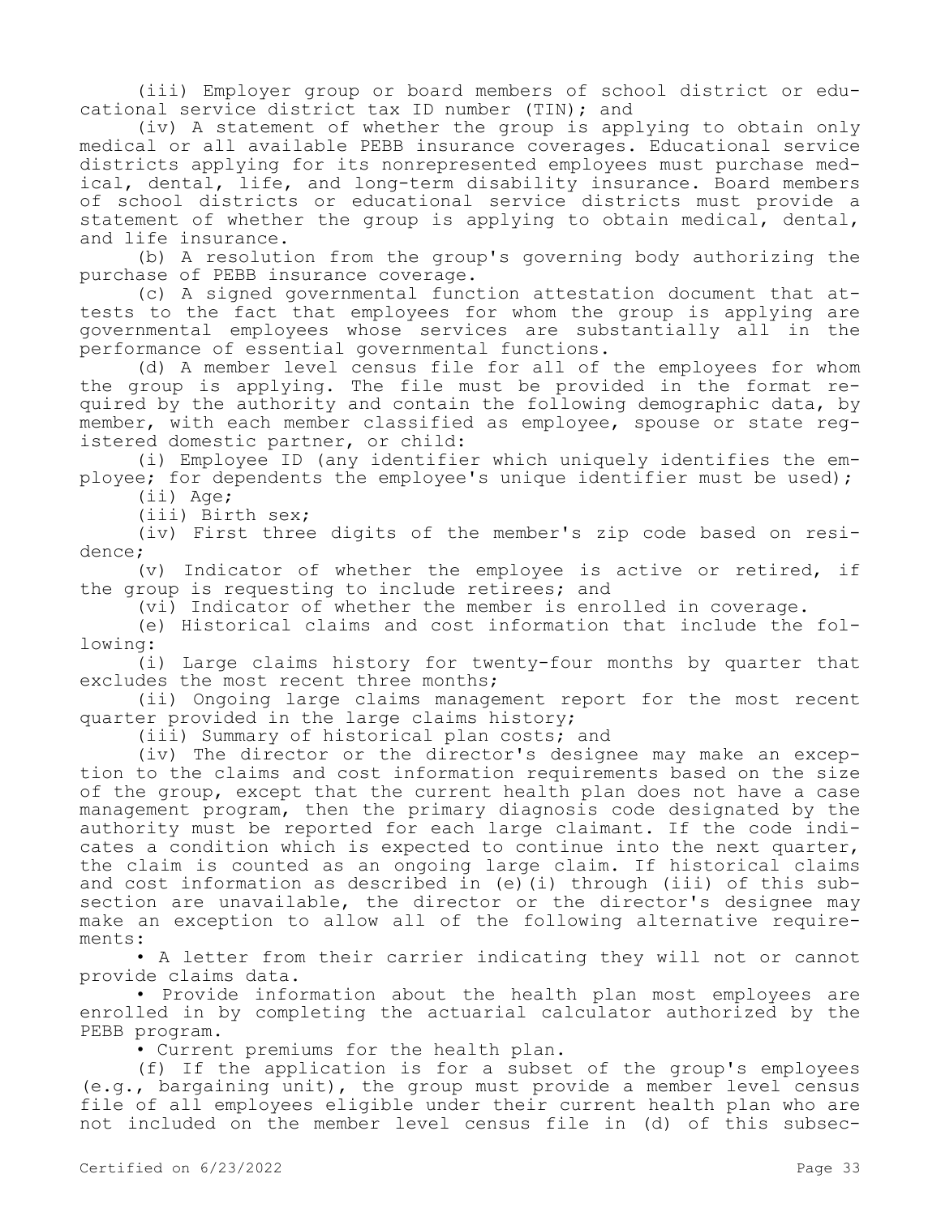(iii) Employer group or board members of school district or educational service district tax ID number (TIN); and

(iv) A statement of whether the group is applying to obtain only medical or all available PEBB insurance coverages. Educational service districts applying for its nonrepresented employees must purchase medical, dental, life, and long-term disability insurance. Board members of school districts or educational service districts must provide a statement of whether the group is applying to obtain medical, dental, and life insurance.

(b) A resolution from the group's governing body authorizing the purchase of PEBB insurance coverage.

(c) A signed governmental function attestation document that attests to the fact that employees for whom the group is applying are governmental employees whose services are substantially all in the performance of essential governmental functions.

(d) A member level census file for all of the employees for whom the group is applying. The file must be provided in the format required by the authority and contain the following demographic data, by member, with each member classified as employee, spouse or state registered domestic partner, or child:

(i) Employee ID (any identifier which uniquely identifies the employee; for dependents the employee's unique identifier must be used); (ii) Age;

(iii) Birth sex;

(iv) First three digits of the member's zip code based on residence;

(v) Indicator of whether the employee is active or retired, if the group is requesting to include retirees; and

(vi) Indicator of whether the member is enrolled in coverage.

(e) Historical claims and cost information that include the following:

(i) Large claims history for twenty-four months by quarter that excludes the most recent three months;

(ii) Ongoing large claims management report for the most recent quarter provided in the large claims history;

(iii) Summary of historical plan costs; and

(iv) The director or the director's designee may make an exception to the claims and cost information requirements based on the size of the group, except that the current health plan does not have a case management program, then the primary diagnosis code designated by the authority must be reported for each large claimant. If the code indicates a condition which is expected to continue into the next quarter, the claim is counted as an ongoing large claim. If historical claims and cost information as described in (e)(i) through (iii) of this subsection are unavailable, the director or the director's designee may make an exception to allow all of the following alternative requirements:

• A letter from their carrier indicating they will not or cannot provide claims data.

• Provide information about the health plan most employees are enrolled in by completing the actuarial calculator authorized by the PEBB program.

• Current premiums for the health plan.

(f) If the application is for a subset of the group's employees (e.g., bargaining unit), the group must provide a member level census file of all employees eligible under their current health plan who are not included on the member level census file in (d) of this subsec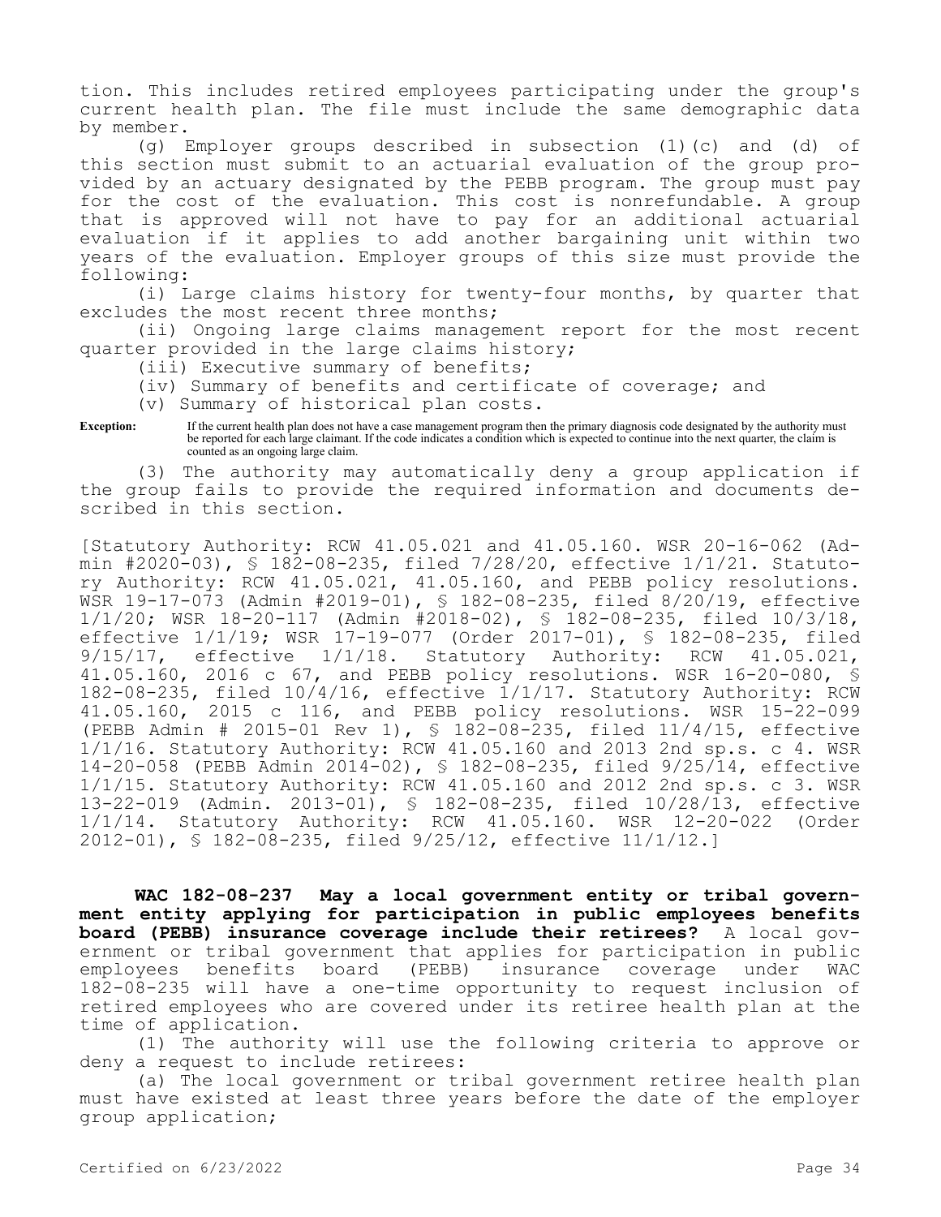tion. This includes retired employees participating under the group's current health plan. The file must include the same demographic data by member.

(g) Employer groups described in subsection (1)(c) and (d) of this section must submit to an actuarial evaluation of the group provided by an actuary designated by the PEBB program. The group must pay for the cost of the evaluation. This cost is nonrefundable. A group that is approved will not have to pay for an additional actuarial evaluation if it applies to add another bargaining unit within two years of the evaluation. Employer groups of this size must provide the following:

(i) Large claims history for twenty-four months, by quarter that excludes the most recent three months;

(ii) Ongoing large claims management report for the most recent quarter provided in the large claims history;

(iii) Executive summary of benefits;

(iv) Summary of benefits and certificate of coverage; and

(v) Summary of historical plan costs.

**Exception:** If the current health plan does not have a case management program then the primary diagnosis code designated by the authority must be reported for each large claimant. If the code indicates a condition which is expected to continue into the next quarter, the claim is counted as an ongoing large claim.

(3) The authority may automatically deny a group application if the group fails to provide the required information and documents described in this section.

[Statutory Authority: RCW 41.05.021 and 41.05.160. WSR 20-16-062 (Admin #2020-03), § 182-08-235, filed 7/28/20, effective 1/1/21. Statutory Authority: RCW 41.05.021, 41.05.160, and PEBB policy resolutions. WSR 19-17-073 (Admin #2019-01), § 182-08-235, filed 8/20/19, effective 1/1/20; WSR 18-20-117 (Admin #2018-02), § 182-08-235, filed 10/3/18, effective 1/1/19; WSR 17-19-077 (Order 2017-01), § 182-08-235, filed 9/15/17, effective 1/1/18. Statutory Authority: RCW 41.05.021, 41.05.160, 2016 c 67, and PEBB policy resolutions. WSR 16-20-080, § 182-08-235, filed 10/4/16, effective 1/1/17. Statutory Authority: RCW 41.05.160, 2015 c 116, and PEBB policy resolutions. WSR 15-22-099 (PEBB Admin # 2015-01 Rev 1), § 182-08-235, filed 11/4/15, effective 1/1/16. Statutory Authority: RCW 41.05.160 and 2013 2nd sp.s. c 4. WSR 14-20-058 (PEBB Admin 2014-02), § 182-08-235, filed 9/25/14, effective 1/1/15. Statutory Authority: RCW 41.05.160 and 2012 2nd sp.s. c 3. WSR 13-22-019 (Admin. 2013-01), § 182-08-235, filed 10/28/13, effective 1/1/14. Statutory Authority: RCW 41.05.160. WSR 12-20-022 (Order 2012-01), § 182-08-235, filed 9/25/12, effective 11/1/12.]

**WAC 182-08-237 May a local government entity or tribal government entity applying for participation in public employees benefits board (PEBB) insurance coverage include their retirees?** A local government or tribal government that applies for participation in public employees benefits board (PEBB) insurance coverage under WAC 182-08-235 will have a one-time opportunity to request inclusion of retired employees who are covered under its retiree health plan at the time of application.

(1) The authority will use the following criteria to approve or deny a request to include retirees:

(a) The local government or tribal government retiree health plan must have existed at least three years before the date of the employer group application;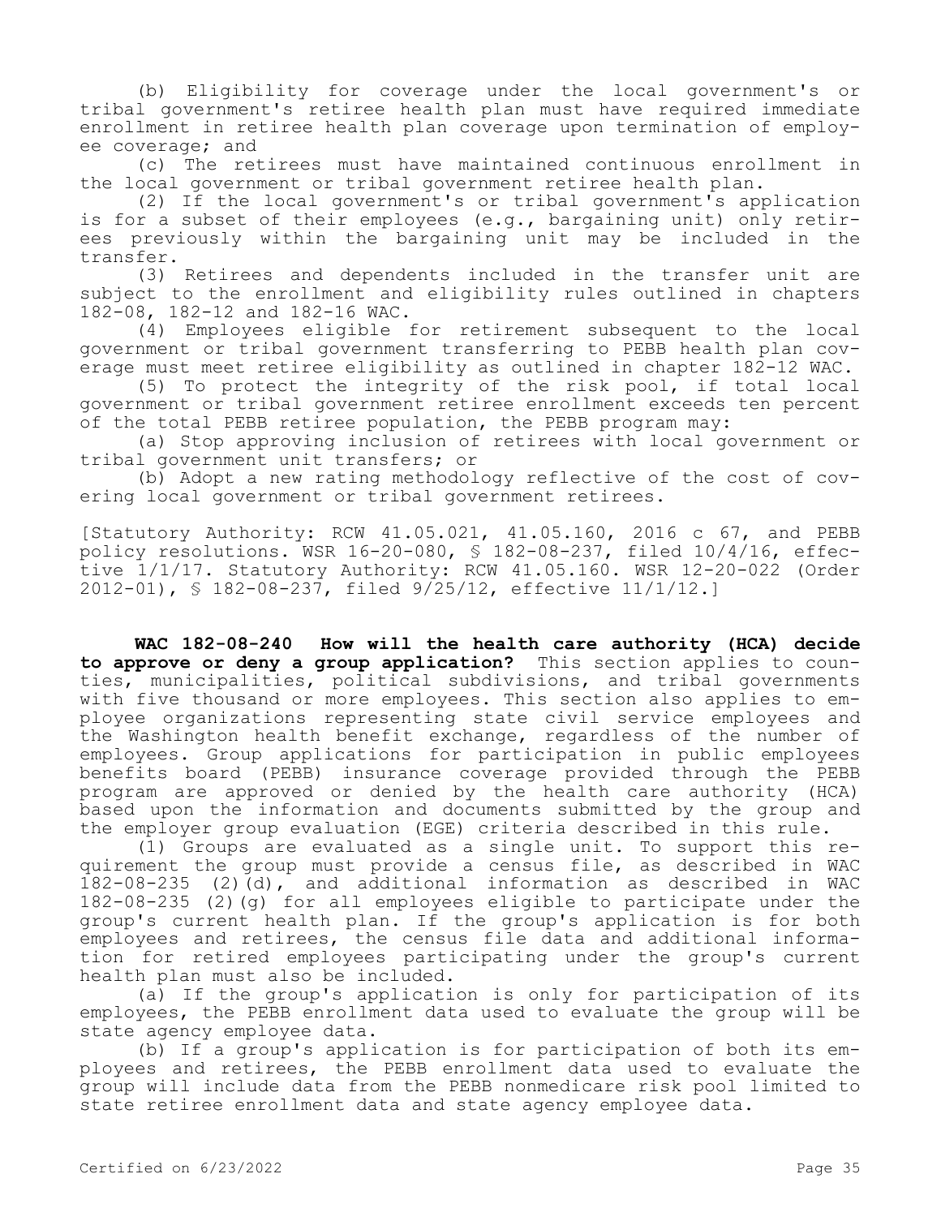(b) Eligibility for coverage under the local government's or tribal government's retiree health plan must have required immediate enrollment in retiree health plan coverage upon termination of employee coverage; and

(c) The retirees must have maintained continuous enrollment in the local government or tribal government retiree health plan.

(2) If the local government's or tribal government's application is for a subset of their employees (e.g., bargaining unit) only retirees previously within the bargaining unit may be included in the transfer.

(3) Retirees and dependents included in the transfer unit are subject to the enrollment and eligibility rules outlined in chapters 182-08, 182-12 and 182-16 WAC.

(4) Employees eligible for retirement subsequent to the local government or tribal government transferring to PEBB health plan coverage must meet retiree eligibility as outlined in chapter 182-12 WAC.

(5) To protect the integrity of the risk pool, if total local government or tribal government retiree enrollment exceeds ten percent of the total PEBB retiree population, the PEBB program may:

(a) Stop approving inclusion of retirees with local government or tribal government unit transfers; or

(b) Adopt a new rating methodology reflective of the cost of covering local government or tribal government retirees.

[Statutory Authority: RCW 41.05.021, 41.05.160, 2016 c 67, and PEBB policy resolutions. WSR 16-20-080, § 182-08-237, filed 10/4/16, effective 1/1/17. Statutory Authority: RCW 41.05.160. WSR 12-20-022 (Order 2012-01), § 182-08-237, filed 9/25/12, effective 11/1/12.]

**WAC 182-08-240 How will the health care authority (HCA) decide to approve or deny a group application?** This section applies to counties, municipalities, political subdivisions, and tribal governments with five thousand or more employees. This section also applies to employee organizations representing state civil service employees and the Washington health benefit exchange, regardless of the number of employees. Group applications for participation in public employees benefits board (PEBB) insurance coverage provided through the PEBB program are approved or denied by the health care authority (HCA) based upon the information and documents submitted by the group and the employer group evaluation (EGE) criteria described in this rule.

(1) Groups are evaluated as a single unit. To support this requirement the group must provide a census file, as described in WAC  $182-08-235$  (2)(d), and additional information as described in WAC 182-08-235 (2)(g) for all employees eligible to participate under the group's current health plan. If the group's application is for both employees and retirees, the census file data and additional information for retired employees participating under the group's current health plan must also be included.

(a) If the group's application is only for participation of its employees, the PEBB enrollment data used to evaluate the group will be state agency employee data.

(b) If a group's application is for participation of both its employees and retirees, the PEBB enrollment data used to evaluate the group will include data from the PEBB nonmedicare risk pool limited to state retiree enrollment data and state agency employee data.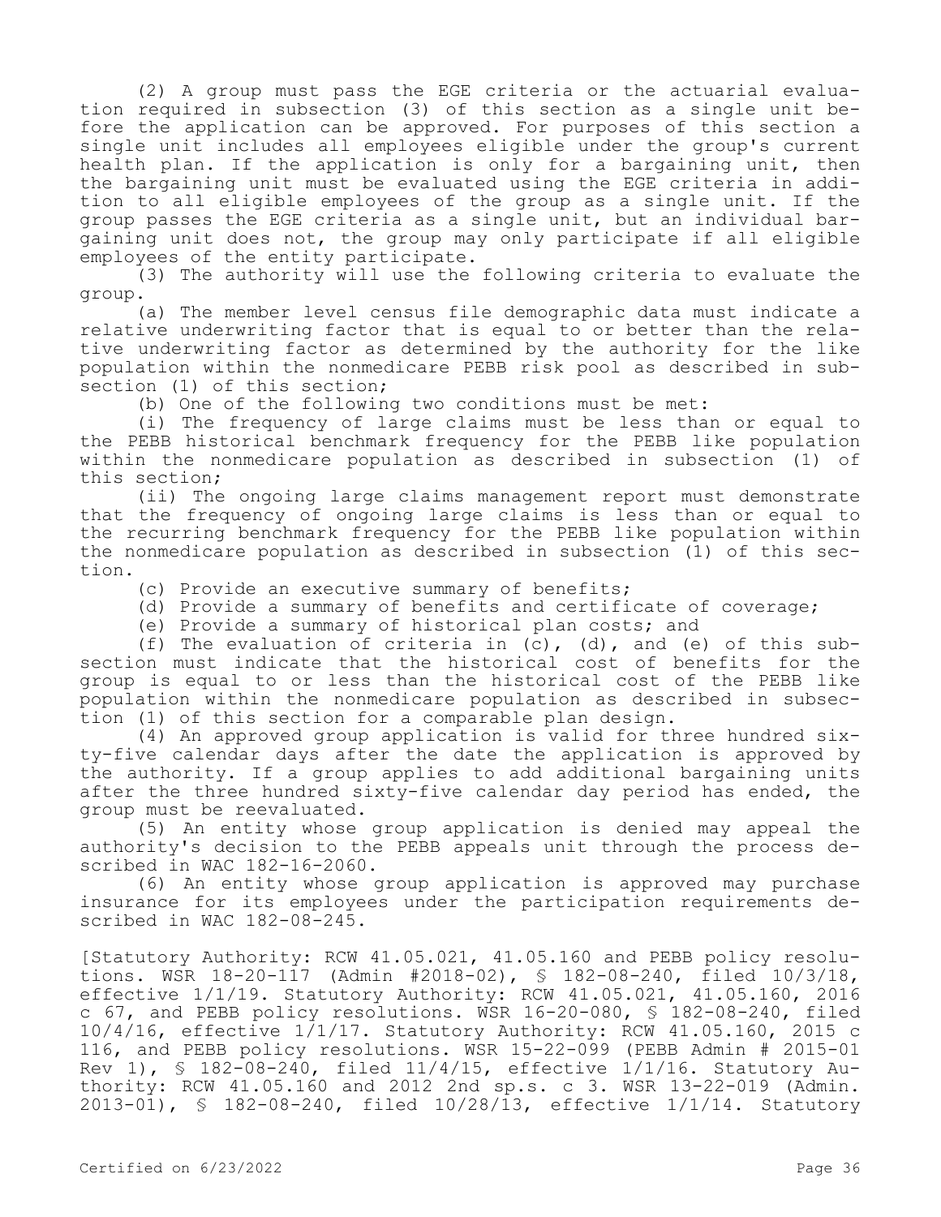(2) A group must pass the EGE criteria or the actuarial evaluation required in subsection (3) of this section as a single unit before the application can be approved. For purposes of this section a single unit includes all employees eligible under the group's current health plan. If the application is only for a bargaining unit, then the bargaining unit must be evaluated using the EGE criteria in addition to all eligible employees of the group as a single unit. If the group passes the EGE criteria as a single unit, but an individual bargaining unit does not, the group may only participate if all eligible employees of the entity participate.

(3) The authority will use the following criteria to evaluate the group.

(a) The member level census file demographic data must indicate a relative underwriting factor that is equal to or better than the relative underwriting factor as determined by the authority for the like population within the nonmedicare PEBB risk pool as described in subsection (1) of this section;

(b) One of the following two conditions must be met:

(i) The frequency of large claims must be less than or equal to the PEBB historical benchmark frequency for the PEBB like population within the nonmedicare population as described in subsection (1) of this section;

(ii) The ongoing large claims management report must demonstrate that the frequency of ongoing large claims is less than or equal to the recurring benchmark frequency for the PEBB like population within the nonmedicare population as described in subsection (1) of this section.

- (c) Provide an executive summary of benefits;
- (d) Provide a summary of benefits and certificate of coverage;
- (e) Provide a summary of historical plan costs; and

(f) The evaluation of criteria in (c), (d), and (e) of this subsection must indicate that the historical cost of benefits for the group is equal to or less than the historical cost of the PEBB like population within the nonmedicare population as described in subsection (1) of this section for a comparable plan design.

(4) An approved group application is valid for three hundred sixty-five calendar days after the date the application is approved by the authority. If a group applies to add additional bargaining units after the three hundred sixty-five calendar day period has ended, the group must be reevaluated.

(5) An entity whose group application is denied may appeal the authority's decision to the PEBB appeals unit through the process described in WAC 182-16-2060.

(6) An entity whose group application is approved may purchase insurance for its employees under the participation requirements described in WAC 182-08-245.

[Statutory Authority: RCW 41.05.021, 41.05.160 and PEBB policy resolutions. WSR 18-20-117 (Admin #2018-02), § 182-08-240, filed 10/3/18, effective 1/1/19. Statutory Authority: RCW 41.05.021, 41.05.160, 2016 c 67, and PEBB policy resolutions. WSR 16-20-080, § 182-08-240, filed 10/4/16, effective 1/1/17. Statutory Authority: RCW 41.05.160, 2015 c 116, and PEBB policy resolutions. WSR 15-22-099 (PEBB Admin # 2015-01 Rev 1), § 182-08-240, filed 11/4/15, effective 1/1/16. Statutory Authority: RCW 41.05.160 and 2012 2nd sp.s. c 3. WSR 13-22-019 (Admin. 2013-01), § 182-08-240, filed 10/28/13, effective 1/1/14. Statutory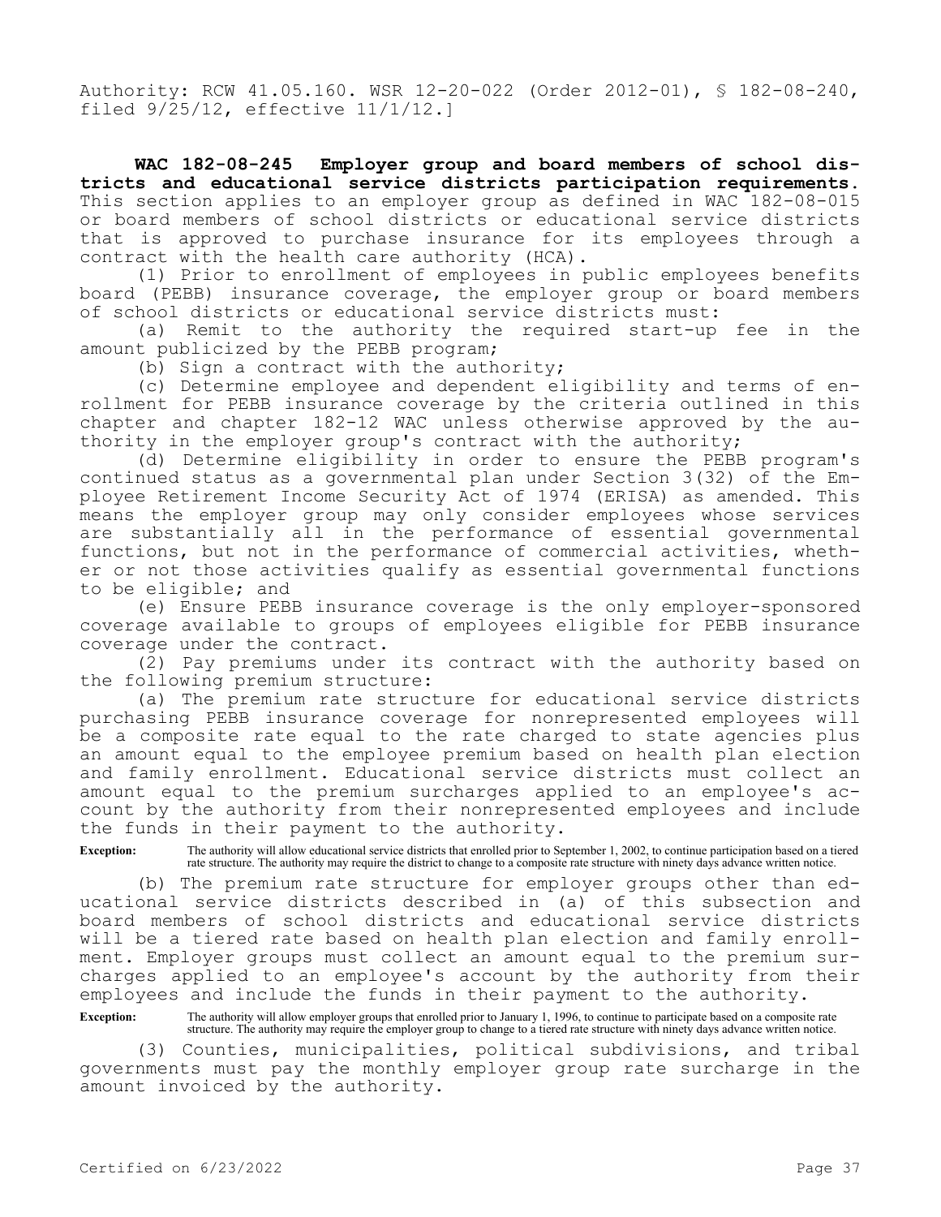Authority: RCW 41.05.160. WSR 12-20-022 (Order 2012-01), § 182-08-240, filed 9/25/12, effective 11/1/12.]

**WAC 182-08-245 Employer group and board members of school districts and educational service districts participation requirements.**  This section applies to an employer group as defined in WAC 182-08-015 or board members of school districts or educational service districts that is approved to purchase insurance for its employees through a contract with the health care authority (HCA).

(1) Prior to enrollment of employees in public employees benefits board (PEBB) insurance coverage, the employer group or board members of school districts or educational service districts must:

(a) Remit to the authority the required start-up fee in the amount publicized by the PEBB program;

(b) Sign a contract with the authority;

(c) Determine employee and dependent eligibility and terms of enrollment for PEBB insurance coverage by the criteria outlined in this chapter and chapter 182-12 WAC unless otherwise approved by the authority in the employer group's contract with the authority;

(d) Determine eligibility in order to ensure the PEBB program's continued status as a governmental plan under Section 3(32) of the Employee Retirement Income Security Act of 1974 (ERISA) as amended. This means the employer group may only consider employees whose services are substantially all in the performance of essential governmental functions, but not in the performance of commercial activities, whether or not those activities qualify as essential governmental functions to be eligible; and

(e) Ensure PEBB insurance coverage is the only employer-sponsored coverage available to groups of employees eligible for PEBB insurance coverage under the contract.

(2) Pay premiums under its contract with the authority based on the following premium structure:

(a) The premium rate structure for educational service districts purchasing PEBB insurance coverage for nonrepresented employees will be a composite rate equal to the rate charged to state agencies plus an amount equal to the employee premium based on health plan election and family enrollment. Educational service districts must collect an amount equal to the premium surcharges applied to an employee's account by the authority from their nonrepresented employees and include the funds in their payment to the authority.

**Exception:** The authority will allow educational service districts that enrolled prior to September 1, 2002, to continue participation based on a tiered rate structure. The authority may require the district to change to a composite rate structure with ninety days advance written notice.

(b) The premium rate structure for employer groups other than educational service districts described in (a) of this subsection and board members of school districts and educational service districts will be a tiered rate based on health plan election and family enrollment. Employer groups must collect an amount equal to the premium surcharges applied to an employee's account by the authority from their employees and include the funds in their payment to the authority.

**Exception:** The authority will allow employer groups that enrolled prior to January 1, 1996, to continue to participate based on a composite rate structure. The authority may require the employer group to change to a tiered rate structure with ninety days advance written notice.

(3) Counties, municipalities, political subdivisions, and tribal governments must pay the monthly employer group rate surcharge in the amount invoiced by the authority.